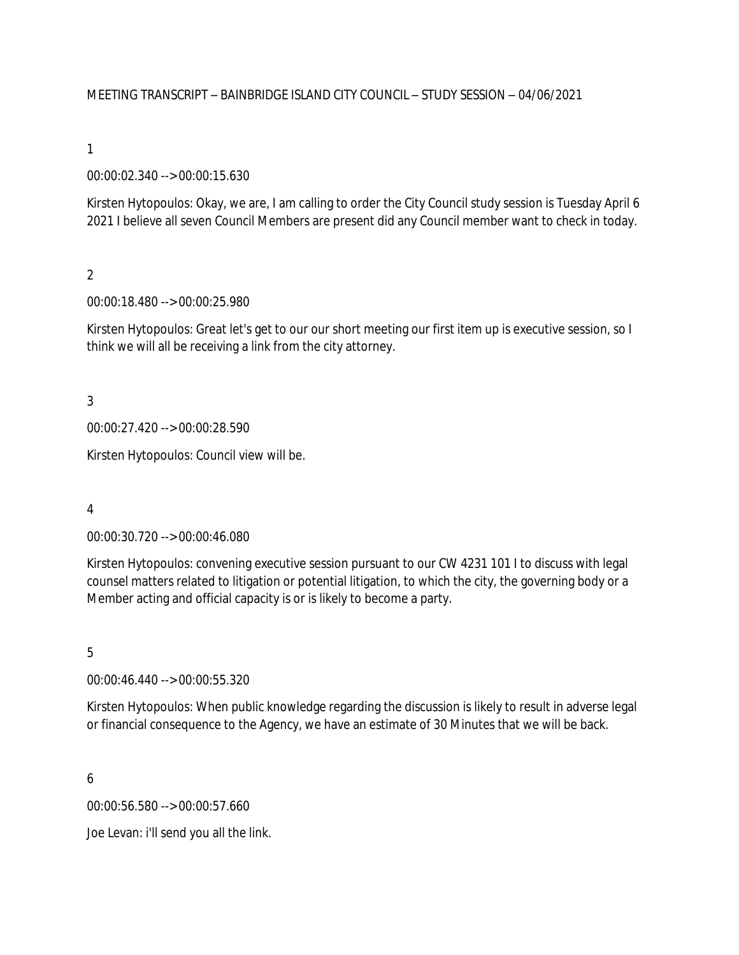### MEETING TRANSCRIPT – BAINBRIDGE ISLAND CITY COUNCIL – STUDY SESSION – 04/06/2021

#### 1

00:00:02.340 --> 00:00:15.630

Kirsten Hytopoulos: Okay, we are, I am calling to order the City Council study session is Tuesday April 6 2021 I believe all seven Council Members are present did any Council member want to check in today.

#### $\overline{2}$

00:00:18.480 --> 00:00:25.980

Kirsten Hytopoulos: Great let's get to our our short meeting our first item up is executive session, so I think we will all be receiving a link from the city attorney.

3

00:00:27.420 --> 00:00:28.590

Kirsten Hytopoulos: Council view will be.

4

00:00:30.720 --> 00:00:46.080

Kirsten Hytopoulos: convening executive session pursuant to our CW 4231 101 I to discuss with legal counsel matters related to litigation or potential litigation, to which the city, the governing body or a Member acting and official capacity is or is likely to become a party.

#### 5

00:00:46.440 --> 00:00:55.320

Kirsten Hytopoulos: When public knowledge regarding the discussion is likely to result in adverse legal or financial consequence to the Agency, we have an estimate of 30 Minutes that we will be back.

6

00:00:56.580 --> 00:00:57.660

Joe Levan: i'll send you all the link.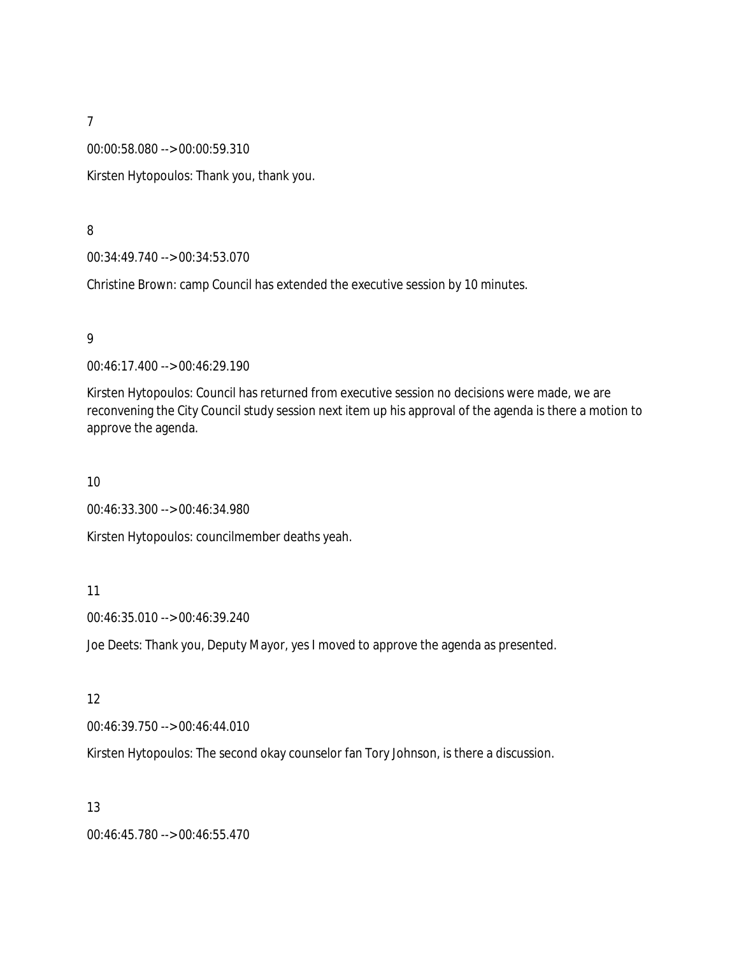00:00:58.080 --> 00:00:59.310

Kirsten Hytopoulos: Thank you, thank you.

### 8

00:34:49.740 --> 00:34:53.070

Christine Brown: camp Council has extended the executive session by 10 minutes.

### 9

00:46:17.400 --> 00:46:29.190

Kirsten Hytopoulos: Council has returned from executive session no decisions were made, we are reconvening the City Council study session next item up his approval of the agenda is there a motion to approve the agenda.

### 10

00:46:33.300 --> 00:46:34.980

Kirsten Hytopoulos: councilmember deaths yeah.

### 11

00:46:35.010 --> 00:46:39.240

Joe Deets: Thank you, Deputy Mayor, yes I moved to approve the agenda as presented.

### 12

00:46:39.750 --> 00:46:44.010

Kirsten Hytopoulos: The second okay counselor fan Tory Johnson, is there a discussion.

### 13

00:46:45.780 --> 00:46:55.470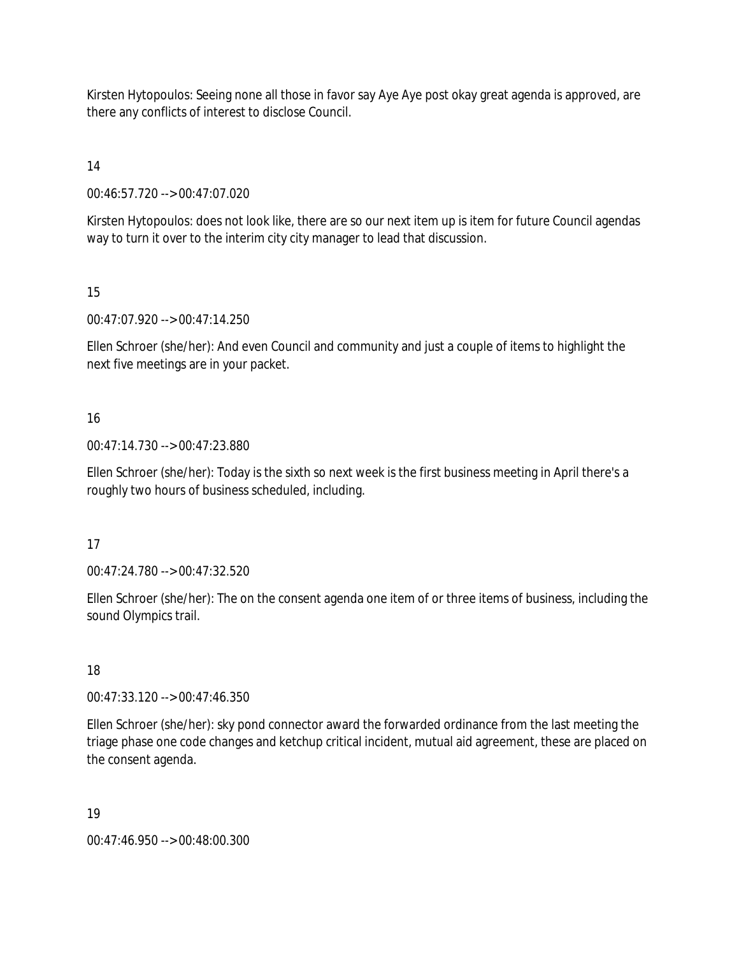Kirsten Hytopoulos: Seeing none all those in favor say Aye Aye post okay great agenda is approved, are there any conflicts of interest to disclose Council.

14

00:46:57.720 --> 00:47:07.020

Kirsten Hytopoulos: does not look like, there are so our next item up is item for future Council agendas way to turn it over to the interim city city manager to lead that discussion.

15

00:47:07.920 --> 00:47:14.250

Ellen Schroer (she/her): And even Council and community and just a couple of items to highlight the next five meetings are in your packet.

## 16

00:47:14.730 --> 00:47:23.880

Ellen Schroer (she/her): Today is the sixth so next week is the first business meeting in April there's a roughly two hours of business scheduled, including.

17

00:47:24.780 --> 00:47:32.520

Ellen Schroer (she/her): The on the consent agenda one item of or three items of business, including the sound Olympics trail.

## 18

00:47:33.120 --> 00:47:46.350

Ellen Schroer (she/her): sky pond connector award the forwarded ordinance from the last meeting the triage phase one code changes and ketchup critical incident, mutual aid agreement, these are placed on the consent agenda.

## 19

00:47:46.950 --> 00:48:00.300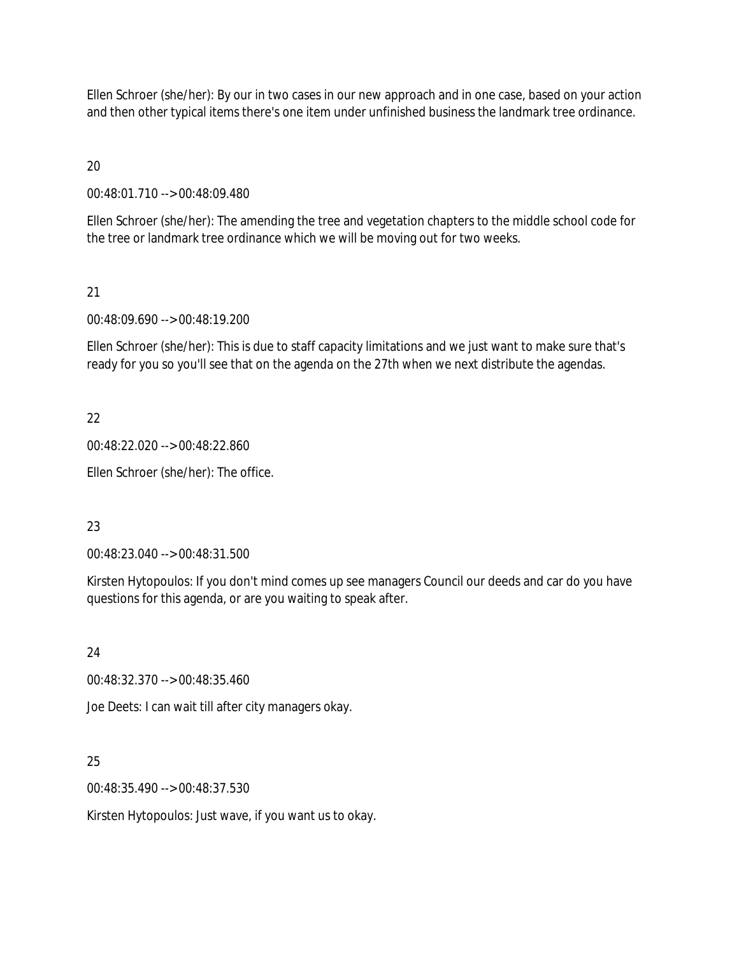Ellen Schroer (she/her): By our in two cases in our new approach and in one case, based on your action and then other typical items there's one item under unfinished business the landmark tree ordinance.

 $20$ 

00:48:01.710 --> 00:48:09.480

Ellen Schroer (she/her): The amending the tree and vegetation chapters to the middle school code for the tree or landmark tree ordinance which we will be moving out for two weeks.

### 21

00:48:09.690 --> 00:48:19.200

Ellen Schroer (she/her): This is due to staff capacity limitations and we just want to make sure that's ready for you so you'll see that on the agenda on the 27th when we next distribute the agendas.

## 22

00:48:22.020 --> 00:48:22.860

Ellen Schroer (she/her): The office.

## 23

00:48:23.040 --> 00:48:31.500

Kirsten Hytopoulos: If you don't mind comes up see managers Council our deeds and car do you have questions for this agenda, or are you waiting to speak after.

### 24

00:48:32.370 --> 00:48:35.460

Joe Deets: I can wait till after city managers okay.

## 25

00:48:35.490 --> 00:48:37.530

Kirsten Hytopoulos: Just wave, if you want us to okay.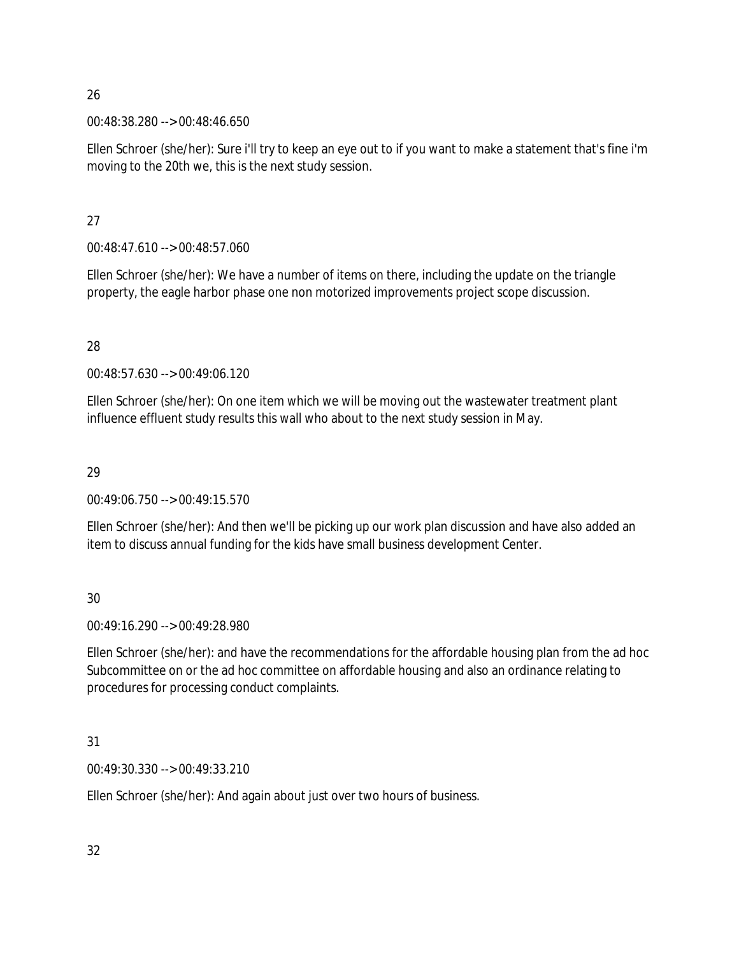00:48:38.280 --> 00:48:46.650

Ellen Schroer (she/her): Sure i'll try to keep an eye out to if you want to make a statement that's fine i'm moving to the 20th we, this is the next study session.

## 27

00:48:47.610 --> 00:48:57.060

Ellen Schroer (she/her): We have a number of items on there, including the update on the triangle property, the eagle harbor phase one non motorized improvements project scope discussion.

## 28

00:48:57.630 --> 00:49:06.120

Ellen Schroer (she/her): On one item which we will be moving out the wastewater treatment plant influence effluent study results this wall who about to the next study session in May.

## 29

00:49:06.750 --> 00:49:15.570

Ellen Schroer (she/her): And then we'll be picking up our work plan discussion and have also added an item to discuss annual funding for the kids have small business development Center.

# 30

00:49:16.290 --> 00:49:28.980

Ellen Schroer (she/her): and have the recommendations for the affordable housing plan from the ad hoc Subcommittee on or the ad hoc committee on affordable housing and also an ordinance relating to procedures for processing conduct complaints.

## 31

00:49:30.330 --> 00:49:33.210

Ellen Schroer (she/her): And again about just over two hours of business.

32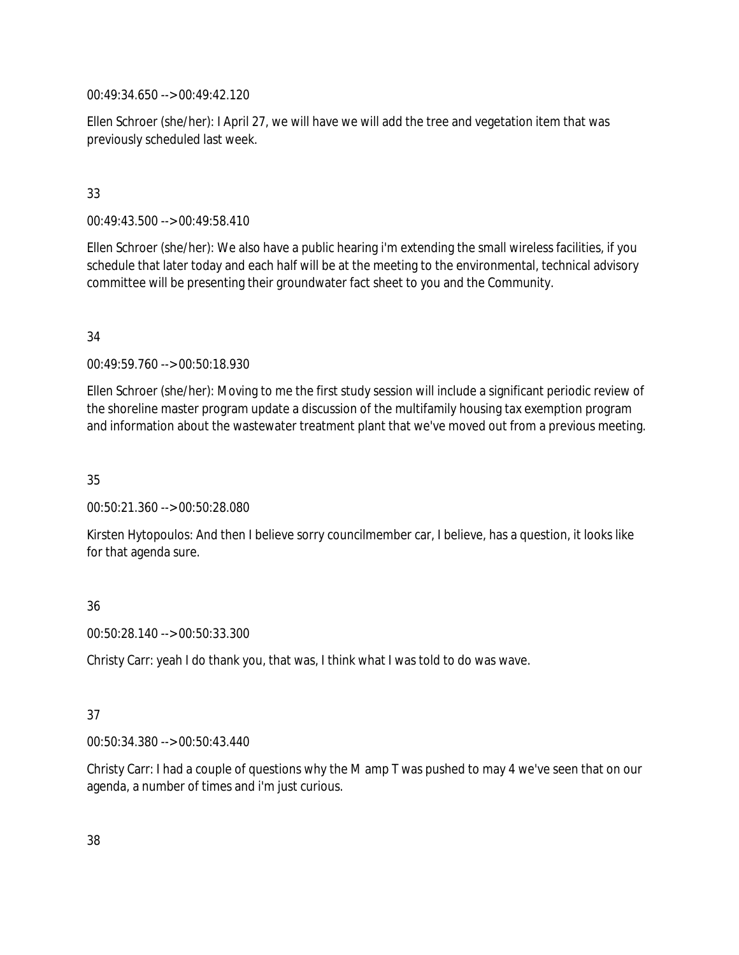00:49:34.650 --> 00:49:42.120

Ellen Schroer (she/her): I April 27, we will have we will add the tree and vegetation item that was previously scheduled last week.

## 33

00:49:43.500 --> 00:49:58.410

Ellen Schroer (she/her): We also have a public hearing i'm extending the small wireless facilities, if you schedule that later today and each half will be at the meeting to the environmental, technical advisory committee will be presenting their groundwater fact sheet to you and the Community.

### 34

00:49:59.760 --> 00:50:18.930

Ellen Schroer (she/her): Moving to me the first study session will include a significant periodic review of the shoreline master program update a discussion of the multifamily housing tax exemption program and information about the wastewater treatment plant that we've moved out from a previous meeting.

35

00:50:21.360 --> 00:50:28.080

Kirsten Hytopoulos: And then I believe sorry councilmember car, I believe, has a question, it looks like for that agenda sure.

## 36

00:50:28.140 --> 00:50:33.300

Christy Carr: yeah I do thank you, that was, I think what I was told to do was wave.

## 37

00:50:34.380 --> 00:50:43.440

Christy Carr: I had a couple of questions why the M amp T was pushed to may 4 we've seen that on our agenda, a number of times and i'm just curious.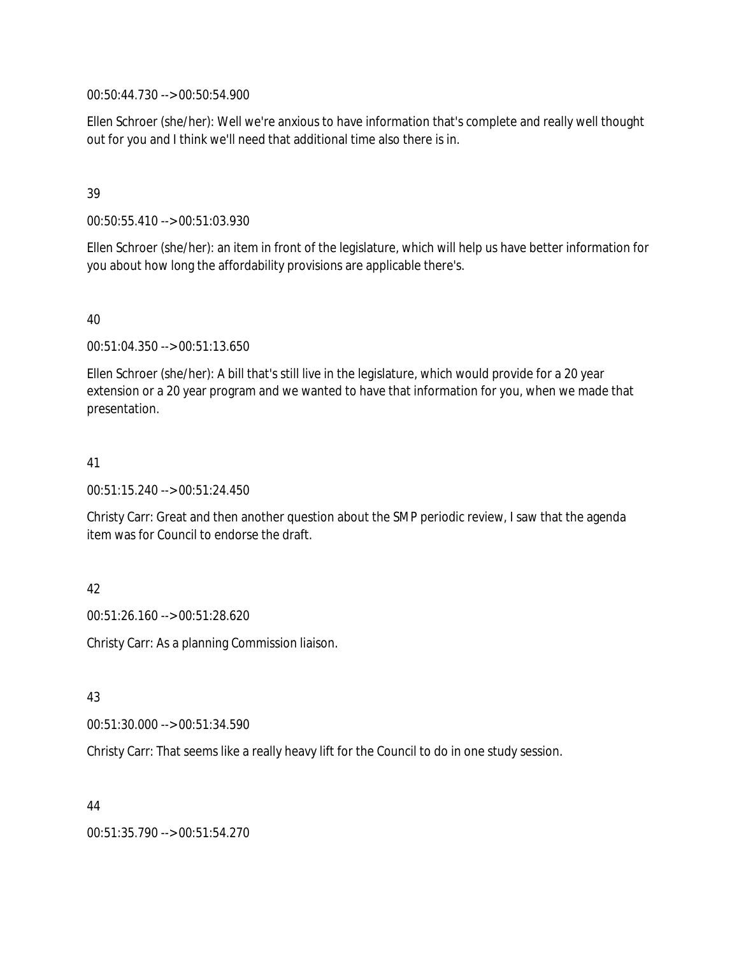00:50:44.730 --> 00:50:54.900

Ellen Schroer (she/her): Well we're anxious to have information that's complete and really well thought out for you and I think we'll need that additional time also there is in.

### 39

00:50:55.410 --> 00:51:03.930

Ellen Schroer (she/her): an item in front of the legislature, which will help us have better information for you about how long the affordability provisions are applicable there's.

## 40

00:51:04.350 --> 00:51:13.650

Ellen Schroer (she/her): A bill that's still live in the legislature, which would provide for a 20 year extension or a 20 year program and we wanted to have that information for you, when we made that presentation.

### 41

00:51:15.240 --> 00:51:24.450

Christy Carr: Great and then another question about the SMP periodic review, I saw that the agenda item was for Council to endorse the draft.

## 42

00:51:26.160 --> 00:51:28.620

Christy Carr: As a planning Commission liaison.

### 43

00:51:30.000 --> 00:51:34.590

Christy Carr: That seems like a really heavy lift for the Council to do in one study session.

## 44

00:51:35.790 --> 00:51:54.270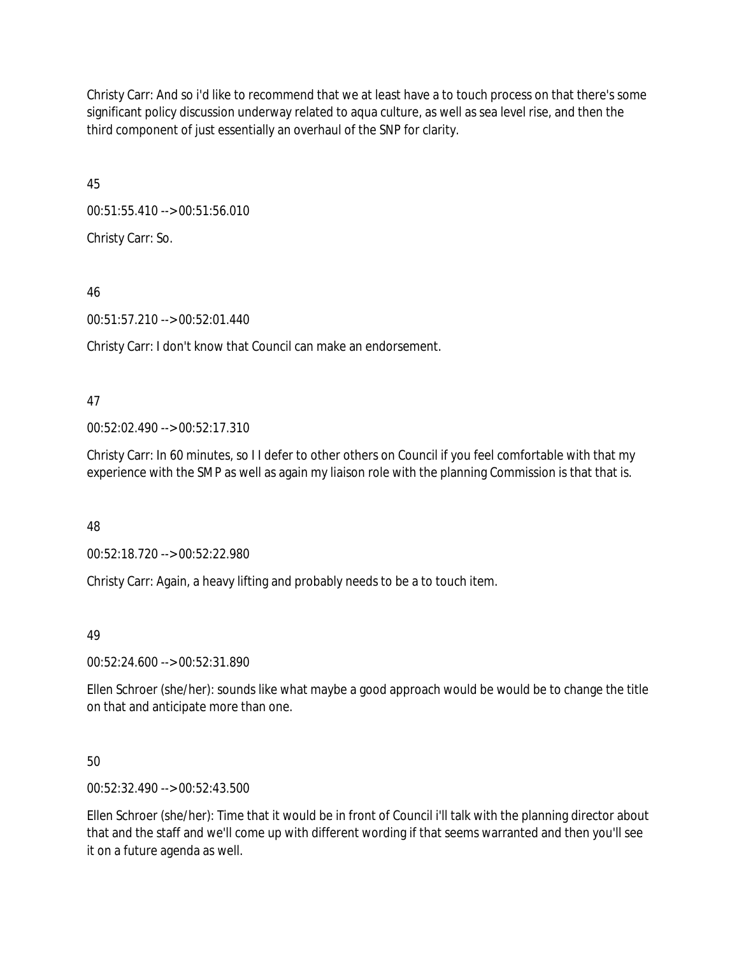Christy Carr: And so i'd like to recommend that we at least have a to touch process on that there's some significant policy discussion underway related to aqua culture, as well as sea level rise, and then the third component of just essentially an overhaul of the SNP for clarity.

45

00:51:55.410 --> 00:51:56.010

Christy Carr: So.

46

00:51:57.210 --> 00:52:01.440

Christy Carr: I don't know that Council can make an endorsement.

47

00:52:02.490 --> 00:52:17.310

Christy Carr: In 60 minutes, so I I defer to other others on Council if you feel comfortable with that my experience with the SMP as well as again my liaison role with the planning Commission is that that is.

48

00:52:18.720 --> 00:52:22.980

Christy Carr: Again, a heavy lifting and probably needs to be a to touch item.

49

00:52:24.600 --> 00:52:31.890

Ellen Schroer (she/her): sounds like what maybe a good approach would be would be to change the title on that and anticipate more than one.

50

00:52:32.490 --> 00:52:43.500

Ellen Schroer (she/her): Time that it would be in front of Council i'll talk with the planning director about that and the staff and we'll come up with different wording if that seems warranted and then you'll see it on a future agenda as well.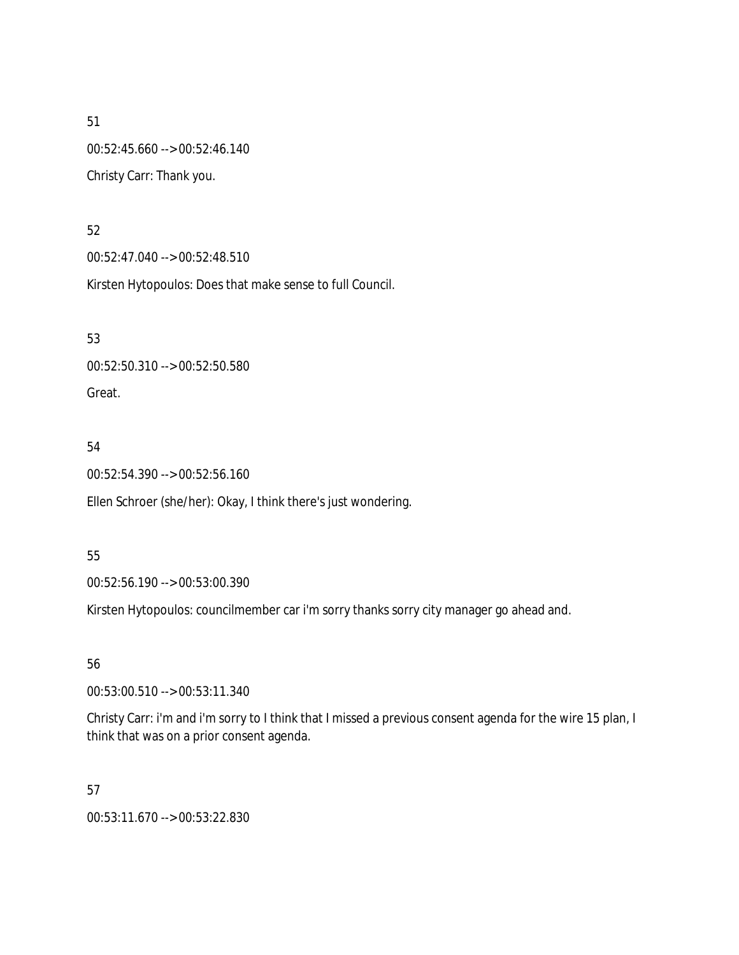51 00:52:45.660 --> 00:52:46.140 Christy Carr: Thank you.

### 52

00:52:47.040 --> 00:52:48.510

Kirsten Hytopoulos: Does that make sense to full Council.

53

00:52:50.310 --> 00:52:50.580 Great.

## 54

00:52:54.390 --> 00:52:56.160

Ellen Schroer (she/her): Okay, I think there's just wondering.

## 55

00:52:56.190 --> 00:53:00.390

Kirsten Hytopoulos: councilmember car i'm sorry thanks sorry city manager go ahead and.

## 56

00:53:00.510 --> 00:53:11.340

Christy Carr: i'm and i'm sorry to I think that I missed a previous consent agenda for the wire 15 plan, I think that was on a prior consent agenda.

## 57

00:53:11.670 --> 00:53:22.830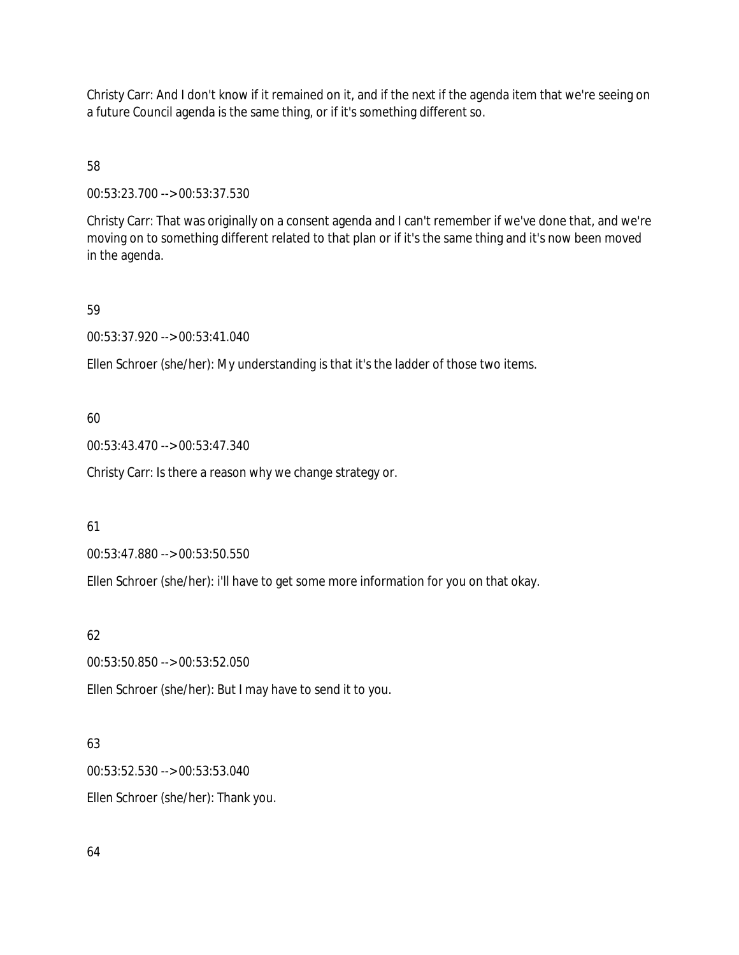Christy Carr: And I don't know if it remained on it, and if the next if the agenda item that we're seeing on a future Council agenda is the same thing, or if it's something different so.

58

00:53:23.700 --> 00:53:37.530

Christy Carr: That was originally on a consent agenda and I can't remember if we've done that, and we're moving on to something different related to that plan or if it's the same thing and it's now been moved in the agenda.

### 59

00:53:37.920 --> 00:53:41.040

Ellen Schroer (she/her): My understanding is that it's the ladder of those two items.

### 60

00:53:43.470 --> 00:53:47.340

Christy Carr: Is there a reason why we change strategy or.

### 61

00:53:47.880 --> 00:53:50.550

Ellen Schroer (she/her): i'll have to get some more information for you on that okay.

## 62

00:53:50.850 --> 00:53:52.050

Ellen Schroer (she/her): But I may have to send it to you.

## 63

00:53:52.530 --> 00:53:53.040 Ellen Schroer (she/her): Thank you.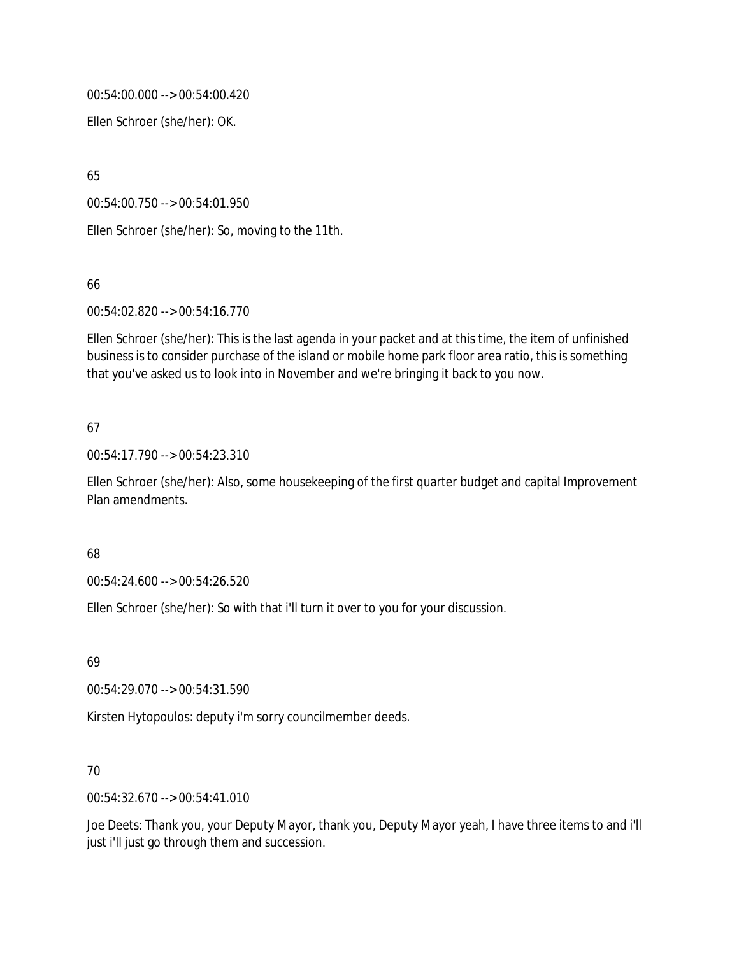00:54:00.000 --> 00:54:00.420

Ellen Schroer (she/her): OK.

65

00:54:00.750 --> 00:54:01.950

Ellen Schroer (she/her): So, moving to the 11th.

66

00:54:02.820 --> 00:54:16.770

Ellen Schroer (she/her): This is the last agenda in your packet and at this time, the item of unfinished business is to consider purchase of the island or mobile home park floor area ratio, this is something that you've asked us to look into in November and we're bringing it back to you now.

## 67

00:54:17.790 --> 00:54:23.310

Ellen Schroer (she/her): Also, some housekeeping of the first quarter budget and capital Improvement Plan amendments.

### 68

00:54:24.600 --> 00:54:26.520

Ellen Schroer (she/her): So with that i'll turn it over to you for your discussion.

69

00:54:29.070 --> 00:54:31.590

Kirsten Hytopoulos: deputy i'm sorry councilmember deeds.

## 70

00:54:32.670 --> 00:54:41.010

Joe Deets: Thank you, your Deputy Mayor, thank you, Deputy Mayor yeah, I have three items to and i'll just i'll just go through them and succession.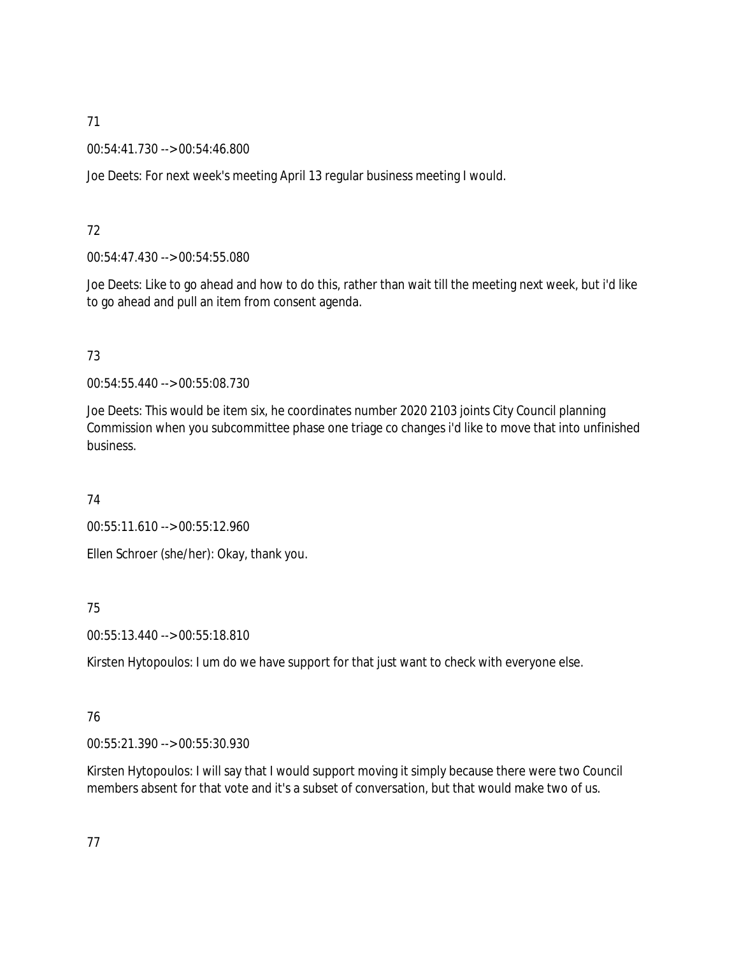00:54:41.730 --> 00:54:46.800

Joe Deets: For next week's meeting April 13 regular business meeting I would.

## 72

00:54:47.430 --> 00:54:55.080

Joe Deets: Like to go ahead and how to do this, rather than wait till the meeting next week, but i'd like to go ahead and pull an item from consent agenda.

# 73

00:54:55.440 --> 00:55:08.730

Joe Deets: This would be item six, he coordinates number 2020 2103 joints City Council planning Commission when you subcommittee phase one triage co changes i'd like to move that into unfinished business.

## 74

00:55:11.610 --> 00:55:12.960

Ellen Schroer (she/her): Okay, thank you.

# 75

00:55:13.440 --> 00:55:18.810

Kirsten Hytopoulos: I um do we have support for that just want to check with everyone else.

# 76

00:55:21.390 --> 00:55:30.930

Kirsten Hytopoulos: I will say that I would support moving it simply because there were two Council members absent for that vote and it's a subset of conversation, but that would make two of us.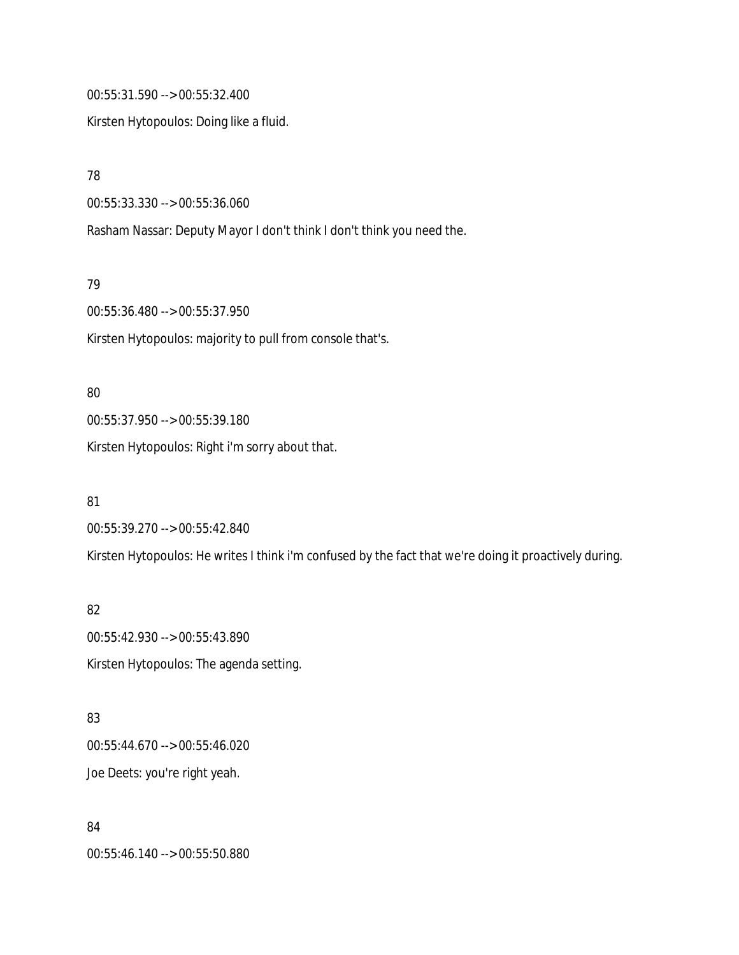00:55:31.590 --> 00:55:32.400

Kirsten Hytopoulos: Doing like a fluid.

78

00:55:33.330 --> 00:55:36.060

Rasham Nassar: Deputy Mayor I don't think I don't think you need the.

79

00:55:36.480 --> 00:55:37.950

Kirsten Hytopoulos: majority to pull from console that's.

80 00:55:37.950 --> 00:55:39.180 Kirsten Hytopoulos: Right i'm sorry about that.

81 00:55:39.270 --> 00:55:42.840 Kirsten Hytopoulos: He writes I think i'm confused by the fact that we're doing it proactively during.

82 00:55:42.930 --> 00:55:43.890 Kirsten Hytopoulos: The agenda setting.

83 00:55:44.670 --> 00:55:46.020 Joe Deets: you're right yeah.

84 00:55:46.140 --> 00:55:50.880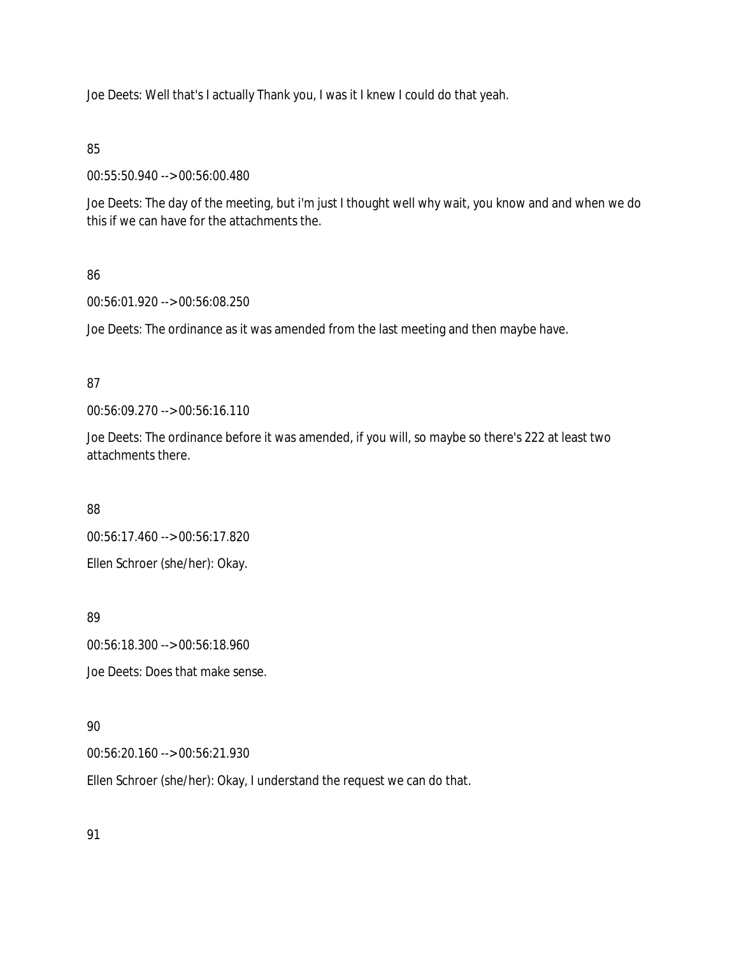Joe Deets: Well that's I actually Thank you, I was it I knew I could do that yeah.

## 85

00:55:50.940 --> 00:56:00.480

Joe Deets: The day of the meeting, but i'm just I thought well why wait, you know and and when we do this if we can have for the attachments the.

# 86

00:56:01.920 --> 00:56:08.250

Joe Deets: The ordinance as it was amended from the last meeting and then maybe have.

## 87

00:56:09.270 --> 00:56:16.110

Joe Deets: The ordinance before it was amended, if you will, so maybe so there's 222 at least two attachments there.

88

00:56:17.460 --> 00:56:17.820 Ellen Schroer (she/her): Okay.

89

00:56:18.300 --> 00:56:18.960

Joe Deets: Does that make sense.

# 90

00:56:20.160 --> 00:56:21.930

Ellen Schroer (she/her): Okay, I understand the request we can do that.

91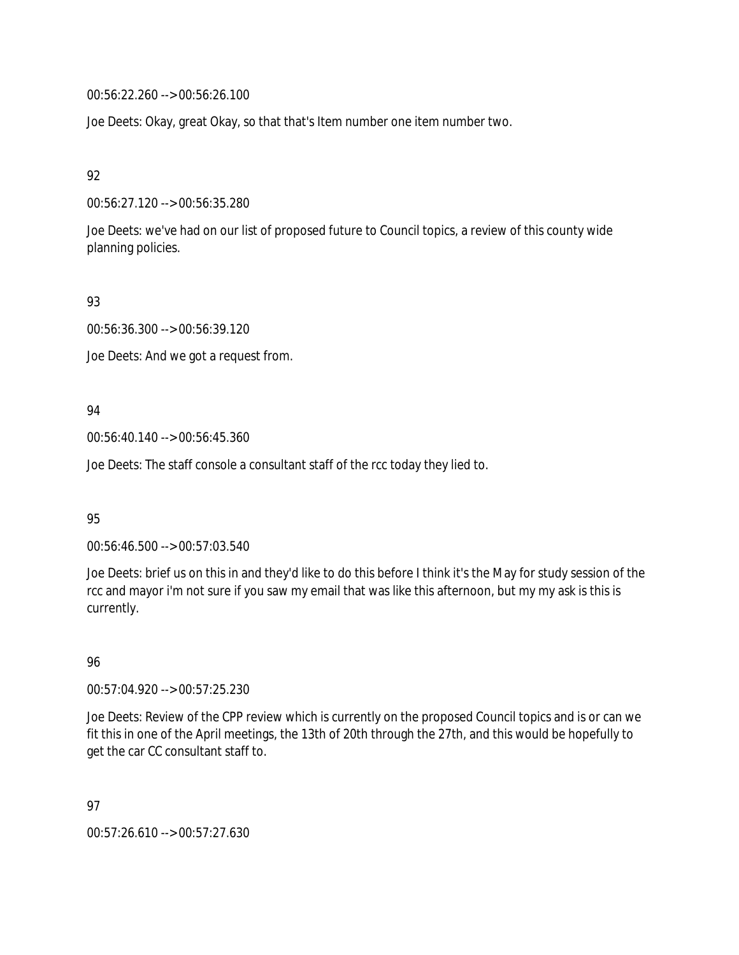00:56:22.260 --> 00:56:26.100

Joe Deets: Okay, great Okay, so that that's Item number one item number two.

92

00:56:27.120 --> 00:56:35.280

Joe Deets: we've had on our list of proposed future to Council topics, a review of this county wide planning policies.

93

00:56:36.300 --> 00:56:39.120

Joe Deets: And we got a request from.

94

00:56:40.140 --> 00:56:45.360

Joe Deets: The staff console a consultant staff of the rcc today they lied to.

95

00:56:46.500 --> 00:57:03.540

Joe Deets: brief us on this in and they'd like to do this before I think it's the May for study session of the rcc and mayor i'm not sure if you saw my email that was like this afternoon, but my my ask is this is currently.

96

00:57:04.920 --> 00:57:25.230

Joe Deets: Review of the CPP review which is currently on the proposed Council topics and is or can we fit this in one of the April meetings, the 13th of 20th through the 27th, and this would be hopefully to get the car CC consultant staff to.

97

00:57:26.610 --> 00:57:27.630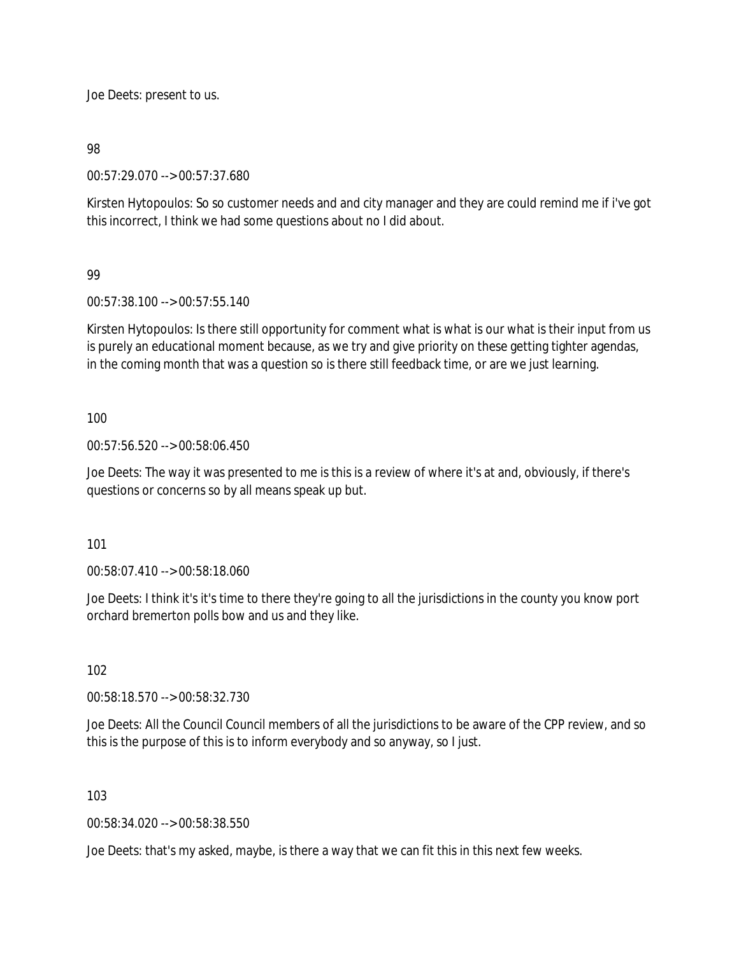Joe Deets: present to us.

98

00:57:29.070 --> 00:57:37.680

Kirsten Hytopoulos: So so customer needs and and city manager and they are could remind me if i've got this incorrect, I think we had some questions about no I did about.

### 99

00:57:38.100 --> 00:57:55.140

Kirsten Hytopoulos: Is there still opportunity for comment what is what is our what is their input from us is purely an educational moment because, as we try and give priority on these getting tighter agendas, in the coming month that was a question so is there still feedback time, or are we just learning.

### 100

00:57:56.520 --> 00:58:06.450

Joe Deets: The way it was presented to me is this is a review of where it's at and, obviously, if there's questions or concerns so by all means speak up but.

101

00:58:07.410 --> 00:58:18.060

Joe Deets: I think it's it's time to there they're going to all the jurisdictions in the county you know port orchard bremerton polls bow and us and they like.

### 102

00:58:18.570 --> 00:58:32.730

Joe Deets: All the Council Council members of all the jurisdictions to be aware of the CPP review, and so this is the purpose of this is to inform everybody and so anyway, so I just.

### 103

00:58:34.020 --> 00:58:38.550

Joe Deets: that's my asked, maybe, is there a way that we can fit this in this next few weeks.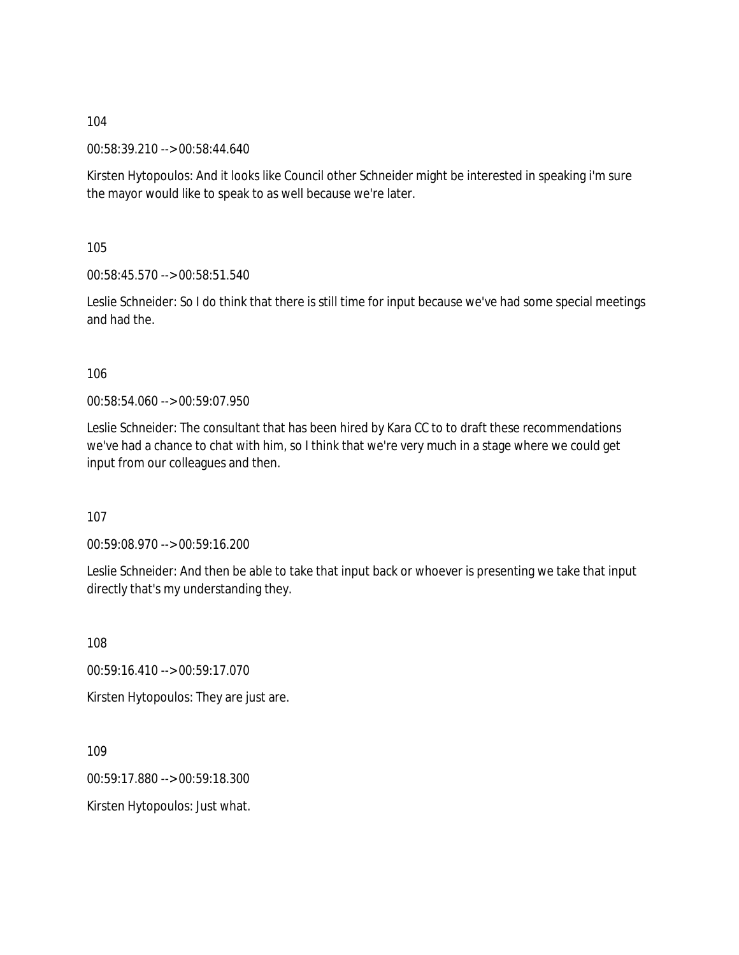00:58:39.210 --> 00:58:44.640

Kirsten Hytopoulos: And it looks like Council other Schneider might be interested in speaking i'm sure the mayor would like to speak to as well because we're later.

105

00:58:45.570 --> 00:58:51.540

Leslie Schneider: So I do think that there is still time for input because we've had some special meetings and had the.

106

00:58:54.060 --> 00:59:07.950

Leslie Schneider: The consultant that has been hired by Kara CC to to draft these recommendations we've had a chance to chat with him, so I think that we're very much in a stage where we could get input from our colleagues and then.

107

00:59:08.970 --> 00:59:16.200

Leslie Schneider: And then be able to take that input back or whoever is presenting we take that input directly that's my understanding they.

108

00:59:16.410 --> 00:59:17.070

Kirsten Hytopoulos: They are just are.

109

00:59:17.880 --> 00:59:18.300

Kirsten Hytopoulos: Just what.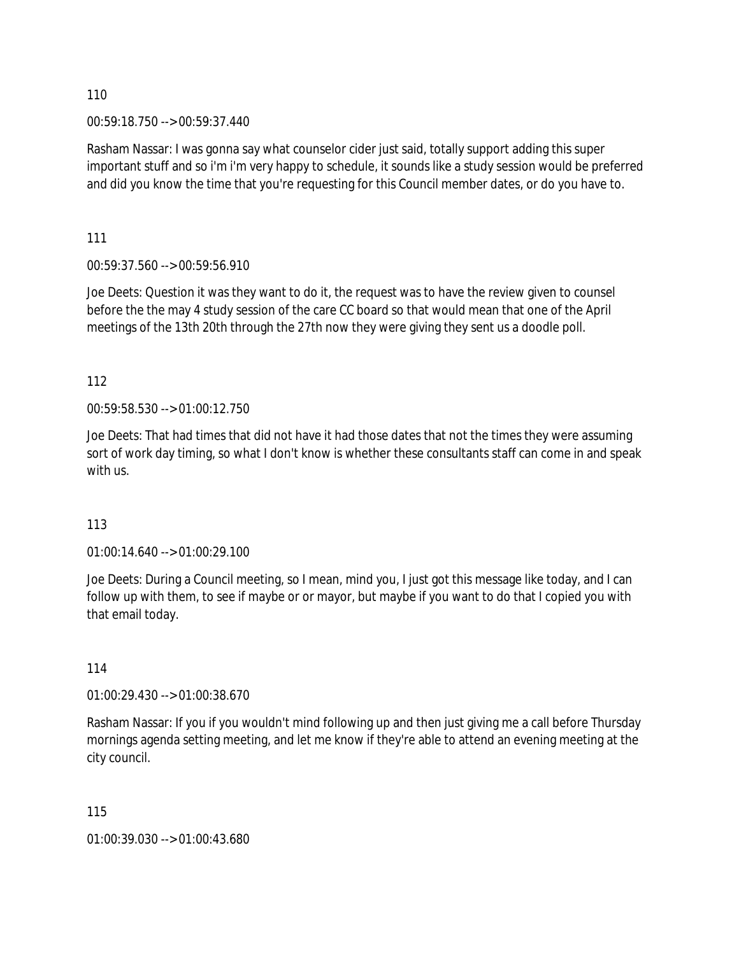00:59:18.750 --> 00:59:37.440

Rasham Nassar: I was gonna say what counselor cider just said, totally support adding this super important stuff and so i'm i'm very happy to schedule, it sounds like a study session would be preferred and did you know the time that you're requesting for this Council member dates, or do you have to.

111

00:59:37.560 --> 00:59:56.910

Joe Deets: Question it was they want to do it, the request was to have the review given to counsel before the the may 4 study session of the care CC board so that would mean that one of the April meetings of the 13th 20th through the 27th now they were giving they sent us a doodle poll.

112

00:59:58.530 --> 01:00:12.750

Joe Deets: That had times that did not have it had those dates that not the times they were assuming sort of work day timing, so what I don't know is whether these consultants staff can come in and speak with us.

## 113

01:00:14.640 --> 01:00:29.100

Joe Deets: During a Council meeting, so I mean, mind you, I just got this message like today, and I can follow up with them, to see if maybe or or mayor, but maybe if you want to do that I copied you with that email today.

114

01:00:29.430 --> 01:00:38.670

Rasham Nassar: If you if you wouldn't mind following up and then just giving me a call before Thursday mornings agenda setting meeting, and let me know if they're able to attend an evening meeting at the city council.

115

01:00:39.030 --> 01:00:43.680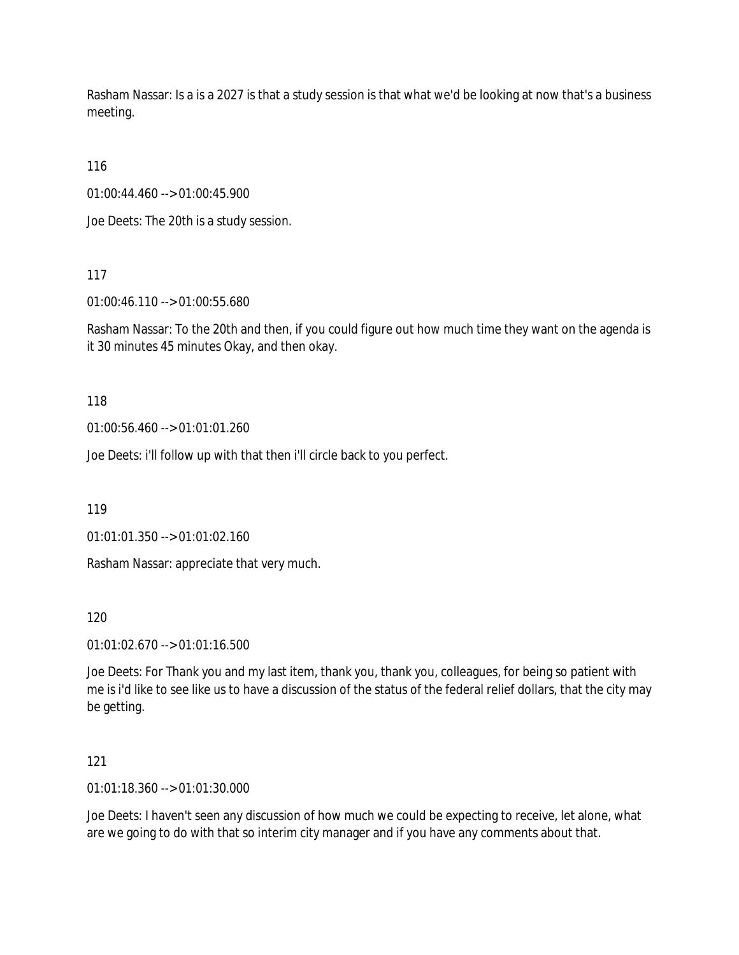Rasham Nassar: Is a is a 2027 is that a study session is that what we'd be looking at now that's a business meeting.

116

01:00:44.460 --> 01:00:45.900

Joe Deets: The 20th is a study session.

117

01:00:46.110 --> 01:00:55.680

Rasham Nassar: To the 20th and then, if you could figure out how much time they want on the agenda is it 30 minutes 45 minutes Okay, and then okay.

118

01:00:56.460 --> 01:01:01.260

Joe Deets: i'll follow up with that then i'll circle back to you perfect.

119

01:01:01.350 --> 01:01:02.160

Rasham Nassar: appreciate that very much.

120

01:01:02.670 --> 01:01:16.500

Joe Deets: For Thank you and my last item, thank you, thank you, colleagues, for being so patient with me is i'd like to see like us to have a discussion of the status of the federal relief dollars, that the city may be getting.

121

01:01:18.360 --> 01:01:30.000

Joe Deets: I haven't seen any discussion of how much we could be expecting to receive, let alone, what are we going to do with that so interim city manager and if you have any comments about that.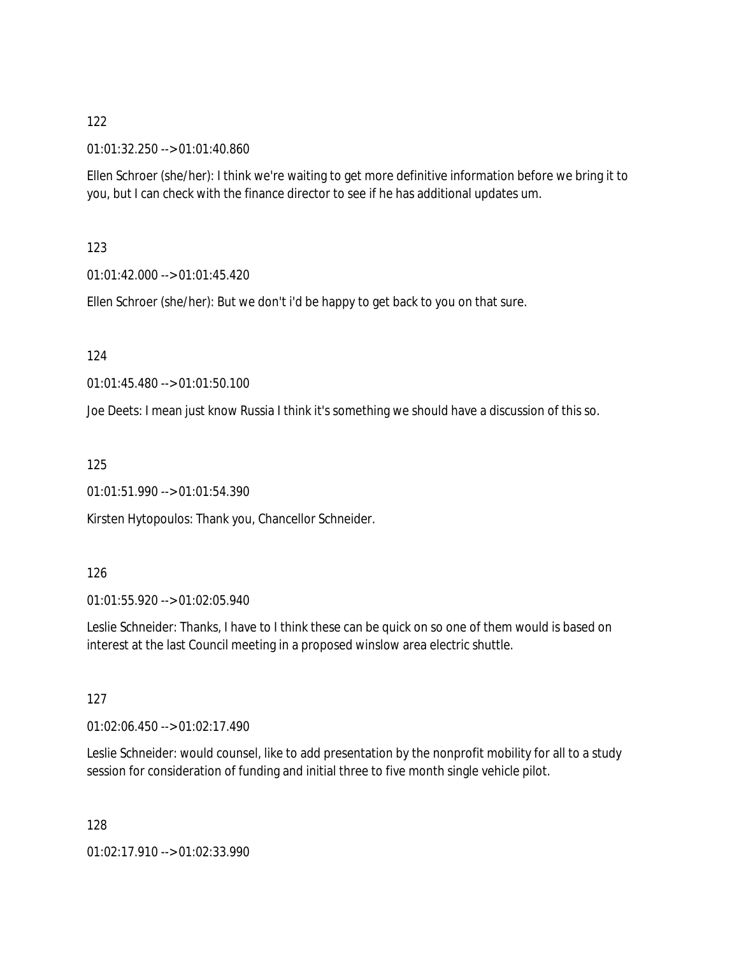01:01:32.250 --> 01:01:40.860

Ellen Schroer (she/her): I think we're waiting to get more definitive information before we bring it to you, but I can check with the finance director to see if he has additional updates um.

## 123

01:01:42.000 --> 01:01:45.420

Ellen Schroer (she/her): But we don't i'd be happy to get back to you on that sure.

124

01:01:45.480 --> 01:01:50.100

Joe Deets: I mean just know Russia I think it's something we should have a discussion of this so.

125

01:01:51.990 --> 01:01:54.390

Kirsten Hytopoulos: Thank you, Chancellor Schneider.

## 126

01:01:55.920 --> 01:02:05.940

Leslie Schneider: Thanks, I have to I think these can be quick on so one of them would is based on interest at the last Council meeting in a proposed winslow area electric shuttle.

## 127

01:02:06.450 --> 01:02:17.490

Leslie Schneider: would counsel, like to add presentation by the nonprofit mobility for all to a study session for consideration of funding and initial three to five month single vehicle pilot.

128

01:02:17.910 --> 01:02:33.990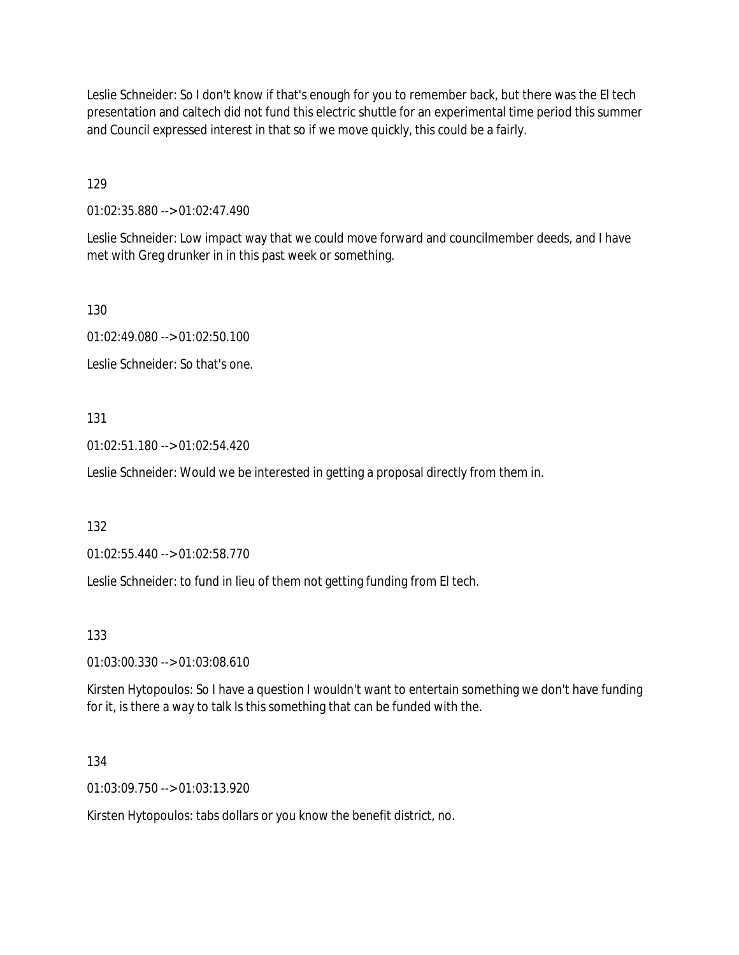Leslie Schneider: So I don't know if that's enough for you to remember back, but there was the El tech presentation and caltech did not fund this electric shuttle for an experimental time period this summer and Council expressed interest in that so if we move quickly, this could be a fairly.

129

01:02:35.880 --> 01:02:47.490

Leslie Schneider: Low impact way that we could move forward and councilmember deeds, and I have met with Greg drunker in in this past week or something.

130

01:02:49.080 --> 01:02:50.100

Leslie Schneider: So that's one.

### 131

01:02:51.180 --> 01:02:54.420

Leslie Schneider: Would we be interested in getting a proposal directly from them in.

132

01:02:55.440 --> 01:02:58.770

Leslie Schneider: to fund in lieu of them not getting funding from El tech.

133

01:03:00.330 --> 01:03:08.610

Kirsten Hytopoulos: So I have a question I wouldn't want to entertain something we don't have funding for it, is there a way to talk Is this something that can be funded with the.

134

01:03:09.750 --> 01:03:13.920

Kirsten Hytopoulos: tabs dollars or you know the benefit district, no.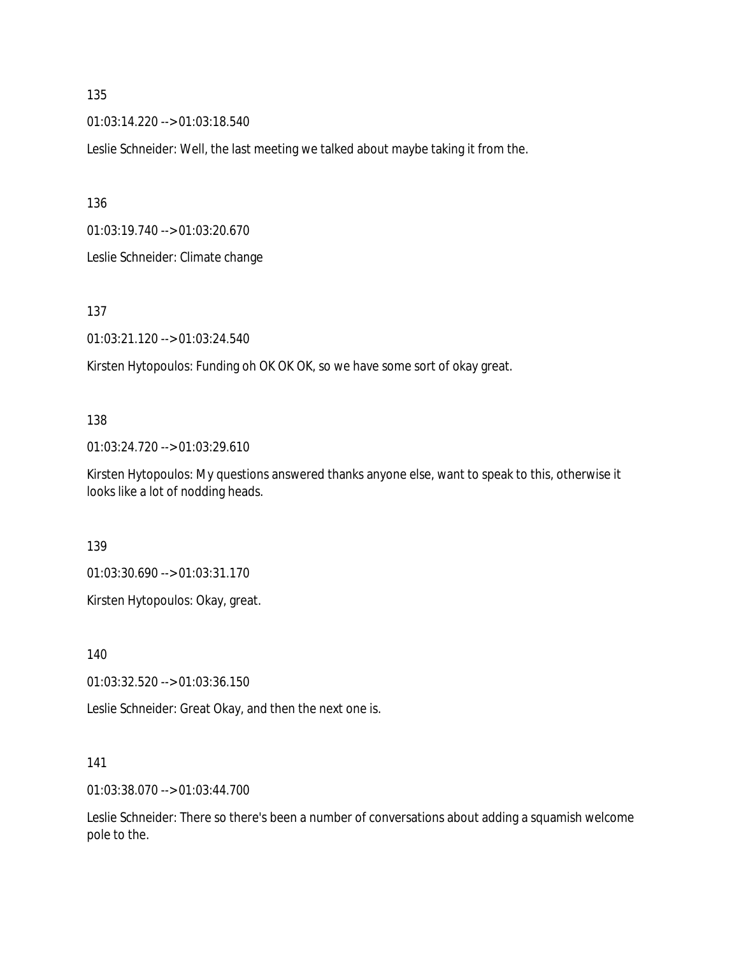01:03:14.220 --> 01:03:18.540

Leslie Schneider: Well, the last meeting we talked about maybe taking it from the.

136

01:03:19.740 --> 01:03:20.670

Leslie Schneider: Climate change

137

01:03:21.120 --> 01:03:24.540

Kirsten Hytopoulos: Funding oh OK OK OK, so we have some sort of okay great.

#### 138

01:03:24.720 --> 01:03:29.610

Kirsten Hytopoulos: My questions answered thanks anyone else, want to speak to this, otherwise it looks like a lot of nodding heads.

139

01:03:30.690 --> 01:03:31.170

Kirsten Hytopoulos: Okay, great.

140

01:03:32.520 --> 01:03:36.150

Leslie Schneider: Great Okay, and then the next one is.

141

01:03:38.070 --> 01:03:44.700

Leslie Schneider: There so there's been a number of conversations about adding a squamish welcome pole to the.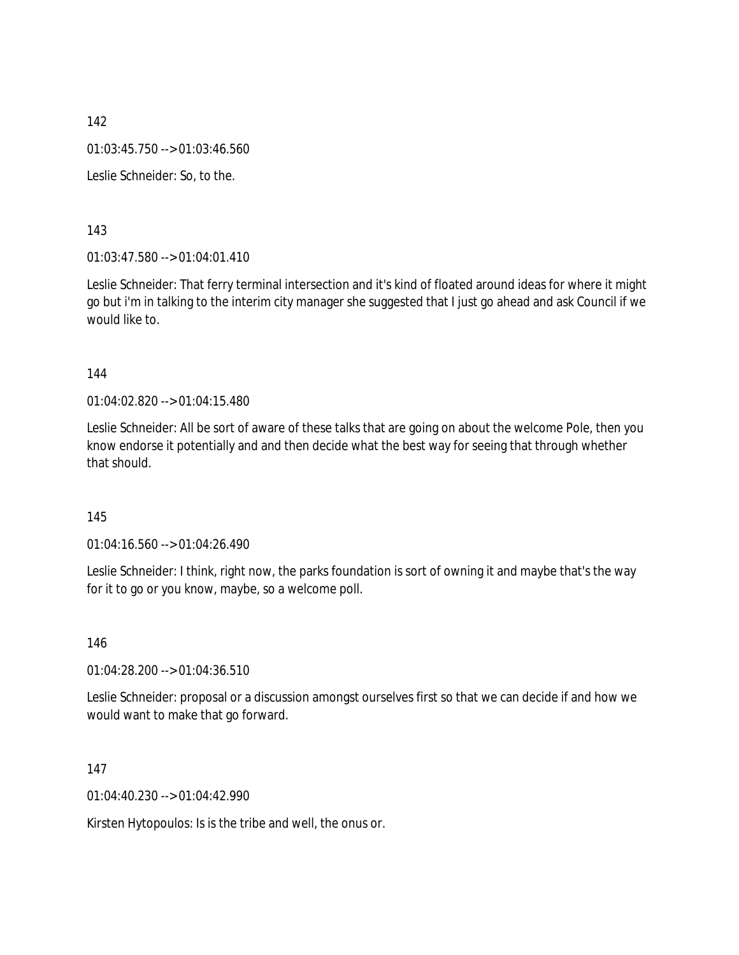01:03:45.750 --> 01:03:46.560

Leslie Schneider: So, to the.

143

01:03:47.580 --> 01:04:01.410

Leslie Schneider: That ferry terminal intersection and it's kind of floated around ideas for where it might go but i'm in talking to the interim city manager she suggested that I just go ahead and ask Council if we would like to.

#### 144

01:04:02.820 --> 01:04:15.480

Leslie Schneider: All be sort of aware of these talks that are going on about the welcome Pole, then you know endorse it potentially and and then decide what the best way for seeing that through whether that should.

### 145

01:04:16.560 --> 01:04:26.490

Leslie Schneider: I think, right now, the parks foundation is sort of owning it and maybe that's the way for it to go or you know, maybe, so a welcome poll.

146

01:04:28.200 --> 01:04:36.510

Leslie Schneider: proposal or a discussion amongst ourselves first so that we can decide if and how we would want to make that go forward.

147

01:04:40.230 --> 01:04:42.990

Kirsten Hytopoulos: Is is the tribe and well, the onus or.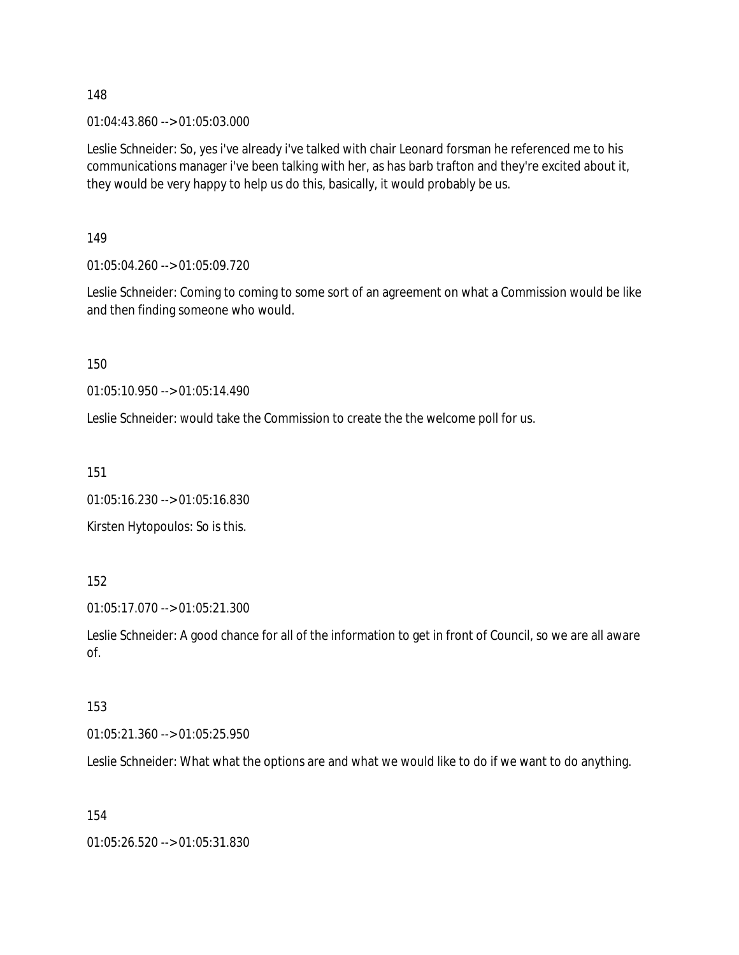01:04:43.860 --> 01:05:03.000

Leslie Schneider: So, yes i've already i've talked with chair Leonard forsman he referenced me to his communications manager i've been talking with her, as has barb trafton and they're excited about it, they would be very happy to help us do this, basically, it would probably be us.

149

01:05:04.260 --> 01:05:09.720

Leslie Schneider: Coming to coming to some sort of an agreement on what a Commission would be like and then finding someone who would.

150

01:05:10.950 --> 01:05:14.490

Leslie Schneider: would take the Commission to create the the welcome poll for us.

151

01:05:16.230 --> 01:05:16.830

Kirsten Hytopoulos: So is this.

152

01:05:17.070 --> 01:05:21.300

Leslie Schneider: A good chance for all of the information to get in front of Council, so we are all aware of.

#### 153

01:05:21.360 --> 01:05:25.950

Leslie Schneider: What what the options are and what we would like to do if we want to do anything.

154

01:05:26.520 --> 01:05:31.830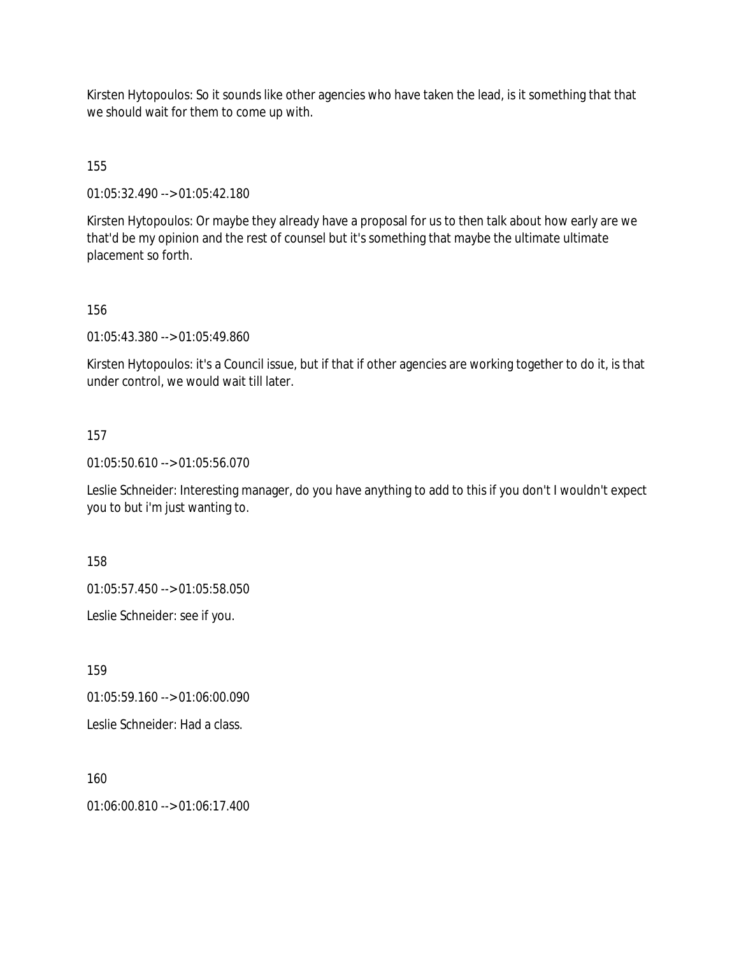Kirsten Hytopoulos: So it sounds like other agencies who have taken the lead, is it something that that we should wait for them to come up with.

155

01:05:32.490 --> 01:05:42.180

Kirsten Hytopoulos: Or maybe they already have a proposal for us to then talk about how early are we that'd be my opinion and the rest of counsel but it's something that maybe the ultimate ultimate placement so forth.

156

01:05:43.380 --> 01:05:49.860

Kirsten Hytopoulos: it's a Council issue, but if that if other agencies are working together to do it, is that under control, we would wait till later.

### 157

01:05:50.610 --> 01:05:56.070

Leslie Schneider: Interesting manager, do you have anything to add to this if you don't I wouldn't expect you to but i'm just wanting to.

158

01:05:57.450 --> 01:05:58.050

Leslie Schneider: see if you.

159

01:05:59.160 --> 01:06:00.090

Leslie Schneider: Had a class.

160

01:06:00.810 --> 01:06:17.400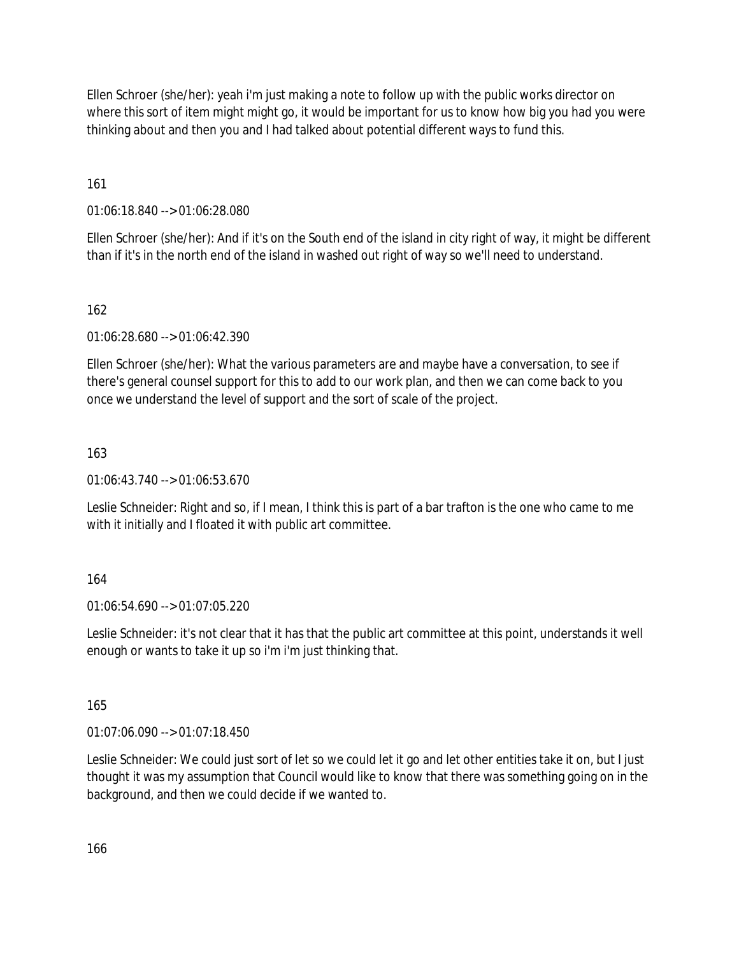Ellen Schroer (she/her): yeah i'm just making a note to follow up with the public works director on where this sort of item might might go, it would be important for us to know how big you had you were thinking about and then you and I had talked about potential different ways to fund this.

161

01:06:18.840 --> 01:06:28.080

Ellen Schroer (she/her): And if it's on the South end of the island in city right of way, it might be different than if it's in the north end of the island in washed out right of way so we'll need to understand.

## 162

01:06:28.680 --> 01:06:42.390

Ellen Schroer (she/her): What the various parameters are and maybe have a conversation, to see if there's general counsel support for this to add to our work plan, and then we can come back to you once we understand the level of support and the sort of scale of the project.

## 163

01:06:43.740 --> 01:06:53.670

Leslie Schneider: Right and so, if I mean, I think this is part of a bar trafton is the one who came to me with it initially and I floated it with public art committee.

## 164

01:06:54.690 --> 01:07:05.220

Leslie Schneider: it's not clear that it has that the public art committee at this point, understands it well enough or wants to take it up so i'm i'm just thinking that.

## 165

01:07:06.090 --> 01:07:18.450

Leslie Schneider: We could just sort of let so we could let it go and let other entities take it on, but I just thought it was my assumption that Council would like to know that there was something going on in the background, and then we could decide if we wanted to.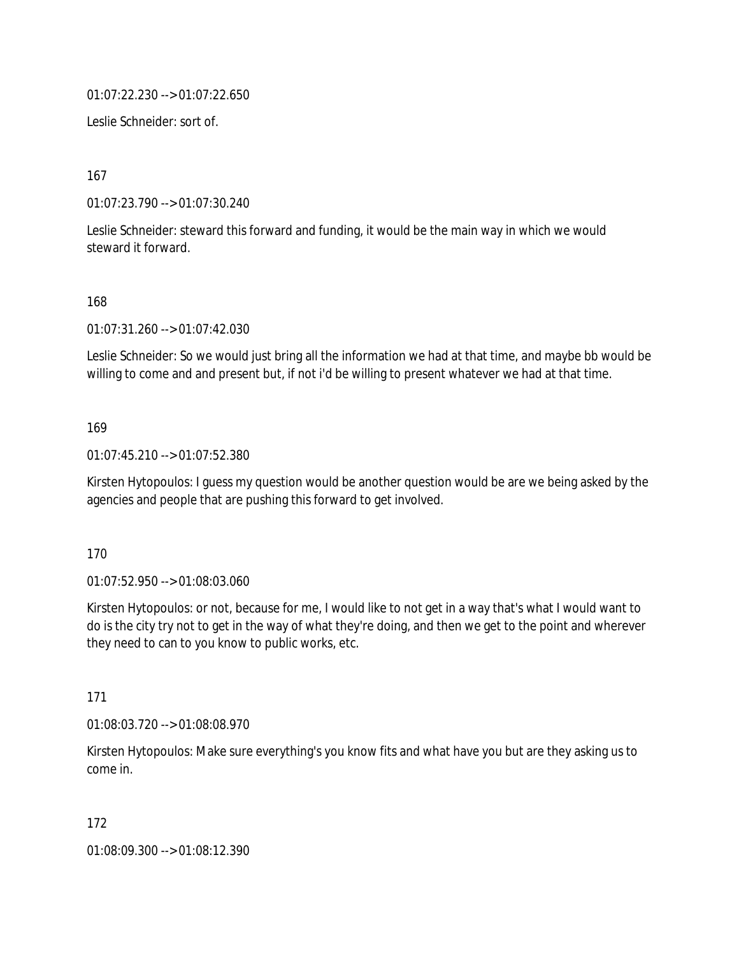01:07:22.230 --> 01:07:22.650

Leslie Schneider: sort of.

167

01:07:23.790 --> 01:07:30.240

Leslie Schneider: steward this forward and funding, it would be the main way in which we would steward it forward.

168

01:07:31.260 --> 01:07:42.030

Leslie Schneider: So we would just bring all the information we had at that time, and maybe bb would be willing to come and and present but, if not i'd be willing to present whatever we had at that time.

169

01:07:45.210 --> 01:07:52.380

Kirsten Hytopoulos: I guess my question would be another question would be are we being asked by the agencies and people that are pushing this forward to get involved.

170

01:07:52.950 --> 01:08:03.060

Kirsten Hytopoulos: or not, because for me, I would like to not get in a way that's what I would want to do is the city try not to get in the way of what they're doing, and then we get to the point and wherever they need to can to you know to public works, etc.

171

01:08:03.720 --> 01:08:08.970

Kirsten Hytopoulos: Make sure everything's you know fits and what have you but are they asking us to come in.

172

01:08:09.300 --> 01:08:12.390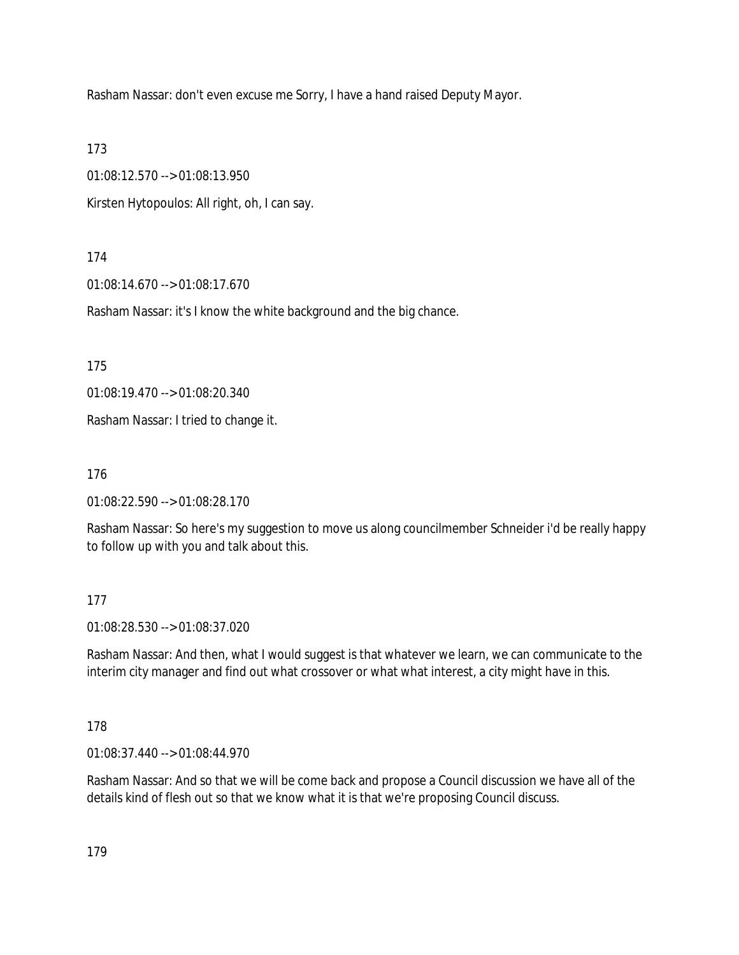Rasham Nassar: don't even excuse me Sorry, I have a hand raised Deputy Mayor.

173

01:08:12.570 --> 01:08:13.950

Kirsten Hytopoulos: All right, oh, I can say.

### 174

01:08:14.670 --> 01:08:17.670

Rasham Nassar: it's I know the white background and the big chance.

175

01:08:19.470 --> 01:08:20.340

Rasham Nassar: I tried to change it.

176

01:08:22.590 --> 01:08:28.170

Rasham Nassar: So here's my suggestion to move us along councilmember Schneider i'd be really happy to follow up with you and talk about this.

## 177

01:08:28.530 --> 01:08:37.020

Rasham Nassar: And then, what I would suggest is that whatever we learn, we can communicate to the interim city manager and find out what crossover or what what interest, a city might have in this.

### 178

01:08:37.440 --> 01:08:44.970

Rasham Nassar: And so that we will be come back and propose a Council discussion we have all of the details kind of flesh out so that we know what it is that we're proposing Council discuss.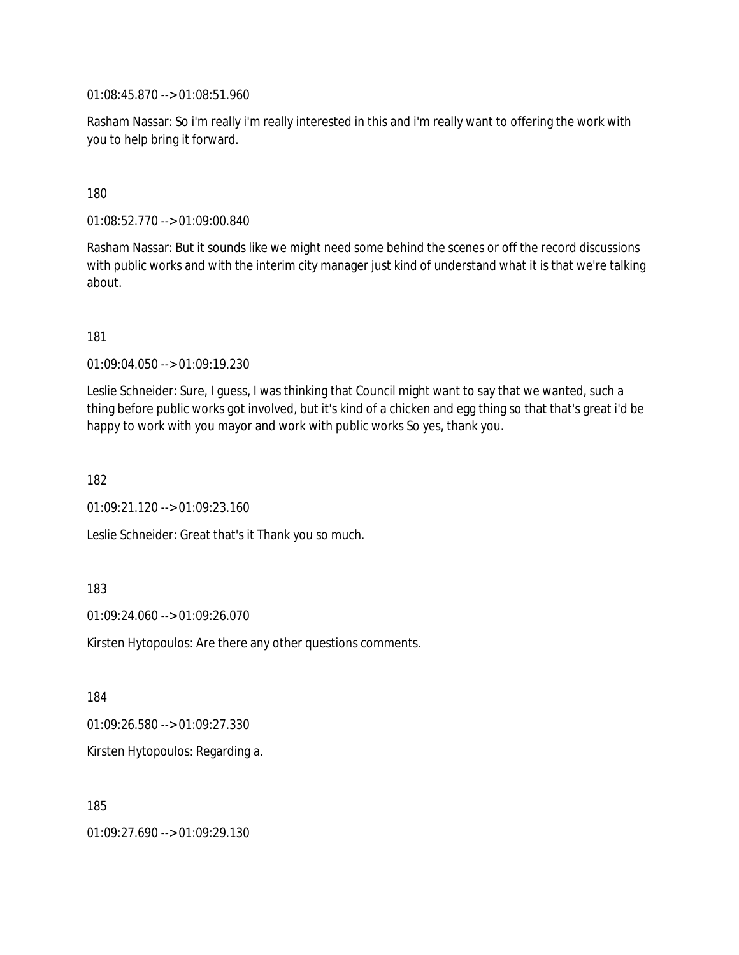01:08:45.870 --> 01:08:51.960

Rasham Nassar: So i'm really i'm really interested in this and i'm really want to offering the work with you to help bring it forward.

### 180

01:08:52.770 --> 01:09:00.840

Rasham Nassar: But it sounds like we might need some behind the scenes or off the record discussions with public works and with the interim city manager just kind of understand what it is that we're talking about.

181

01:09:04.050 --> 01:09:19.230

Leslie Schneider: Sure, I guess, I was thinking that Council might want to say that we wanted, such a thing before public works got involved, but it's kind of a chicken and egg thing so that that's great i'd be happy to work with you mayor and work with public works So yes, thank you.

182

01:09:21.120 --> 01:09:23.160

Leslie Schneider: Great that's it Thank you so much.

### 183

01:09:24.060 --> 01:09:26.070

Kirsten Hytopoulos: Are there any other questions comments.

184

01:09:26.580 --> 01:09:27.330

Kirsten Hytopoulos: Regarding a.

185

01:09:27.690 --> 01:09:29.130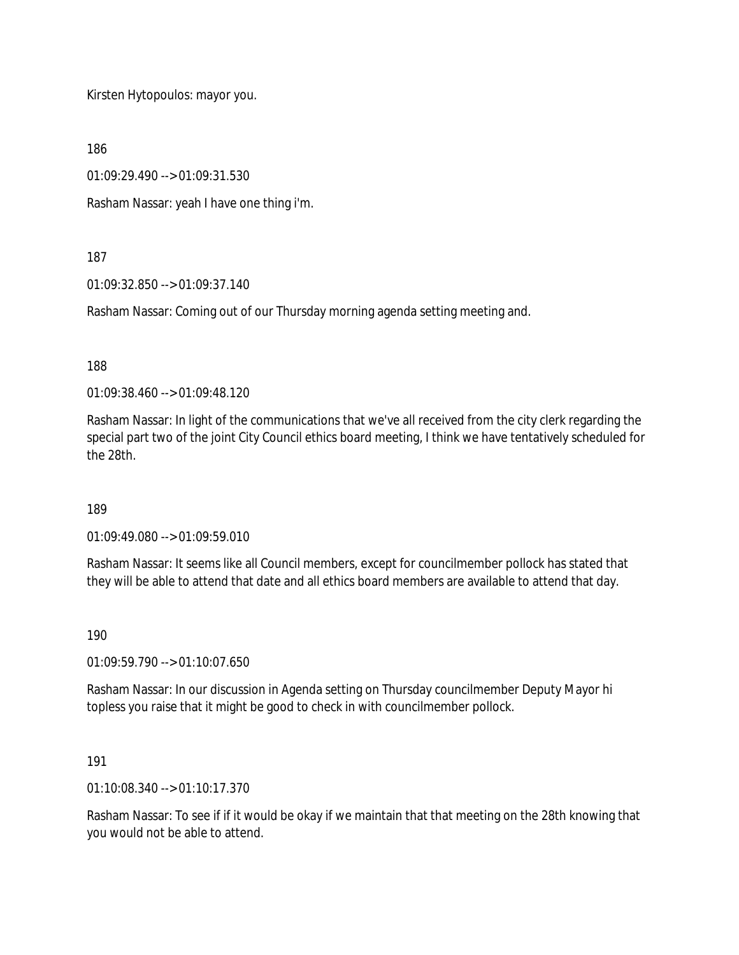Kirsten Hytopoulos: mayor you.

186

01:09:29.490 --> 01:09:31.530

Rasham Nassar: yeah I have one thing i'm.

187

01:09:32.850 --> 01:09:37.140

Rasham Nassar: Coming out of our Thursday morning agenda setting meeting and.

188

01:09:38.460 --> 01:09:48.120

Rasham Nassar: In light of the communications that we've all received from the city clerk regarding the special part two of the joint City Council ethics board meeting, I think we have tentatively scheduled for the 28th.

189

01:09:49.080 --> 01:09:59.010

Rasham Nassar: It seems like all Council members, except for councilmember pollock has stated that they will be able to attend that date and all ethics board members are available to attend that day.

190

01:09:59.790 --> 01:10:07.650

Rasham Nassar: In our discussion in Agenda setting on Thursday councilmember Deputy Mayor hi topless you raise that it might be good to check in with councilmember pollock.

191

01:10:08.340 --> 01:10:17.370

Rasham Nassar: To see if if it would be okay if we maintain that that meeting on the 28th knowing that you would not be able to attend.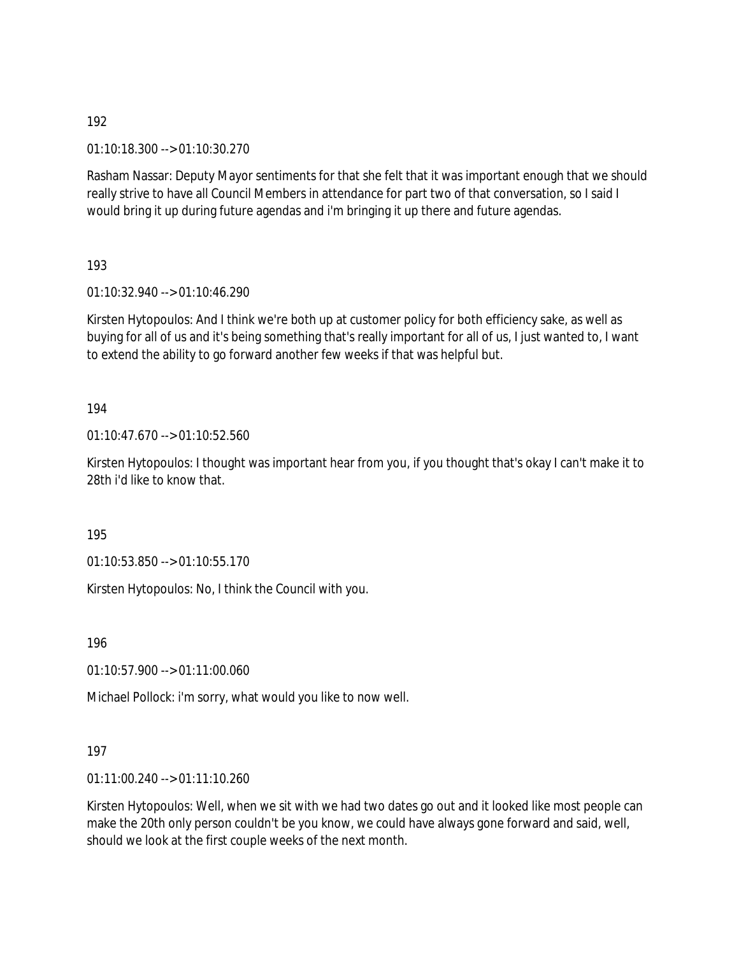01:10:18.300 --> 01:10:30.270

Rasham Nassar: Deputy Mayor sentiments for that she felt that it was important enough that we should really strive to have all Council Members in attendance for part two of that conversation, so I said I would bring it up during future agendas and i'm bringing it up there and future agendas.

193

01:10:32.940 --> 01:10:46.290

Kirsten Hytopoulos: And I think we're both up at customer policy for both efficiency sake, as well as buying for all of us and it's being something that's really important for all of us, I just wanted to, I want to extend the ability to go forward another few weeks if that was helpful but.

194

01:10:47.670 --> 01:10:52.560

Kirsten Hytopoulos: I thought was important hear from you, if you thought that's okay I can't make it to 28th i'd like to know that.

195

01:10:53.850 --> 01:10:55.170

Kirsten Hytopoulos: No, I think the Council with you.

196

01:10:57.900 --> 01:11:00.060

Michael Pollock: i'm sorry, what would you like to now well.

197

01:11:00.240 --> 01:11:10.260

Kirsten Hytopoulos: Well, when we sit with we had two dates go out and it looked like most people can make the 20th only person couldn't be you know, we could have always gone forward and said, well, should we look at the first couple weeks of the next month.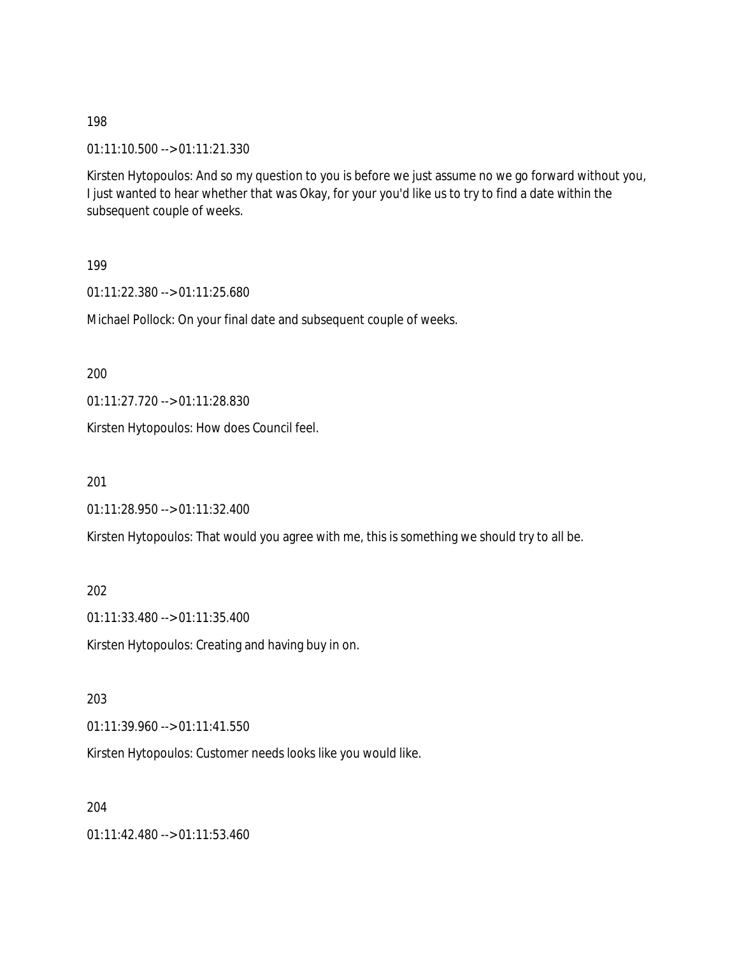01:11:10.500 --> 01:11:21.330

Kirsten Hytopoulos: And so my question to you is before we just assume no we go forward without you, I just wanted to hear whether that was Okay, for your you'd like us to try to find a date within the subsequent couple of weeks.

199

01:11:22.380 --> 01:11:25.680

Michael Pollock: On your final date and subsequent couple of weeks.

200

01:11:27.720 --> 01:11:28.830

Kirsten Hytopoulos: How does Council feel.

201

01:11:28.950 --> 01:11:32.400

Kirsten Hytopoulos: That would you agree with me, this is something we should try to all be.

202

01:11:33.480 --> 01:11:35.400

Kirsten Hytopoulos: Creating and having buy in on.

203

01:11:39.960 --> 01:11:41.550

Kirsten Hytopoulos: Customer needs looks like you would like.

204

01:11:42.480 --> 01:11:53.460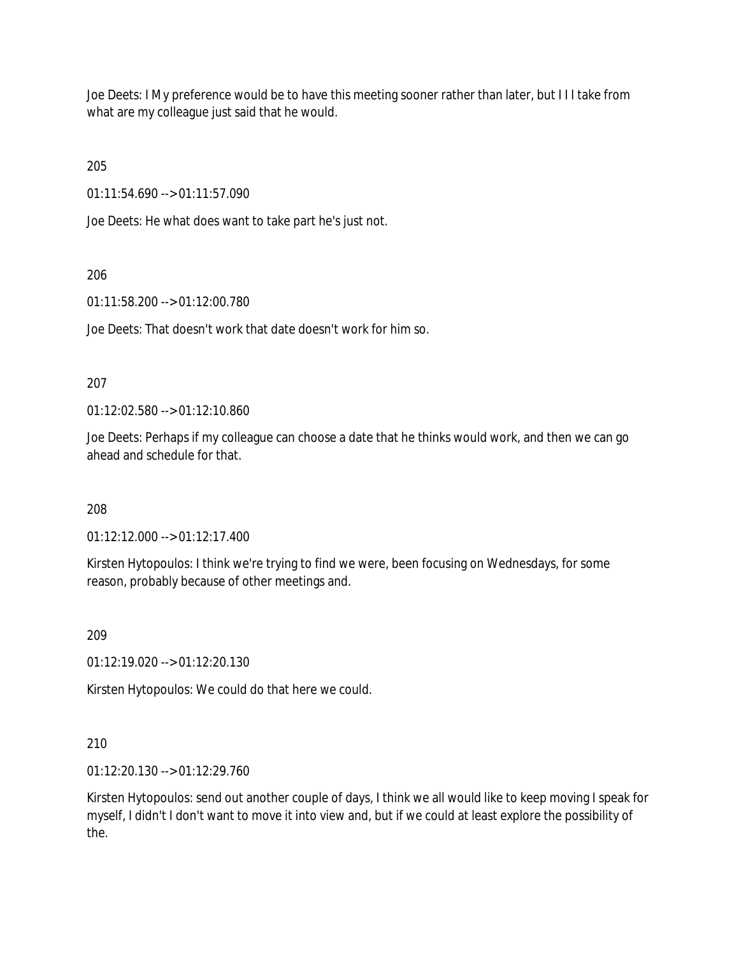Joe Deets: I My preference would be to have this meeting sooner rather than later, but I I I take from what are my colleague just said that he would.

205

01:11:54.690 --> 01:11:57.090

Joe Deets: He what does want to take part he's just not.

## 206

01:11:58.200 --> 01:12:00.780

Joe Deets: That doesn't work that date doesn't work for him so.

### 207

01:12:02.580 --> 01:12:10.860

Joe Deets: Perhaps if my colleague can choose a date that he thinks would work, and then we can go ahead and schedule for that.

### 208

01:12:12.000 --> 01:12:17.400

Kirsten Hytopoulos: I think we're trying to find we were, been focusing on Wednesdays, for some reason, probably because of other meetings and.

### 209

01:12:19.020 --> 01:12:20.130

Kirsten Hytopoulos: We could do that here we could.

## 210

01:12:20.130 --> 01:12:29.760

Kirsten Hytopoulos: send out another couple of days, I think we all would like to keep moving I speak for myself, I didn't I don't want to move it into view and, but if we could at least explore the possibility of the.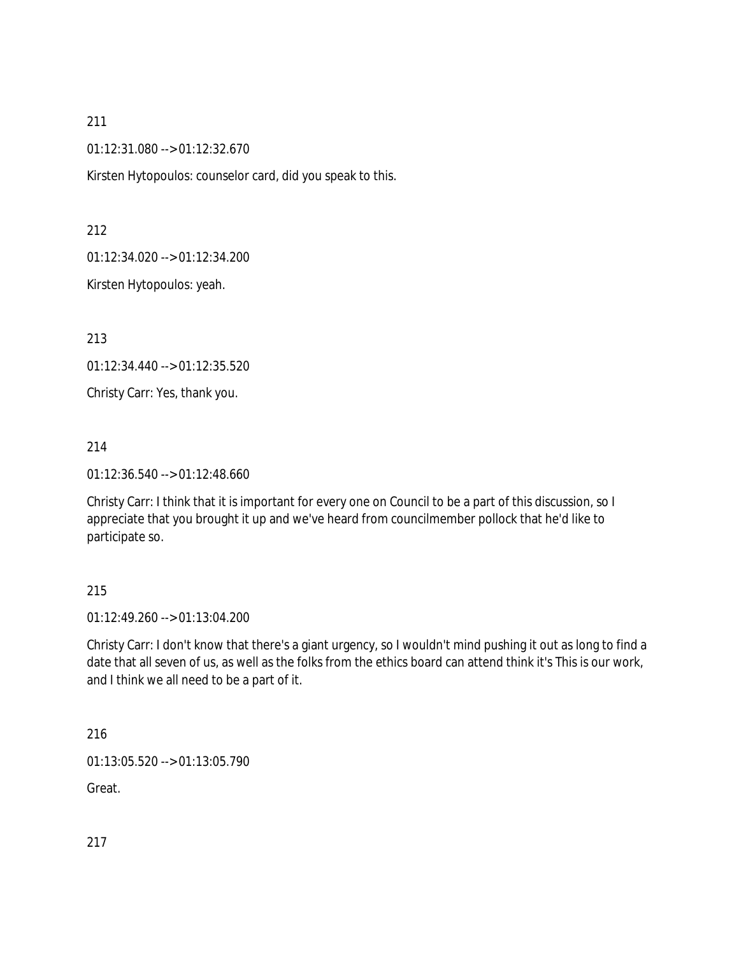01:12:31.080 --> 01:12:32.670

Kirsten Hytopoulos: counselor card, did you speak to this.

212

01:12:34.020 --> 01:12:34.200

Kirsten Hytopoulos: yeah.

213

01:12:34.440 --> 01:12:35.520

Christy Carr: Yes, thank you.

214

01:12:36.540 --> 01:12:48.660

Christy Carr: I think that it is important for every one on Council to be a part of this discussion, so I appreciate that you brought it up and we've heard from councilmember pollock that he'd like to participate so.

### 215

01:12:49.260 --> 01:13:04.200

Christy Carr: I don't know that there's a giant urgency, so I wouldn't mind pushing it out as long to find a date that all seven of us, as well as the folks from the ethics board can attend think it's This is our work, and I think we all need to be a part of it.

216

01:13:05.520 --> 01:13:05.790

Great.

217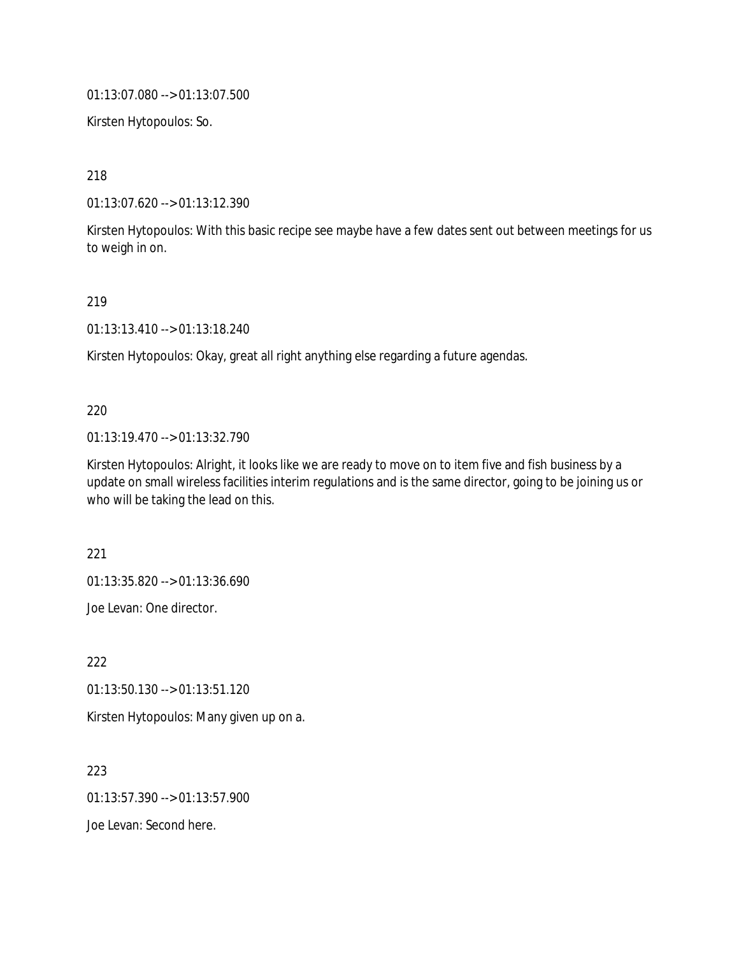01:13:07.080 --> 01:13:07.500

Kirsten Hytopoulos: So.

218

01:13:07.620 --> 01:13:12.390

Kirsten Hytopoulos: With this basic recipe see maybe have a few dates sent out between meetings for us to weigh in on.

219

01:13:13.410 --> 01:13:18.240

Kirsten Hytopoulos: Okay, great all right anything else regarding a future agendas.

### 220

01:13:19.470 --> 01:13:32.790

Kirsten Hytopoulos: Alright, it looks like we are ready to move on to item five and fish business by a update on small wireless facilities interim regulations and is the same director, going to be joining us or who will be taking the lead on this.

221

01:13:35.820 --> 01:13:36.690

Joe Levan: One director.

222 01:13:50.130 --> 01:13:51.120 Kirsten Hytopoulos: Many given up on a.

223 01:13:57.390 --> 01:13:57.900 Joe Levan: Second here.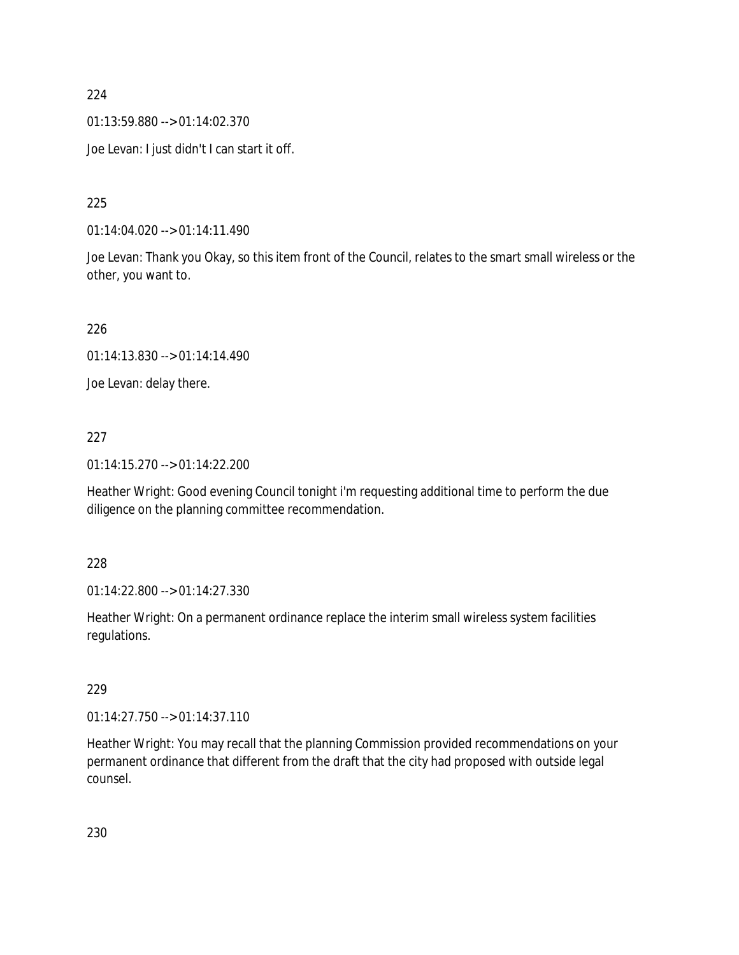01:13:59.880 --> 01:14:02.370

Joe Levan: I just didn't I can start it off.

225

01:14:04.020 --> 01:14:11.490

Joe Levan: Thank you Okay, so this item front of the Council, relates to the smart small wireless or the other, you want to.

226

01:14:13.830 --> 01:14:14.490

Joe Levan: delay there.

## 227

01:14:15.270 --> 01:14:22.200

Heather Wright: Good evening Council tonight i'm requesting additional time to perform the due diligence on the planning committee recommendation.

228

01:14:22.800 --> 01:14:27.330

Heather Wright: On a permanent ordinance replace the interim small wireless system facilities regulations.

229

01:14:27.750 --> 01:14:37.110

Heather Wright: You may recall that the planning Commission provided recommendations on your permanent ordinance that different from the draft that the city had proposed with outside legal counsel.

230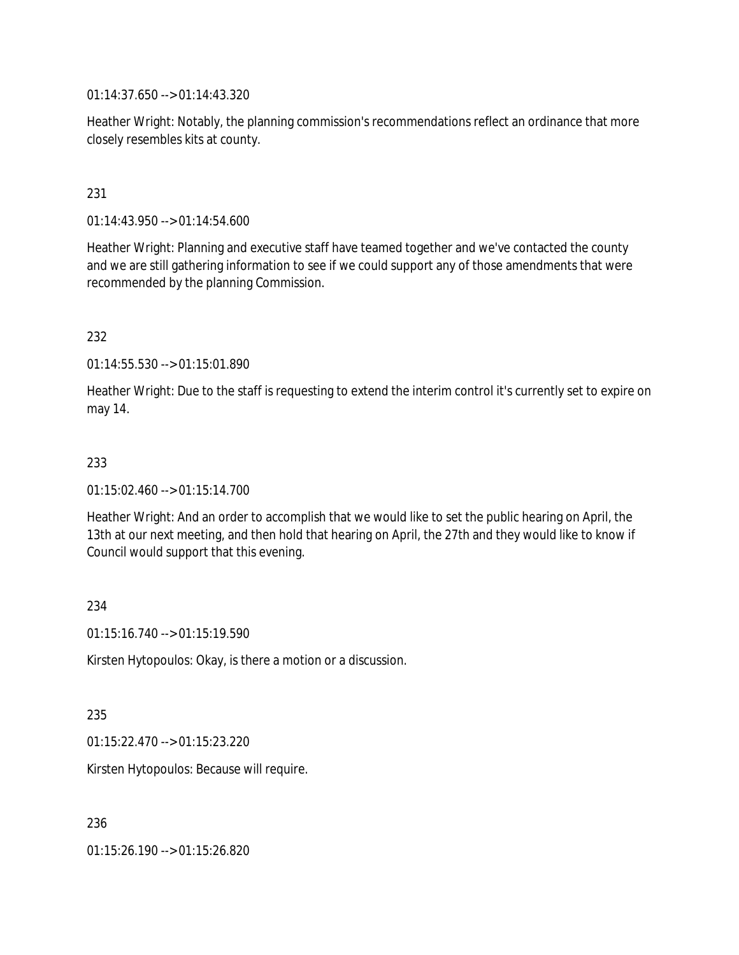01:14:37.650 --> 01:14:43.320

Heather Wright: Notably, the planning commission's recommendations reflect an ordinance that more closely resembles kits at county.

### 231

01:14:43.950 --> 01:14:54.600

Heather Wright: Planning and executive staff have teamed together and we've contacted the county and we are still gathering information to see if we could support any of those amendments that were recommended by the planning Commission.

#### 232

01:14:55.530 --> 01:15:01.890

Heather Wright: Due to the staff is requesting to extend the interim control it's currently set to expire on may 14.

#### 233

01:15:02.460 --> 01:15:14.700

Heather Wright: And an order to accomplish that we would like to set the public hearing on April, the 13th at our next meeting, and then hold that hearing on April, the 27th and they would like to know if Council would support that this evening.

#### 234

01:15:16.740 --> 01:15:19.590

Kirsten Hytopoulos: Okay, is there a motion or a discussion.

#### 235

01:15:22.470 --> 01:15:23.220

Kirsten Hytopoulos: Because will require.

## 236

01:15:26.190 --> 01:15:26.820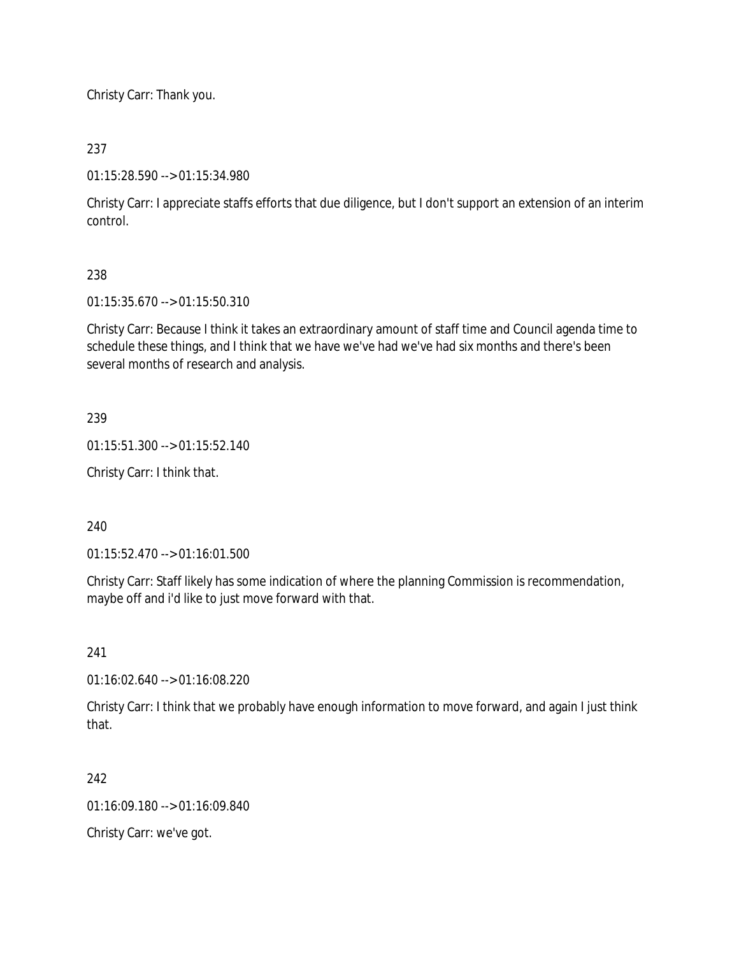Christy Carr: Thank you.

## 237

01:15:28.590 --> 01:15:34.980

Christy Carr: I appreciate staffs efforts that due diligence, but I don't support an extension of an interim control.

# 238

01:15:35.670 --> 01:15:50.310

Christy Carr: Because I think it takes an extraordinary amount of staff time and Council agenda time to schedule these things, and I think that we have we've had we've had six months and there's been several months of research and analysis.

## 239

01:15:51.300 --> 01:15:52.140

Christy Carr: I think that.

## 240

01:15:52.470 --> 01:16:01.500

Christy Carr: Staff likely has some indication of where the planning Commission is recommendation, maybe off and i'd like to just move forward with that.

## 241

01:16:02.640 --> 01:16:08.220

Christy Carr: I think that we probably have enough information to move forward, and again I just think that.

## 242

01:16:09.180 --> 01:16:09.840

Christy Carr: we've got.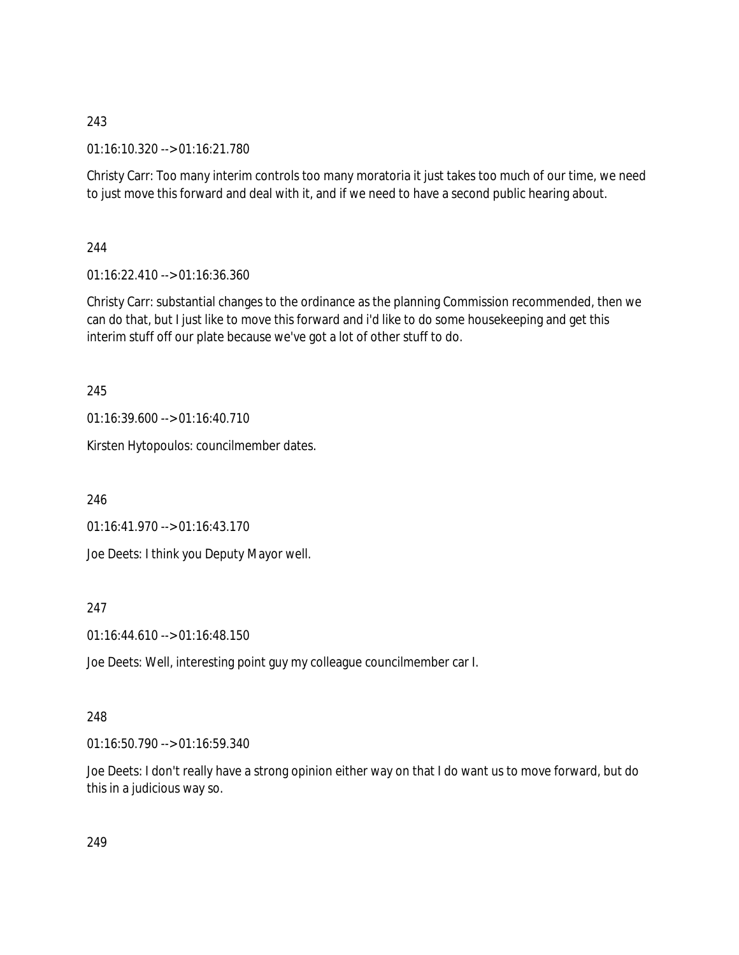01:16:10.320 --> 01:16:21.780

Christy Carr: Too many interim controls too many moratoria it just takes too much of our time, we need to just move this forward and deal with it, and if we need to have a second public hearing about.

244

01:16:22.410 --> 01:16:36.360

Christy Carr: substantial changes to the ordinance as the planning Commission recommended, then we can do that, but I just like to move this forward and i'd like to do some housekeeping and get this interim stuff off our plate because we've got a lot of other stuff to do.

245

01:16:39.600 --> 01:16:40.710

Kirsten Hytopoulos: councilmember dates.

246

01:16:41.970 --> 01:16:43.170

Joe Deets: I think you Deputy Mayor well.

247

01:16:44.610 --> 01:16:48.150

Joe Deets: Well, interesting point guy my colleague councilmember car I.

# 248

01:16:50.790 --> 01:16:59.340

Joe Deets: I don't really have a strong opinion either way on that I do want us to move forward, but do this in a judicious way so.

249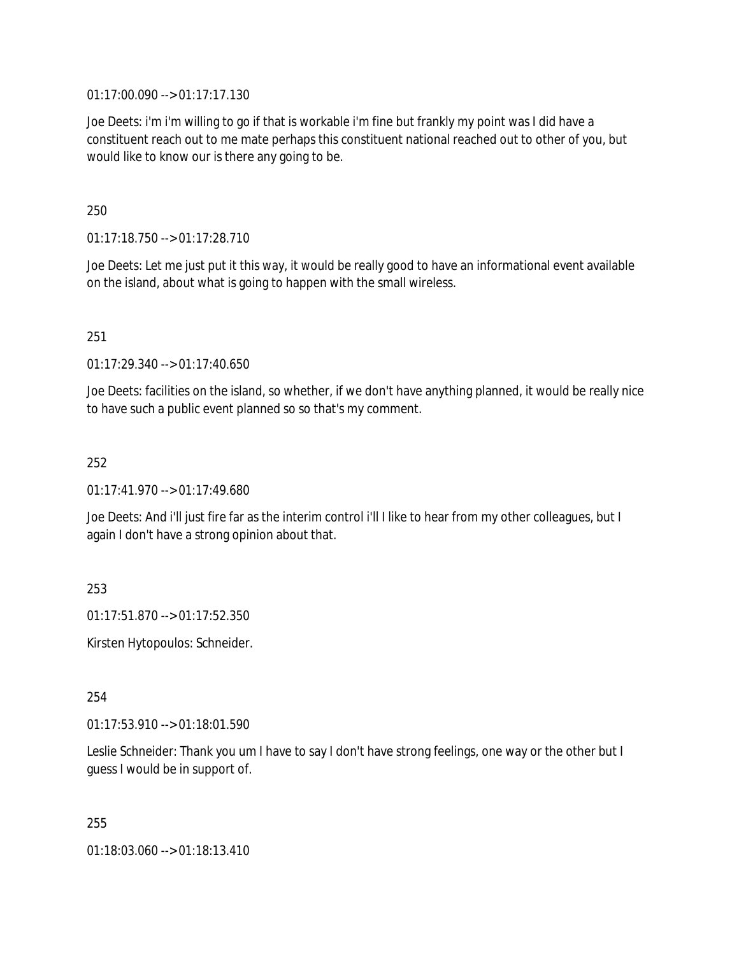01:17:00.090 --> 01:17:17.130

Joe Deets: i'm i'm willing to go if that is workable i'm fine but frankly my point was I did have a constituent reach out to me mate perhaps this constituent national reached out to other of you, but would like to know our is there any going to be.

250

01:17:18.750 --> 01:17:28.710

Joe Deets: Let me just put it this way, it would be really good to have an informational event available on the island, about what is going to happen with the small wireless.

251

01:17:29.340 --> 01:17:40.650

Joe Deets: facilities on the island, so whether, if we don't have anything planned, it would be really nice to have such a public event planned so so that's my comment.

252

01:17:41.970 --> 01:17:49.680

Joe Deets: And i'll just fire far as the interim control i'll I like to hear from my other colleagues, but I again I don't have a strong opinion about that.

253

01:17:51.870 --> 01:17:52.350

Kirsten Hytopoulos: Schneider.

254

01:17:53.910 --> 01:18:01.590

Leslie Schneider: Thank you um I have to say I don't have strong feelings, one way or the other but I guess I would be in support of.

255

01:18:03.060 --> 01:18:13.410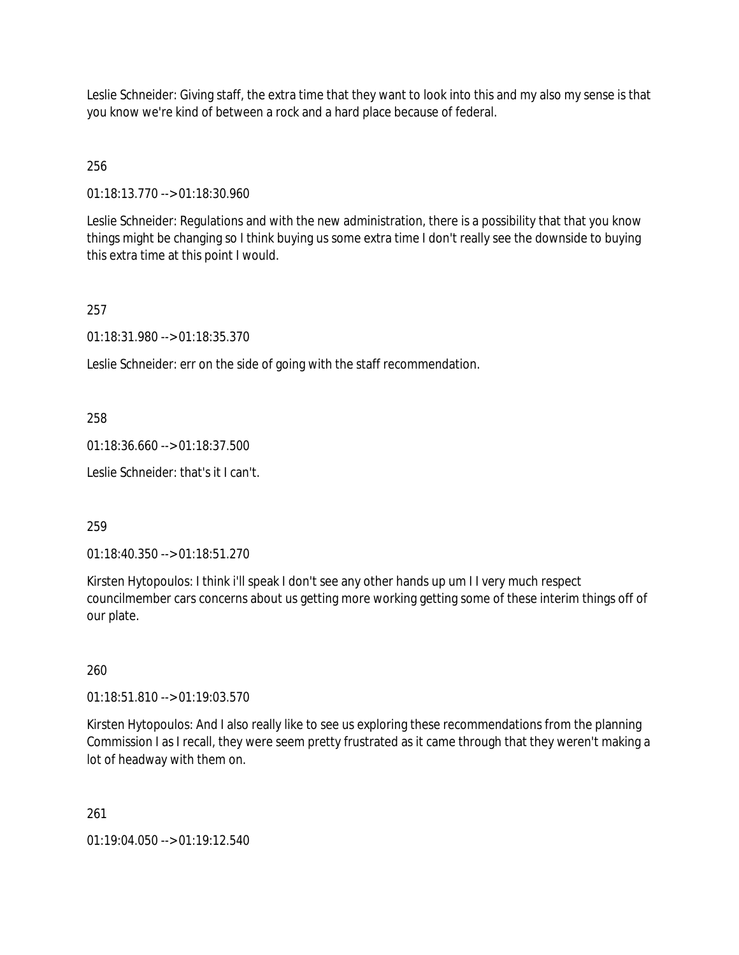Leslie Schneider: Giving staff, the extra time that they want to look into this and my also my sense is that you know we're kind of between a rock and a hard place because of federal.

# 256

01:18:13.770 --> 01:18:30.960

Leslie Schneider: Regulations and with the new administration, there is a possibility that that you know things might be changing so I think buying us some extra time I don't really see the downside to buying this extra time at this point I would.

### 257

01:18:31.980 --> 01:18:35.370

Leslie Schneider: err on the side of going with the staff recommendation.

### 258

01:18:36.660 --> 01:18:37.500

Leslie Schneider: that's it I can't.

## 259

01:18:40.350 --> 01:18:51.270

Kirsten Hytopoulos: I think i'll speak I don't see any other hands up um I I very much respect councilmember cars concerns about us getting more working getting some of these interim things off of our plate.

#### 260

01:18:51.810 --> 01:19:03.570

Kirsten Hytopoulos: And I also really like to see us exploring these recommendations from the planning Commission I as I recall, they were seem pretty frustrated as it came through that they weren't making a lot of headway with them on.

## 261

01:19:04.050 --> 01:19:12.540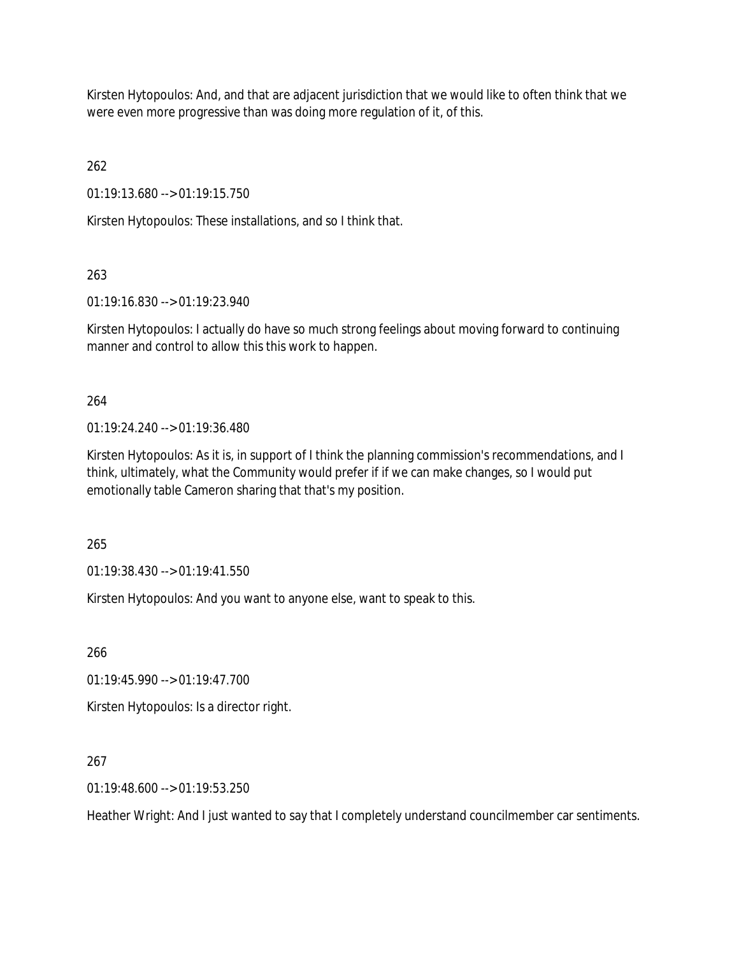Kirsten Hytopoulos: And, and that are adjacent jurisdiction that we would like to often think that we were even more progressive than was doing more regulation of it, of this.

262

01:19:13.680 --> 01:19:15.750

Kirsten Hytopoulos: These installations, and so I think that.

263

01:19:16.830 --> 01:19:23.940

Kirsten Hytopoulos: I actually do have so much strong feelings about moving forward to continuing manner and control to allow this this work to happen.

264

01:19:24.240 --> 01:19:36.480

Kirsten Hytopoulos: As it is, in support of I think the planning commission's recommendations, and I think, ultimately, what the Community would prefer if if we can make changes, so I would put emotionally table Cameron sharing that that's my position.

265

01:19:38.430 --> 01:19:41.550

Kirsten Hytopoulos: And you want to anyone else, want to speak to this.

266

01:19:45.990 --> 01:19:47.700

Kirsten Hytopoulos: Is a director right.

267

01:19:48.600 --> 01:19:53.250

Heather Wright: And I just wanted to say that I completely understand councilmember car sentiments.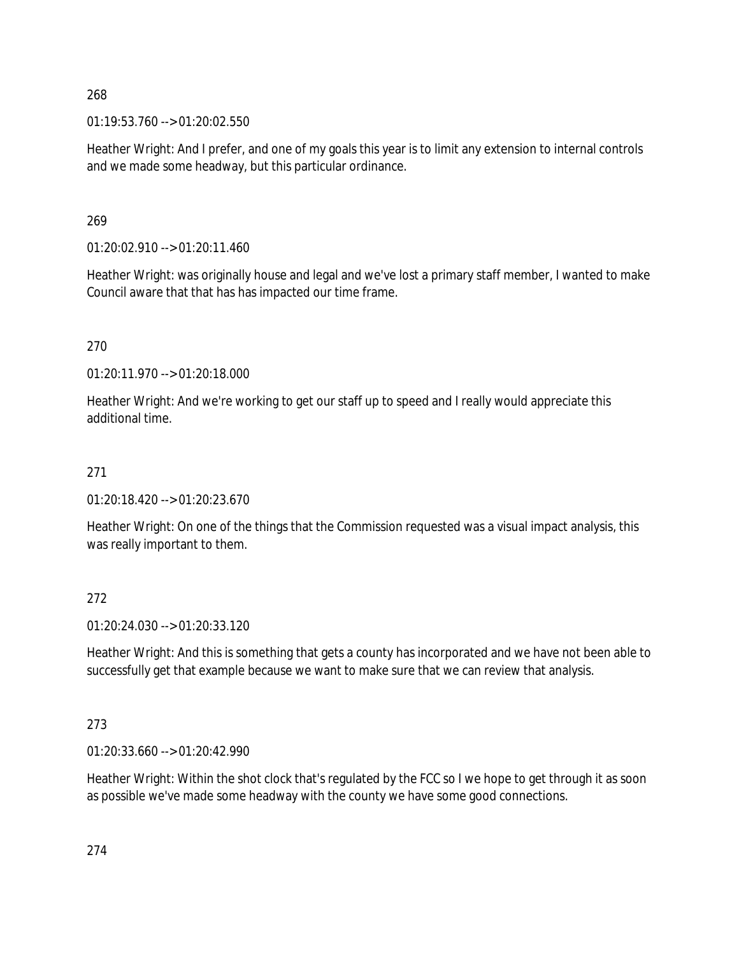$01:19:53.760 \rightarrow 01:20:02.550$ 

Heather Wright: And I prefer, and one of my goals this year is to limit any extension to internal controls and we made some headway, but this particular ordinance.

269

01:20:02.910 --> 01:20:11.460

Heather Wright: was originally house and legal and we've lost a primary staff member, I wanted to make Council aware that that has has impacted our time frame.

270

01:20:11.970 --> 01:20:18.000

Heather Wright: And we're working to get our staff up to speed and I really would appreciate this additional time.

#### 271

01:20:18.420 --> 01:20:23.670

Heather Wright: On one of the things that the Commission requested was a visual impact analysis, this was really important to them.

#### 272

01:20:24.030 --> 01:20:33.120

Heather Wright: And this is something that gets a county has incorporated and we have not been able to successfully get that example because we want to make sure that we can review that analysis.

273

01:20:33.660 --> 01:20:42.990

Heather Wright: Within the shot clock that's regulated by the FCC so I we hope to get through it as soon as possible we've made some headway with the county we have some good connections.

274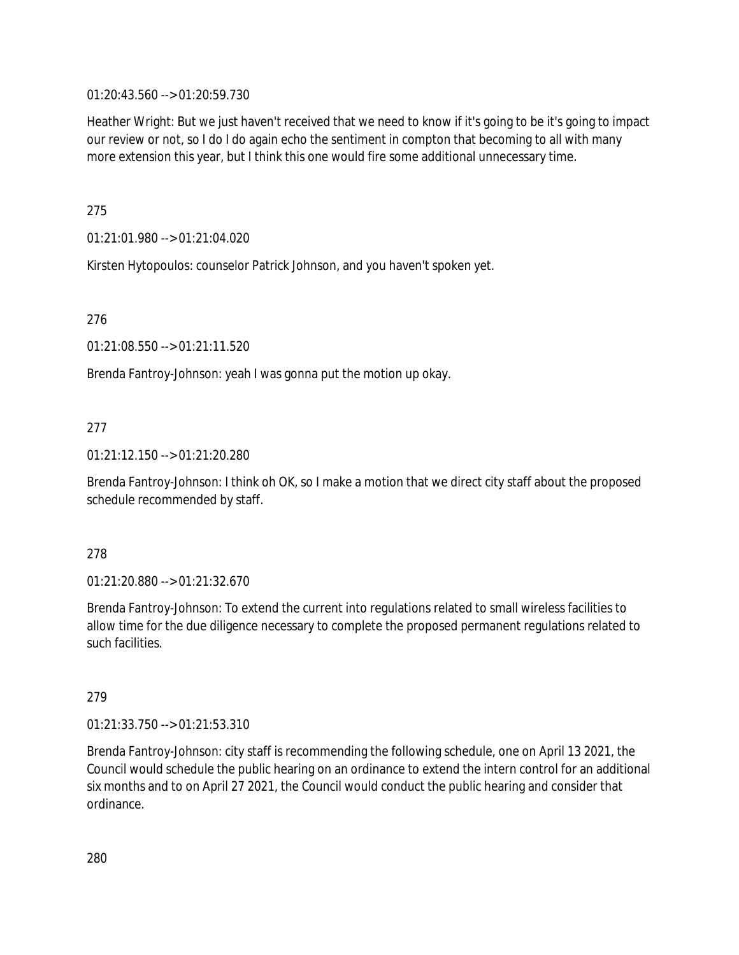01:20:43.560 --> 01:20:59.730

Heather Wright: But we just haven't received that we need to know if it's going to be it's going to impact our review or not, so I do I do again echo the sentiment in compton that becoming to all with many more extension this year, but I think this one would fire some additional unnecessary time.

275

01:21:01.980 --> 01:21:04.020

Kirsten Hytopoulos: counselor Patrick Johnson, and you haven't spoken yet.

276

01:21:08.550 --> 01:21:11.520

Brenda Fantroy-Johnson: yeah I was gonna put the motion up okay.

### 277

01:21:12.150 --> 01:21:20.280

Brenda Fantroy-Johnson: I think oh OK, so I make a motion that we direct city staff about the proposed schedule recommended by staff.

#### 278

01:21:20.880 --> 01:21:32.670

Brenda Fantroy-Johnson: To extend the current into regulations related to small wireless facilities to allow time for the due diligence necessary to complete the proposed permanent regulations related to such facilities.

#### 279

01:21:33.750 --> 01:21:53.310

Brenda Fantroy-Johnson: city staff is recommending the following schedule, one on April 13 2021, the Council would schedule the public hearing on an ordinance to extend the intern control for an additional six months and to on April 27 2021, the Council would conduct the public hearing and consider that ordinance.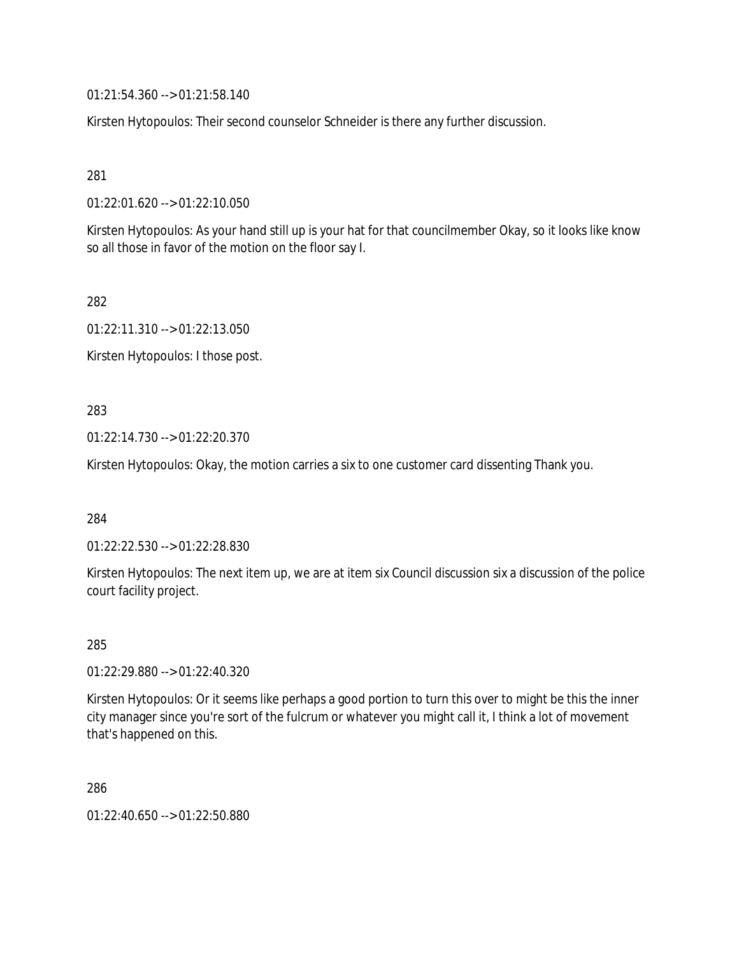01:21:54.360 --> 01:21:58.140

Kirsten Hytopoulos: Their second counselor Schneider is there any further discussion.

281

01:22:01.620 --> 01:22:10.050

Kirsten Hytopoulos: As your hand still up is your hat for that councilmember Okay, so it looks like know so all those in favor of the motion on the floor say I.

282

01:22:11.310 --> 01:22:13.050

Kirsten Hytopoulos: I those post.

283

01:22:14.730 --> 01:22:20.370

Kirsten Hytopoulos: Okay, the motion carries a six to one customer card dissenting Thank you.

284

01:22:22.530 --> 01:22:28.830

Kirsten Hytopoulos: The next item up, we are at item six Council discussion six a discussion of the police court facility project.

285

01:22:29.880 --> 01:22:40.320

Kirsten Hytopoulos: Or it seems like perhaps a good portion to turn this over to might be this the inner city manager since you're sort of the fulcrum or whatever you might call it, I think a lot of movement that's happened on this.

286

01:22:40.650 --> 01:22:50.880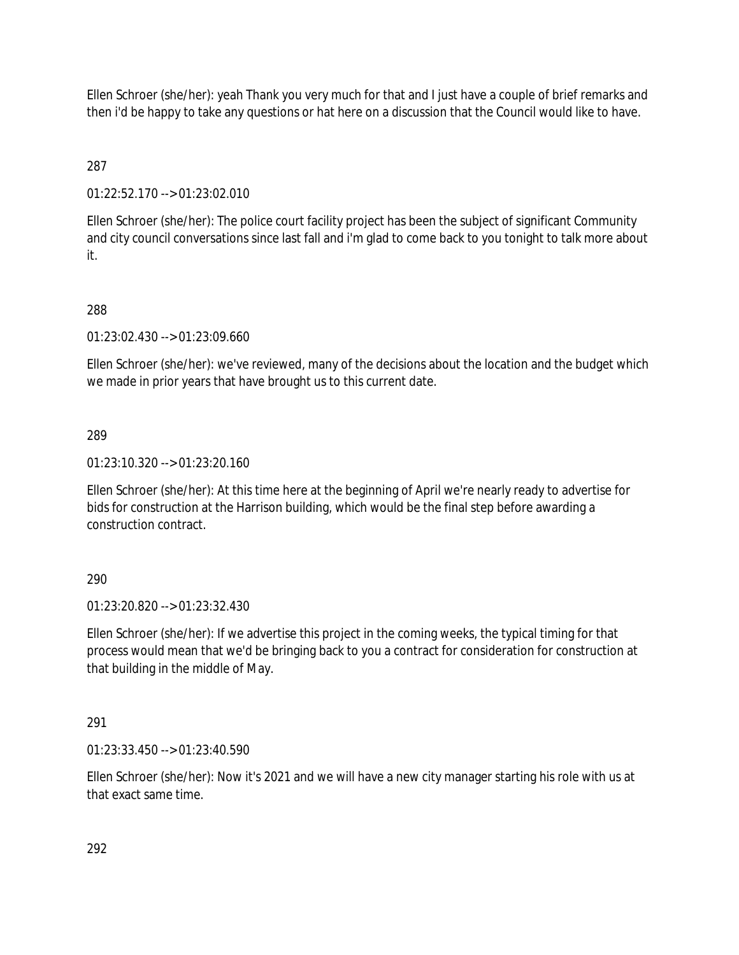Ellen Schroer (she/her): yeah Thank you very much for that and I just have a couple of brief remarks and then i'd be happy to take any questions or hat here on a discussion that the Council would like to have.

# 287

01:22:52.170 --> 01:23:02.010

Ellen Schroer (she/her): The police court facility project has been the subject of significant Community and city council conversations since last fall and i'm glad to come back to you tonight to talk more about it.

# 288

01:23:02.430 --> 01:23:09.660

Ellen Schroer (she/her): we've reviewed, many of the decisions about the location and the budget which we made in prior years that have brought us to this current date.

## 289

01:23:10.320 --> 01:23:20.160

Ellen Schroer (she/her): At this time here at the beginning of April we're nearly ready to advertise for bids for construction at the Harrison building, which would be the final step before awarding a construction contract.

## 290

01:23:20.820 --> 01:23:32.430

Ellen Schroer (she/her): If we advertise this project in the coming weeks, the typical timing for that process would mean that we'd be bringing back to you a contract for consideration for construction at that building in the middle of May.

## 291

01:23:33.450 --> 01:23:40.590

Ellen Schroer (she/her): Now it's 2021 and we will have a new city manager starting his role with us at that exact same time.

292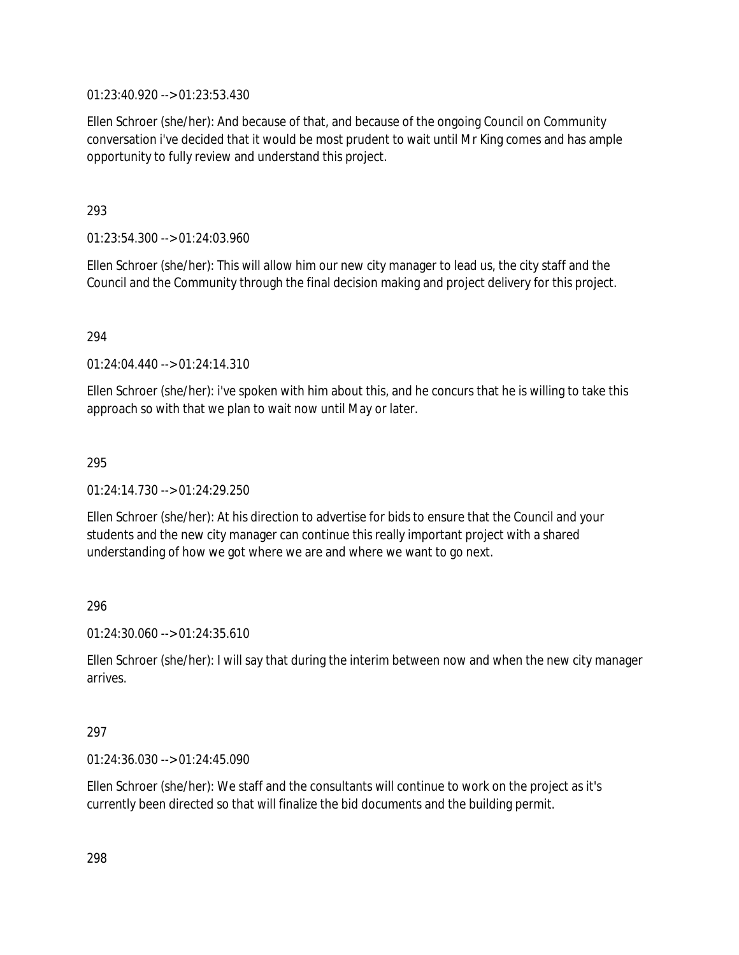01:23:40.920 --> 01:23:53.430

Ellen Schroer (she/her): And because of that, and because of the ongoing Council on Community conversation i've decided that it would be most prudent to wait until Mr King comes and has ample opportunity to fully review and understand this project.

293

01:23:54.300 --> 01:24:03.960

Ellen Schroer (she/her): This will allow him our new city manager to lead us, the city staff and the Council and the Community through the final decision making and project delivery for this project.

294

01:24:04.440 --> 01:24:14.310

Ellen Schroer (she/her): i've spoken with him about this, and he concurs that he is willing to take this approach so with that we plan to wait now until May or later.

295

01:24:14.730 --> 01:24:29.250

Ellen Schroer (she/her): At his direction to advertise for bids to ensure that the Council and your students and the new city manager can continue this really important project with a shared understanding of how we got where we are and where we want to go next.

296

01:24:30.060 --> 01:24:35.610

Ellen Schroer (she/her): I will say that during the interim between now and when the new city manager arrives.

#### 297

01:24:36.030 --> 01:24:45.090

Ellen Schroer (she/her): We staff and the consultants will continue to work on the project as it's currently been directed so that will finalize the bid documents and the building permit.

298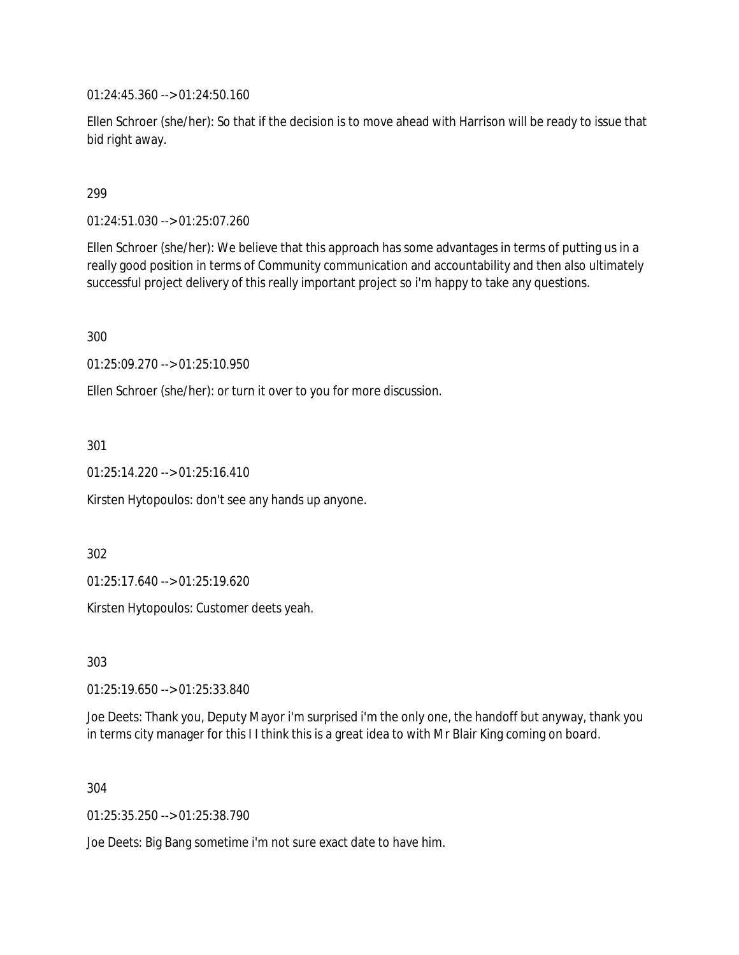01:24:45.360 --> 01:24:50.160

Ellen Schroer (she/her): So that if the decision is to move ahead with Harrison will be ready to issue that bid right away.

299

01:24:51.030 --> 01:25:07.260

Ellen Schroer (she/her): We believe that this approach has some advantages in terms of putting us in a really good position in terms of Community communication and accountability and then also ultimately successful project delivery of this really important project so i'm happy to take any questions.

300

01:25:09.270 --> 01:25:10.950

Ellen Schroer (she/her): or turn it over to you for more discussion.

301

01:25:14.220 --> 01:25:16.410

Kirsten Hytopoulos: don't see any hands up anyone.

302

01:25:17.640 --> 01:25:19.620

Kirsten Hytopoulos: Customer deets yeah.

303

01:25:19.650 --> 01:25:33.840

Joe Deets: Thank you, Deputy Mayor i'm surprised i'm the only one, the handoff but anyway, thank you in terms city manager for this I I think this is a great idea to with Mr Blair King coming on board.

304

01:25:35.250 --> 01:25:38.790

Joe Deets: Big Bang sometime i'm not sure exact date to have him.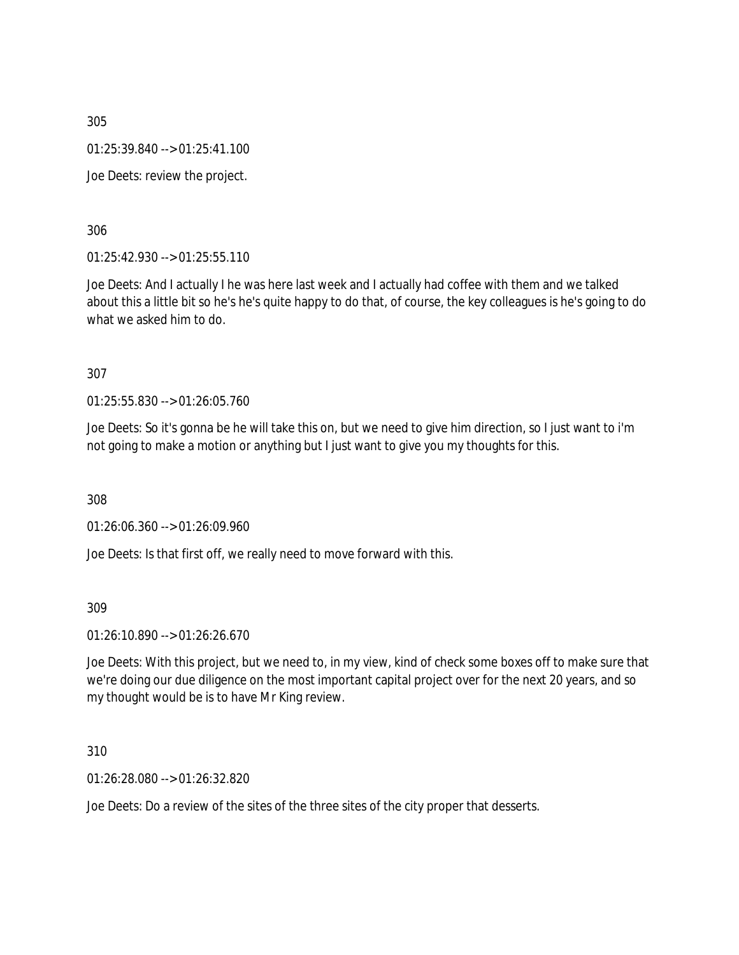01:25:39.840 --> 01:25:41.100

Joe Deets: review the project.

306

01:25:42.930 --> 01:25:55.110

Joe Deets: And I actually I he was here last week and I actually had coffee with them and we talked about this a little bit so he's he's quite happy to do that, of course, the key colleagues is he's going to do what we asked him to do.

307

01:25:55.830 --> 01:26:05.760

Joe Deets: So it's gonna be he will take this on, but we need to give him direction, so I just want to i'm not going to make a motion or anything but I just want to give you my thoughts for this.

308

01:26:06.360 --> 01:26:09.960

Joe Deets: Is that first off, we really need to move forward with this.

309

01:26:10.890 --> 01:26:26.670

Joe Deets: With this project, but we need to, in my view, kind of check some boxes off to make sure that we're doing our due diligence on the most important capital project over for the next 20 years, and so my thought would be is to have Mr King review.

310

01:26:28.080 --> 01:26:32.820

Joe Deets: Do a review of the sites of the three sites of the city proper that desserts.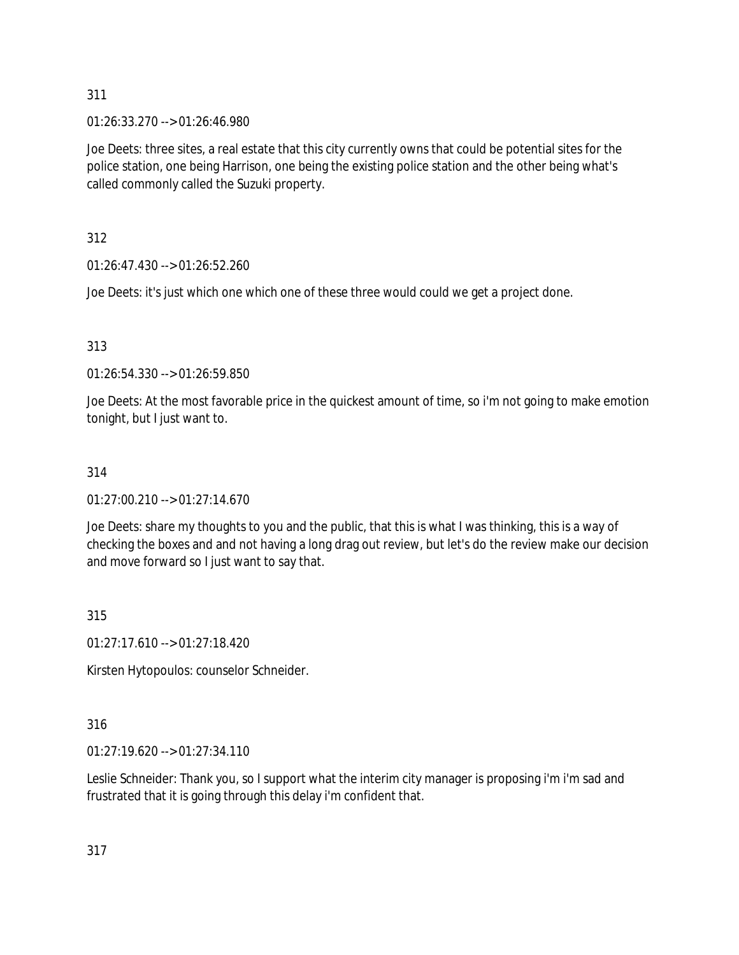01:26:33.270 --> 01:26:46.980

Joe Deets: three sites, a real estate that this city currently owns that could be potential sites for the police station, one being Harrison, one being the existing police station and the other being what's called commonly called the Suzuki property.

312

01:26:47.430 --> 01:26:52.260

Joe Deets: it's just which one which one of these three would could we get a project done.

313

01:26:54.330 --> 01:26:59.850

Joe Deets: At the most favorable price in the quickest amount of time, so i'm not going to make emotion tonight, but I just want to.

## 314

 $01:27:00.210 \rightarrow 01:27:14.670$ 

Joe Deets: share my thoughts to you and the public, that this is what I was thinking, this is a way of checking the boxes and and not having a long drag out review, but let's do the review make our decision and move forward so I just want to say that.

315

01:27:17.610 --> 01:27:18.420

Kirsten Hytopoulos: counselor Schneider.

316

01:27:19.620 --> 01:27:34.110

Leslie Schneider: Thank you, so I support what the interim city manager is proposing i'm i'm sad and frustrated that it is going through this delay i'm confident that.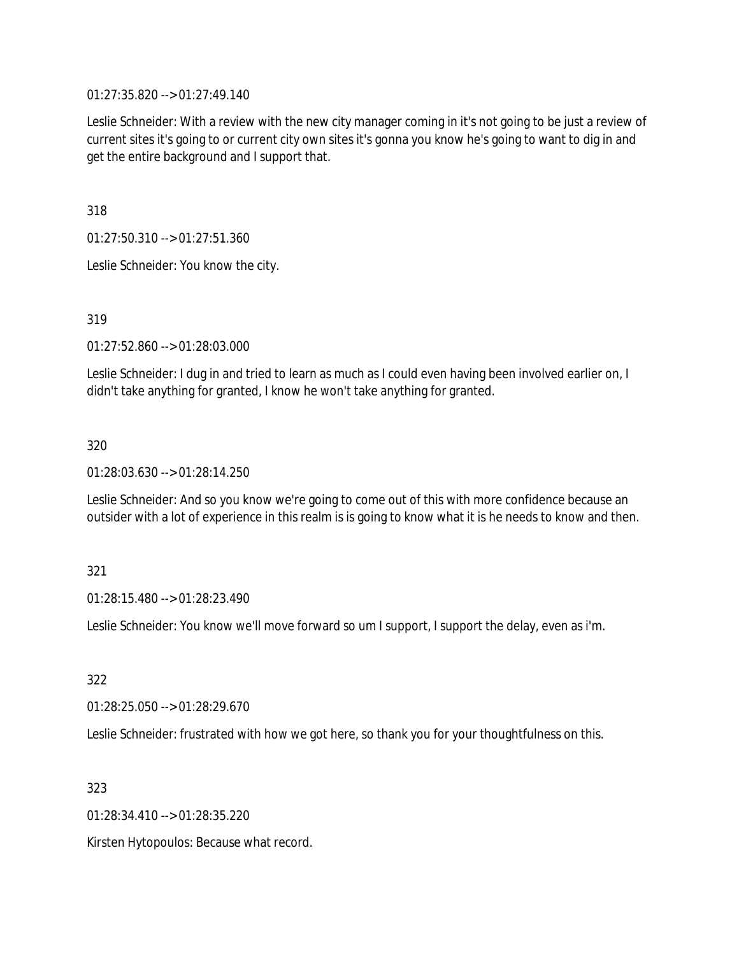01:27:35.820 --> 01:27:49.140

Leslie Schneider: With a review with the new city manager coming in it's not going to be just a review of current sites it's going to or current city own sites it's gonna you know he's going to want to dig in and get the entire background and I support that.

318

01:27:50.310 --> 01:27:51.360

Leslie Schneider: You know the city.

319

01:27:52.860 --> 01:28:03.000

Leslie Schneider: I dug in and tried to learn as much as I could even having been involved earlier on, I didn't take anything for granted, I know he won't take anything for granted.

320

01:28:03.630 --> 01:28:14.250

Leslie Schneider: And so you know we're going to come out of this with more confidence because an outsider with a lot of experience in this realm is is going to know what it is he needs to know and then.

321

01:28:15.480 --> 01:28:23.490

Leslie Schneider: You know we'll move forward so um I support, I support the delay, even as i'm.

322

01:28:25.050 --> 01:28:29.670

Leslie Schneider: frustrated with how we got here, so thank you for your thoughtfulness on this.

323

01:28:34.410 --> 01:28:35.220

Kirsten Hytopoulos: Because what record.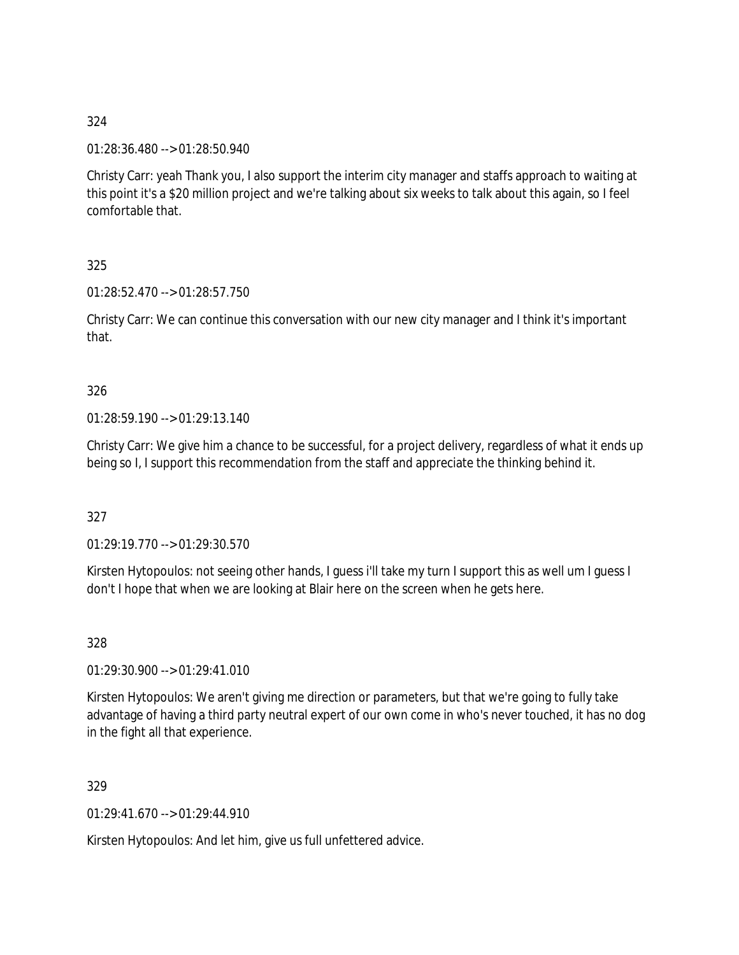01:28:36.480 --> 01:28:50.940

Christy Carr: yeah Thank you, I also support the interim city manager and staffs approach to waiting at this point it's a \$20 million project and we're talking about six weeks to talk about this again, so I feel comfortable that.

325

01:28:52.470 --> 01:28:57.750

Christy Carr: We can continue this conversation with our new city manager and I think it's important that.

### 326

01:28:59.190 --> 01:29:13.140

Christy Carr: We give him a chance to be successful, for a project delivery, regardless of what it ends up being so I, I support this recommendation from the staff and appreciate the thinking behind it.

327

01:29:19.770 --> 01:29:30.570

Kirsten Hytopoulos: not seeing other hands, I guess i'll take my turn I support this as well um I guess I don't I hope that when we are looking at Blair here on the screen when he gets here.

328

01:29:30.900 --> 01:29:41.010

Kirsten Hytopoulos: We aren't giving me direction or parameters, but that we're going to fully take advantage of having a third party neutral expert of our own come in who's never touched, it has no dog in the fight all that experience.

329

01:29:41.670 --> 01:29:44.910

Kirsten Hytopoulos: And let him, give us full unfettered advice.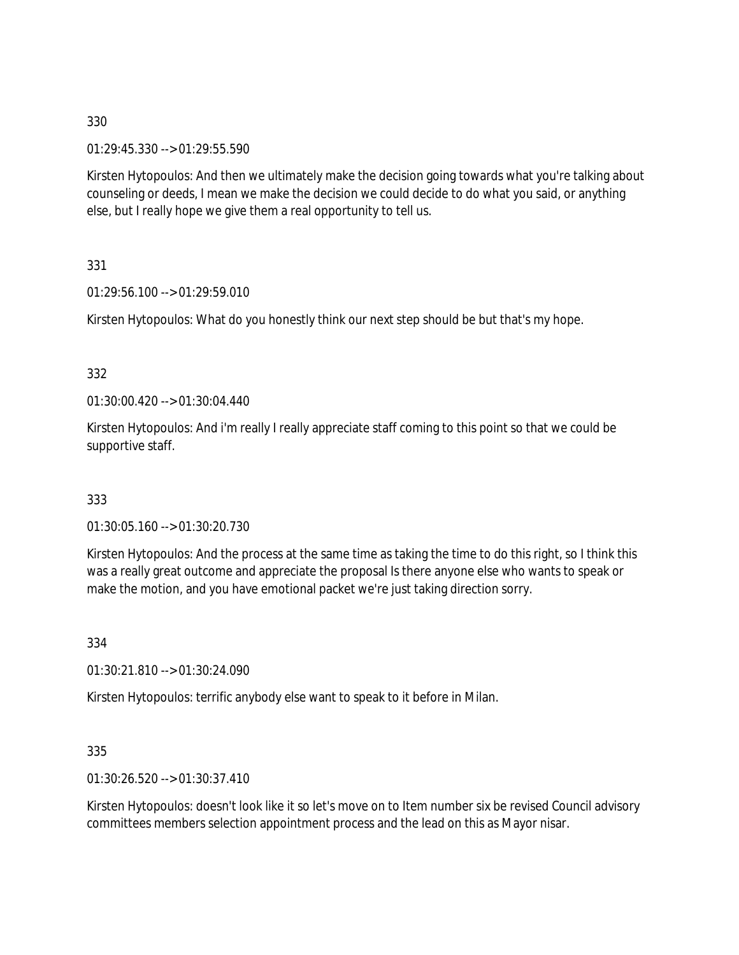01:29:45.330 --> 01:29:55.590

Kirsten Hytopoulos: And then we ultimately make the decision going towards what you're talking about counseling or deeds, I mean we make the decision we could decide to do what you said, or anything else, but I really hope we give them a real opportunity to tell us.

331

01:29:56.100 --> 01:29:59.010

Kirsten Hytopoulos: What do you honestly think our next step should be but that's my hope.

332

01:30:00.420 --> 01:30:04.440

Kirsten Hytopoulos: And i'm really I really appreciate staff coming to this point so that we could be supportive staff.

333

01:30:05.160 --> 01:30:20.730

Kirsten Hytopoulos: And the process at the same time as taking the time to do this right, so I think this was a really great outcome and appreciate the proposal Is there anyone else who wants to speak or make the motion, and you have emotional packet we're just taking direction sorry.

334

01:30:21.810 --> 01:30:24.090

Kirsten Hytopoulos: terrific anybody else want to speak to it before in Milan.

335

01:30:26.520 --> 01:30:37.410

Kirsten Hytopoulos: doesn't look like it so let's move on to Item number six be revised Council advisory committees members selection appointment process and the lead on this as Mayor nisar.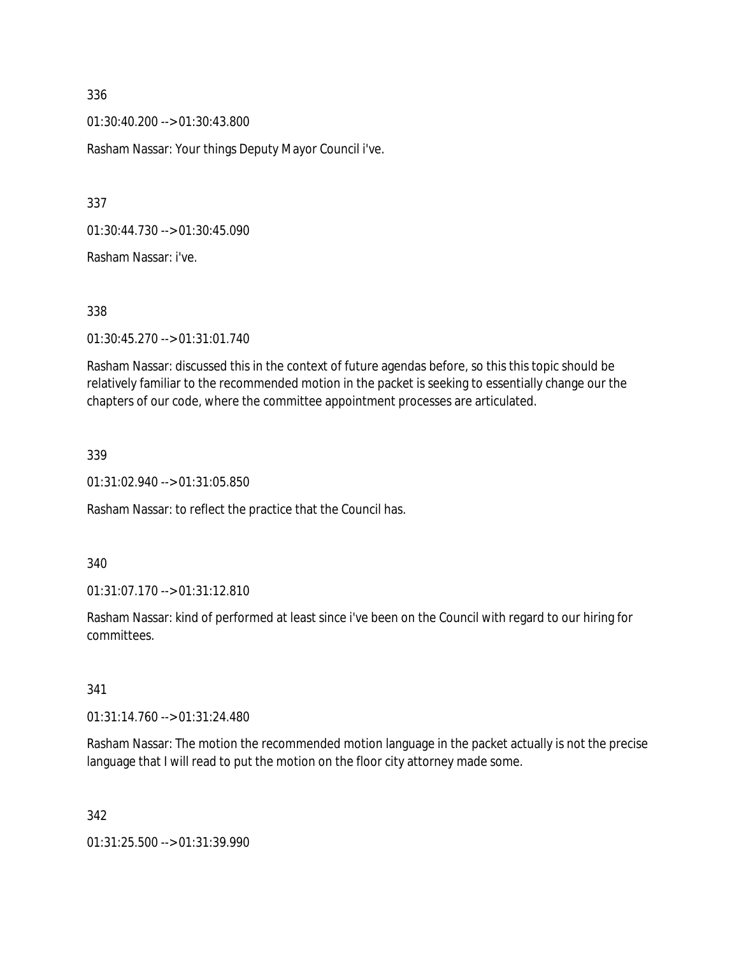01:30:40.200 --> 01:30:43.800

Rasham Nassar: Your things Deputy Mayor Council i've.

337

01:30:44.730 --> 01:30:45.090

Rasham Nassar: i've.

338

01:30:45.270 --> 01:31:01.740

Rasham Nassar: discussed this in the context of future agendas before, so this this topic should be relatively familiar to the recommended motion in the packet is seeking to essentially change our the chapters of our code, where the committee appointment processes are articulated.

339

01:31:02.940 --> 01:31:05.850

Rasham Nassar: to reflect the practice that the Council has.

340

01:31:07.170 --> 01:31:12.810

Rasham Nassar: kind of performed at least since i've been on the Council with regard to our hiring for committees.

341

01:31:14.760 --> 01:31:24.480

Rasham Nassar: The motion the recommended motion language in the packet actually is not the precise language that I will read to put the motion on the floor city attorney made some.

342

01:31:25.500 --> 01:31:39.990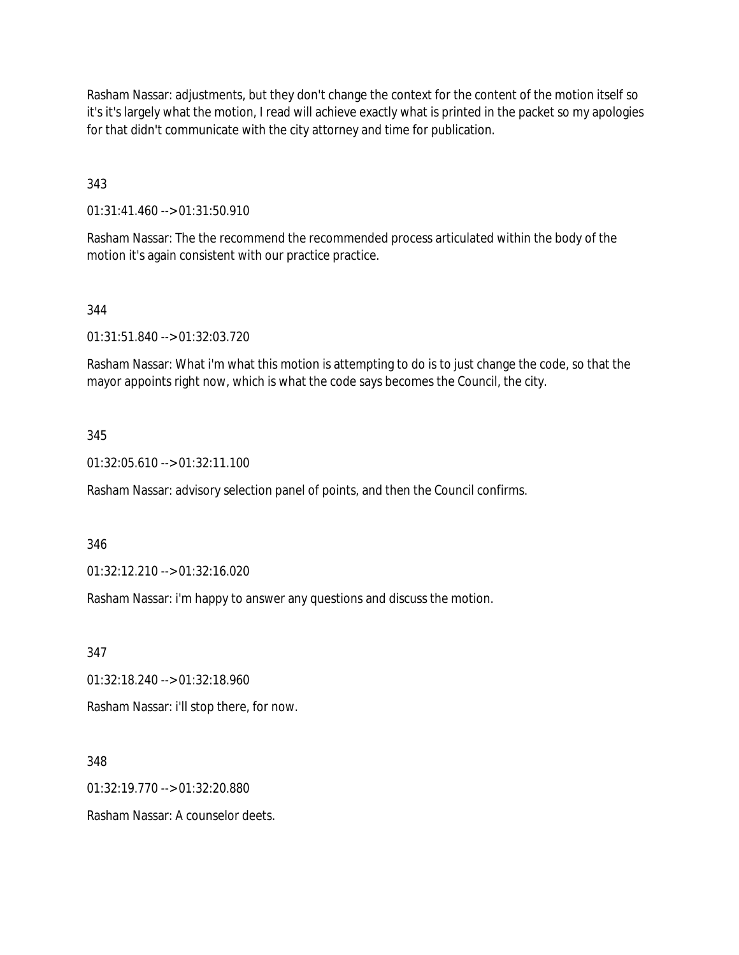Rasham Nassar: adjustments, but they don't change the context for the content of the motion itself so it's it's largely what the motion, I read will achieve exactly what is printed in the packet so my apologies for that didn't communicate with the city attorney and time for publication.

343

01:31:41.460 --> 01:31:50.910

Rasham Nassar: The the recommend the recommended process articulated within the body of the motion it's again consistent with our practice practice.

#### 344

01:31:51.840 --> 01:32:03.720

Rasham Nassar: What i'm what this motion is attempting to do is to just change the code, so that the mayor appoints right now, which is what the code says becomes the Council, the city.

#### 345

01:32:05.610 --> 01:32:11.100

Rasham Nassar: advisory selection panel of points, and then the Council confirms.

346

01:32:12.210 --> 01:32:16.020

Rasham Nassar: i'm happy to answer any questions and discuss the motion.

347

01:32:18.240 --> 01:32:18.960

Rasham Nassar: i'll stop there, for now.

348

01:32:19.770 --> 01:32:20.880

Rasham Nassar: A counselor deets.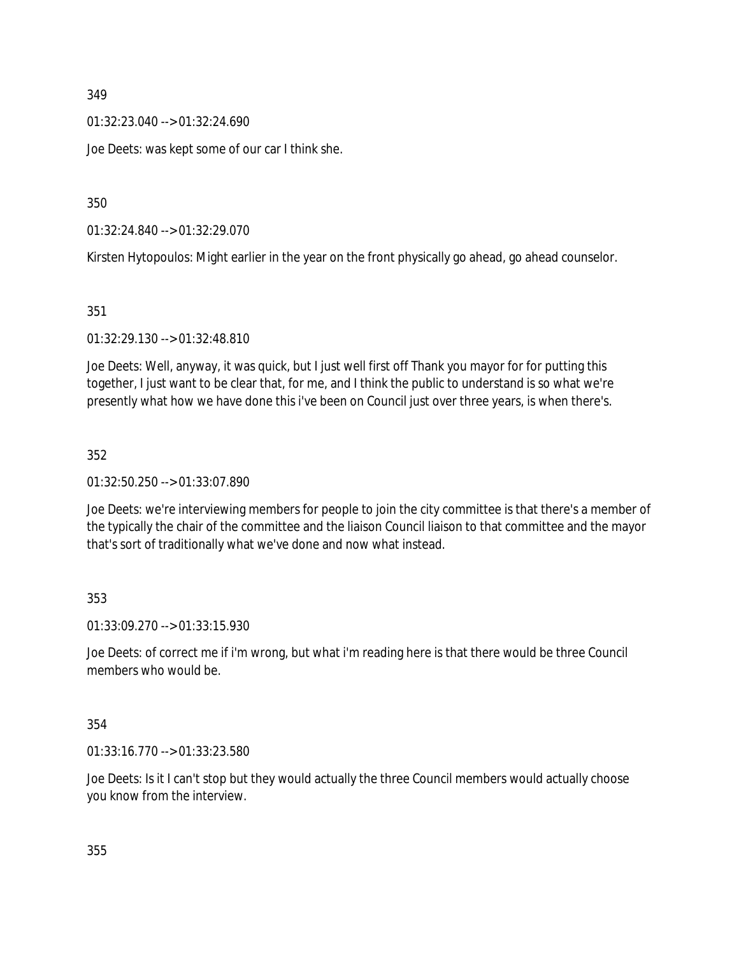01:32:23.040 --> 01:32:24.690

Joe Deets: was kept some of our car I think she.

350

01:32:24.840 --> 01:32:29.070

Kirsten Hytopoulos: Might earlier in the year on the front physically go ahead, go ahead counselor.

351

01:32:29.130 --> 01:32:48.810

Joe Deets: Well, anyway, it was quick, but I just well first off Thank you mayor for for putting this together, I just want to be clear that, for me, and I think the public to understand is so what we're presently what how we have done this i've been on Council just over three years, is when there's.

352

01:32:50.250 --> 01:33:07.890

Joe Deets: we're interviewing members for people to join the city committee is that there's a member of the typically the chair of the committee and the liaison Council liaison to that committee and the mayor that's sort of traditionally what we've done and now what instead.

353

01:33:09.270 --> 01:33:15.930

Joe Deets: of correct me if i'm wrong, but what i'm reading here is that there would be three Council members who would be.

354

01:33:16.770 --> 01:33:23.580

Joe Deets: Is it I can't stop but they would actually the three Council members would actually choose you know from the interview.

355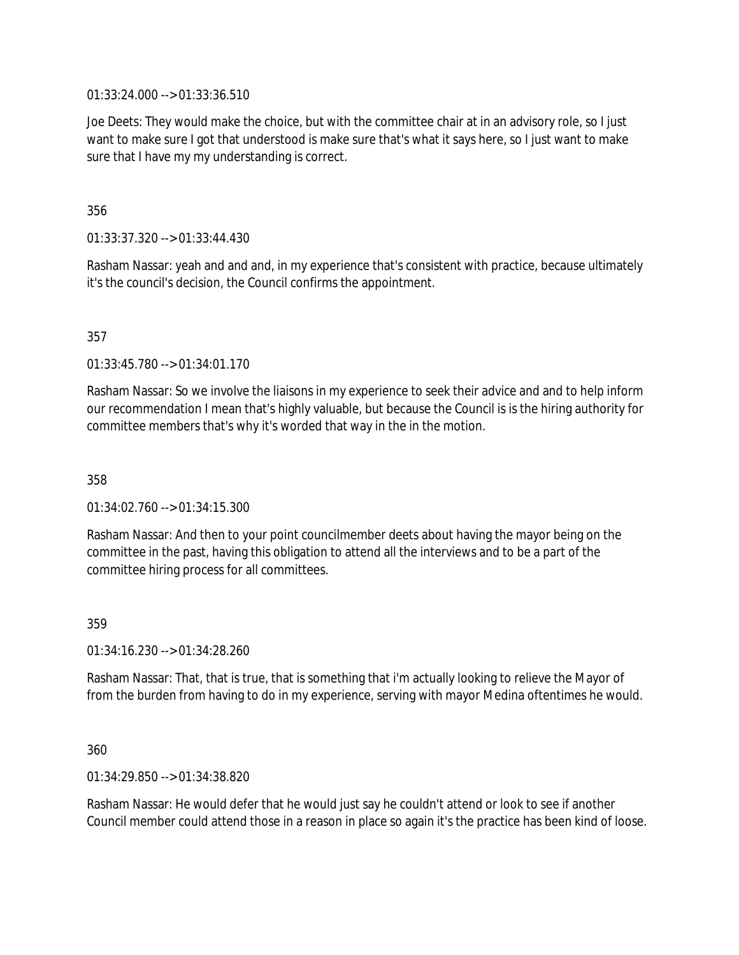01:33:24.000 --> 01:33:36.510

Joe Deets: They would make the choice, but with the committee chair at in an advisory role, so I just want to make sure I got that understood is make sure that's what it says here, so I just want to make sure that I have my my understanding is correct.

356

01:33:37.320 --> 01:33:44.430

Rasham Nassar: yeah and and and, in my experience that's consistent with practice, because ultimately it's the council's decision, the Council confirms the appointment.

357

01:33:45.780 --> 01:34:01.170

Rasham Nassar: So we involve the liaisons in my experience to seek their advice and and to help inform our recommendation I mean that's highly valuable, but because the Council is is the hiring authority for committee members that's why it's worded that way in the in the motion.

358

 $01:34:02.760 \rightarrow 01:34:15.300$ 

Rasham Nassar: And then to your point councilmember deets about having the mayor being on the committee in the past, having this obligation to attend all the interviews and to be a part of the committee hiring process for all committees.

359

01:34:16.230 --> 01:34:28.260

Rasham Nassar: That, that is true, that is something that i'm actually looking to relieve the Mayor of from the burden from having to do in my experience, serving with mayor Medina oftentimes he would.

360

01:34:29.850 --> 01:34:38.820

Rasham Nassar: He would defer that he would just say he couldn't attend or look to see if another Council member could attend those in a reason in place so again it's the practice has been kind of loose.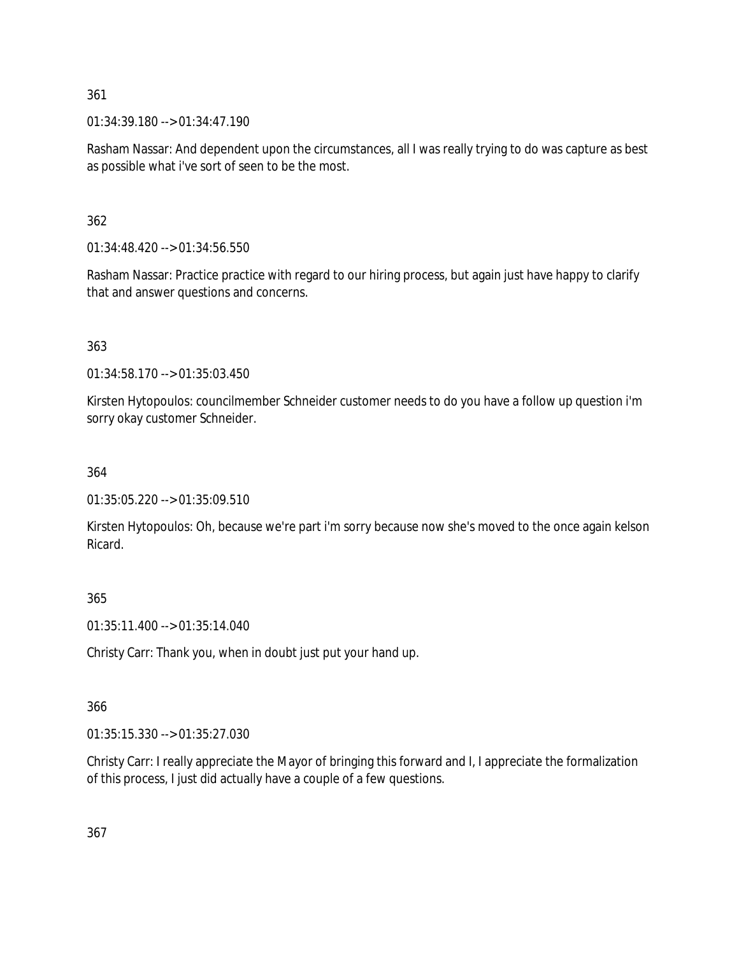01:34:39.180 --> 01:34:47.190

Rasham Nassar: And dependent upon the circumstances, all I was really trying to do was capture as best as possible what i've sort of seen to be the most.

## 362

01:34:48.420 --> 01:34:56.550

Rasham Nassar: Practice practice with regard to our hiring process, but again just have happy to clarify that and answer questions and concerns.

# 363

01:34:58.170 --> 01:35:03.450

Kirsten Hytopoulos: councilmember Schneider customer needs to do you have a follow up question i'm sorry okay customer Schneider.

## 364

01:35:05.220 --> 01:35:09.510

Kirsten Hytopoulos: Oh, because we're part i'm sorry because now she's moved to the once again kelson Ricard.

## 365

01:35:11.400 --> 01:35:14.040

Christy Carr: Thank you, when in doubt just put your hand up.

## 366

01:35:15.330 --> 01:35:27.030

Christy Carr: I really appreciate the Mayor of bringing this forward and I, I appreciate the formalization of this process, I just did actually have a couple of a few questions.

367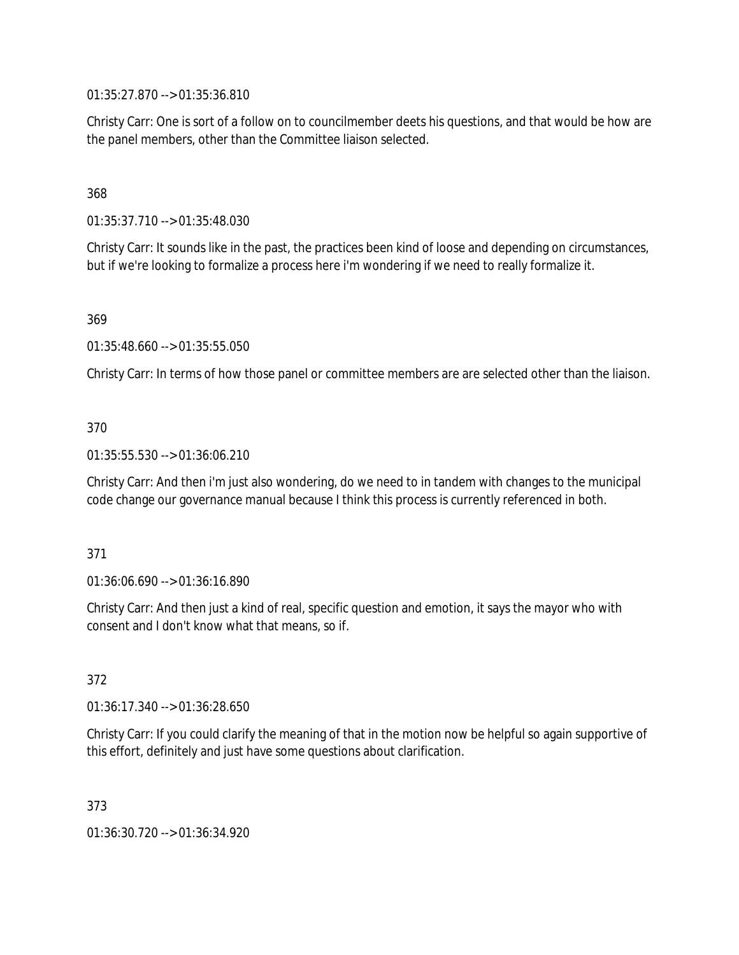01:35:27.870 --> 01:35:36.810

Christy Carr: One is sort of a follow on to councilmember deets his questions, and that would be how are the panel members, other than the Committee liaison selected.

### 368

01:35:37.710 --> 01:35:48.030

Christy Carr: It sounds like in the past, the practices been kind of loose and depending on circumstances, but if we're looking to formalize a process here i'm wondering if we need to really formalize it.

369

01:35:48.660 --> 01:35:55.050

Christy Carr: In terms of how those panel or committee members are are selected other than the liaison.

### 370

01:35:55.530 --> 01:36:06.210

Christy Carr: And then i'm just also wondering, do we need to in tandem with changes to the municipal code change our governance manual because I think this process is currently referenced in both.

#### 371

01:36:06.690 --> 01:36:16.890

Christy Carr: And then just a kind of real, specific question and emotion, it says the mayor who with consent and I don't know what that means, so if.

#### 372

01:36:17.340 --> 01:36:28.650

Christy Carr: If you could clarify the meaning of that in the motion now be helpful so again supportive of this effort, definitely and just have some questions about clarification.

373

01:36:30.720 --> 01:36:34.920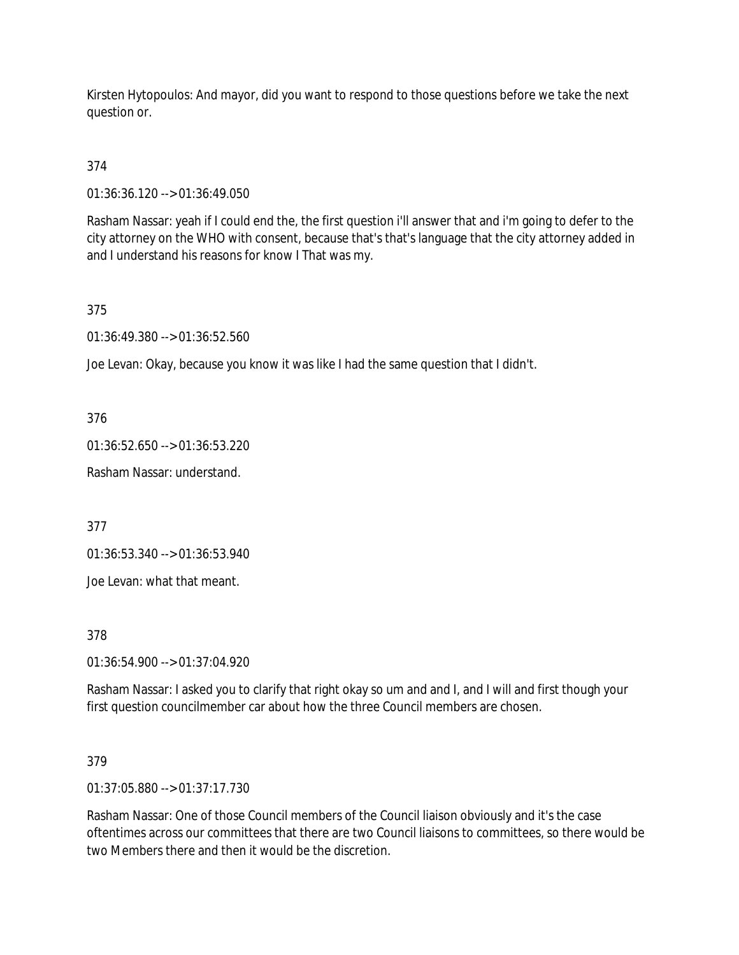Kirsten Hytopoulos: And mayor, did you want to respond to those questions before we take the next question or.

374

01:36:36.120 --> 01:36:49.050

Rasham Nassar: yeah if I could end the, the first question i'll answer that and i'm going to defer to the city attorney on the WHO with consent, because that's that's language that the city attorney added in and I understand his reasons for know I That was my.

375

01:36:49.380 --> 01:36:52.560

Joe Levan: Okay, because you know it was like I had the same question that I didn't.

376

01:36:52.650 --> 01:36:53.220

Rasham Nassar: understand.

377

01:36:53.340 --> 01:36:53.940

Joe Levan: what that meant.

378

01:36:54.900 --> 01:37:04.920

Rasham Nassar: I asked you to clarify that right okay so um and and I, and I will and first though your first question councilmember car about how the three Council members are chosen.

379

01:37:05.880 --> 01:37:17.730

Rasham Nassar: One of those Council members of the Council liaison obviously and it's the case oftentimes across our committees that there are two Council liaisons to committees, so there would be two Members there and then it would be the discretion.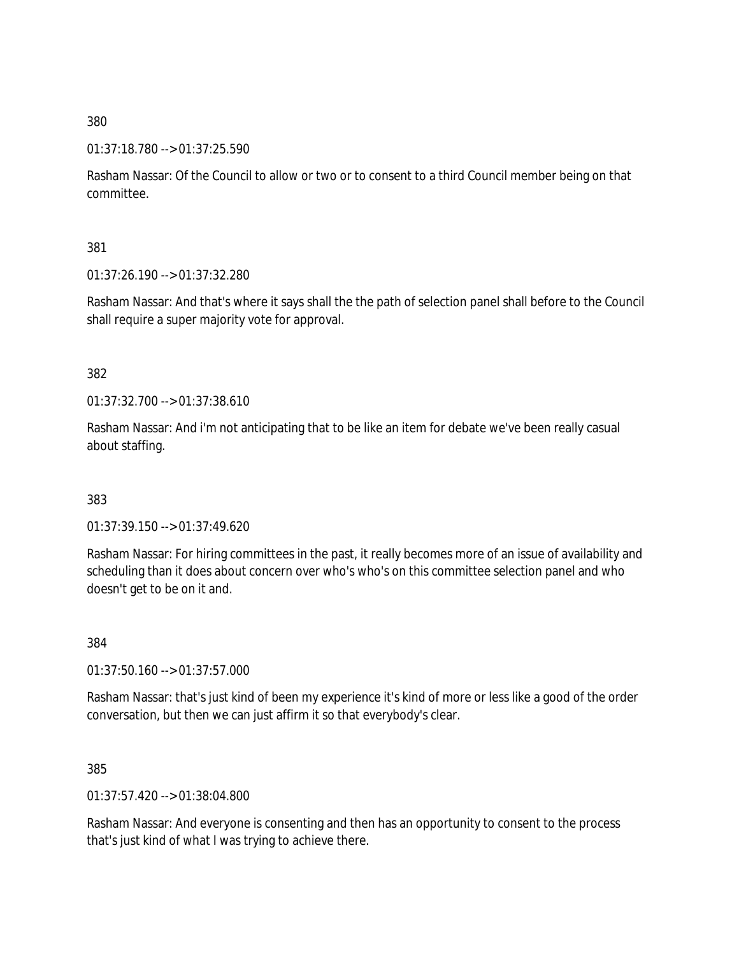#### 01:37:18.780 --> 01:37:25.590

Rasham Nassar: Of the Council to allow or two or to consent to a third Council member being on that committee.

381

01:37:26.190 --> 01:37:32.280

Rasham Nassar: And that's where it says shall the the path of selection panel shall before to the Council shall require a super majority vote for approval.

382

01:37:32.700 --> 01:37:38.610

Rasham Nassar: And i'm not anticipating that to be like an item for debate we've been really casual about staffing.

383

01:37:39.150 --> 01:37:49.620

Rasham Nassar: For hiring committees in the past, it really becomes more of an issue of availability and scheduling than it does about concern over who's who's on this committee selection panel and who doesn't get to be on it and.

384

01:37:50.160 --> 01:37:57.000

Rasham Nassar: that's just kind of been my experience it's kind of more or less like a good of the order conversation, but then we can just affirm it so that everybody's clear.

385

01:37:57.420 --> 01:38:04.800

Rasham Nassar: And everyone is consenting and then has an opportunity to consent to the process that's just kind of what I was trying to achieve there.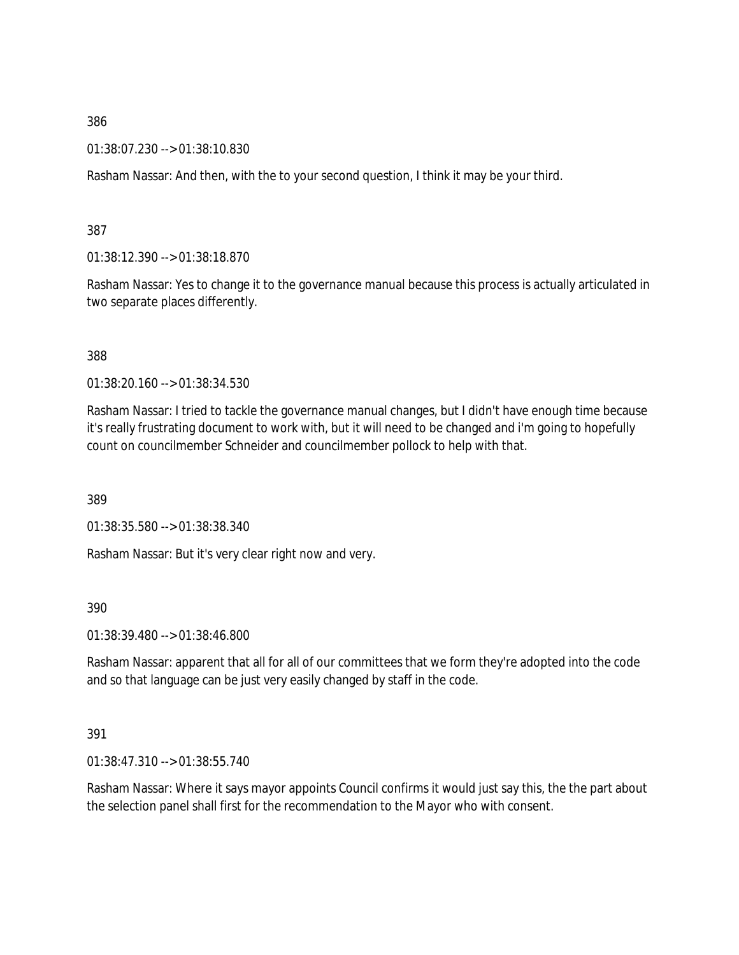01:38:07.230 --> 01:38:10.830

Rasham Nassar: And then, with the to your second question, I think it may be your third.

387

01:38:12.390 --> 01:38:18.870

Rasham Nassar: Yes to change it to the governance manual because this process is actually articulated in two separate places differently.

388

01:38:20.160 --> 01:38:34.530

Rasham Nassar: I tried to tackle the governance manual changes, but I didn't have enough time because it's really frustrating document to work with, but it will need to be changed and i'm going to hopefully count on councilmember Schneider and councilmember pollock to help with that.

389

01:38:35.580 --> 01:38:38.340

Rasham Nassar: But it's very clear right now and very.

390

01:38:39.480 --> 01:38:46.800

Rasham Nassar: apparent that all for all of our committees that we form they're adopted into the code and so that language can be just very easily changed by staff in the code.

391

01:38:47.310 --> 01:38:55.740

Rasham Nassar: Where it says mayor appoints Council confirms it would just say this, the the part about the selection panel shall first for the recommendation to the Mayor who with consent.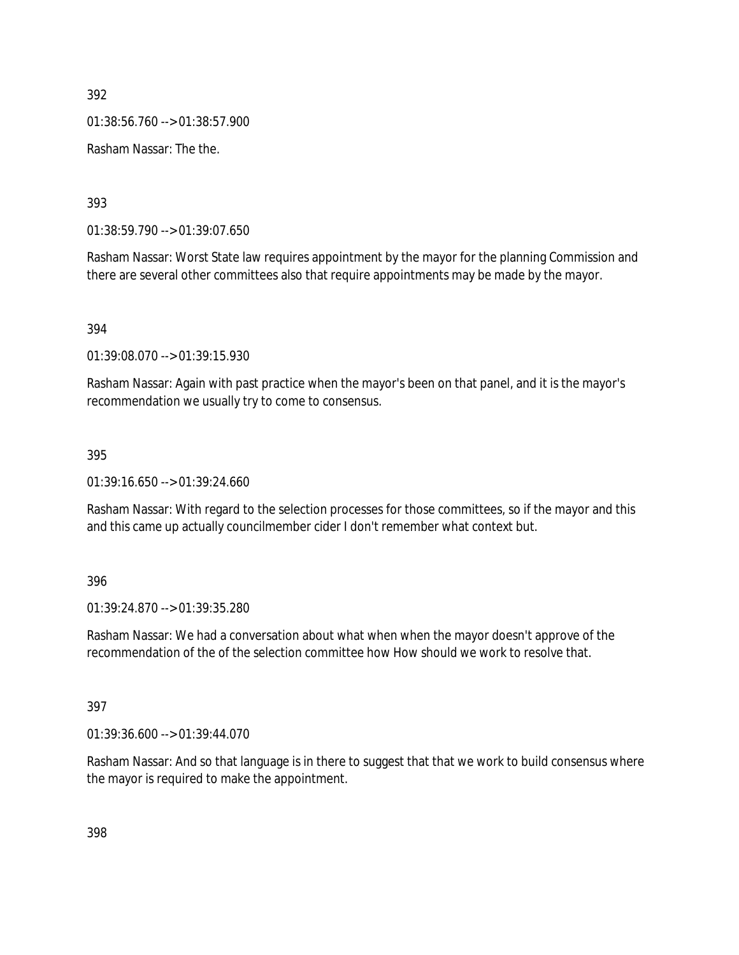01:38:56.760 --> 01:38:57.900

Rasham Nassar: The the.

393

01:38:59.790 --> 01:39:07.650

Rasham Nassar: Worst State law requires appointment by the mayor for the planning Commission and there are several other committees also that require appointments may be made by the mayor.

394

01:39:08.070 --> 01:39:15.930

Rasham Nassar: Again with past practice when the mayor's been on that panel, and it is the mayor's recommendation we usually try to come to consensus.

395

01:39:16.650 --> 01:39:24.660

Rasham Nassar: With regard to the selection processes for those committees, so if the mayor and this and this came up actually councilmember cider I don't remember what context but.

396

01:39:24.870 --> 01:39:35.280

Rasham Nassar: We had a conversation about what when when the mayor doesn't approve of the recommendation of the of the selection committee how How should we work to resolve that.

397

01:39:36.600 --> 01:39:44.070

Rasham Nassar: And so that language is in there to suggest that that we work to build consensus where the mayor is required to make the appointment.

398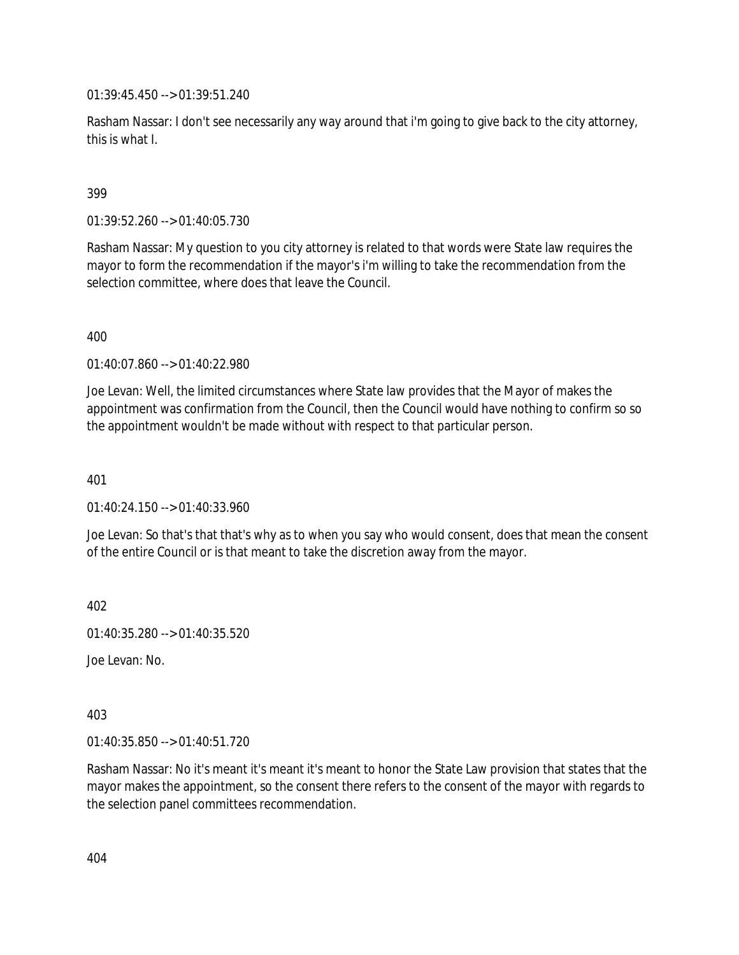01:39:45.450 --> 01:39:51.240

Rasham Nassar: I don't see necessarily any way around that i'm going to give back to the city attorney, this is what I.

### 399

01:39:52.260 --> 01:40:05.730

Rasham Nassar: My question to you city attorney is related to that words were State law requires the mayor to form the recommendation if the mayor's i'm willing to take the recommendation from the selection committee, where does that leave the Council.

400

01:40:07.860 --> 01:40:22.980

Joe Levan: Well, the limited circumstances where State law provides that the Mayor of makes the appointment was confirmation from the Council, then the Council would have nothing to confirm so so the appointment wouldn't be made without with respect to that particular person.

401

 $01:40:24.150 \rightarrow 01:40:33.960$ 

Joe Levan: So that's that that's why as to when you say who would consent, does that mean the consent of the entire Council or is that meant to take the discretion away from the mayor.

402

01:40:35.280 --> 01:40:35.520

Joe Levan: No.

403

01:40:35.850 --> 01:40:51.720

Rasham Nassar: No it's meant it's meant it's meant to honor the State Law provision that states that the mayor makes the appointment, so the consent there refers to the consent of the mayor with regards to the selection panel committees recommendation.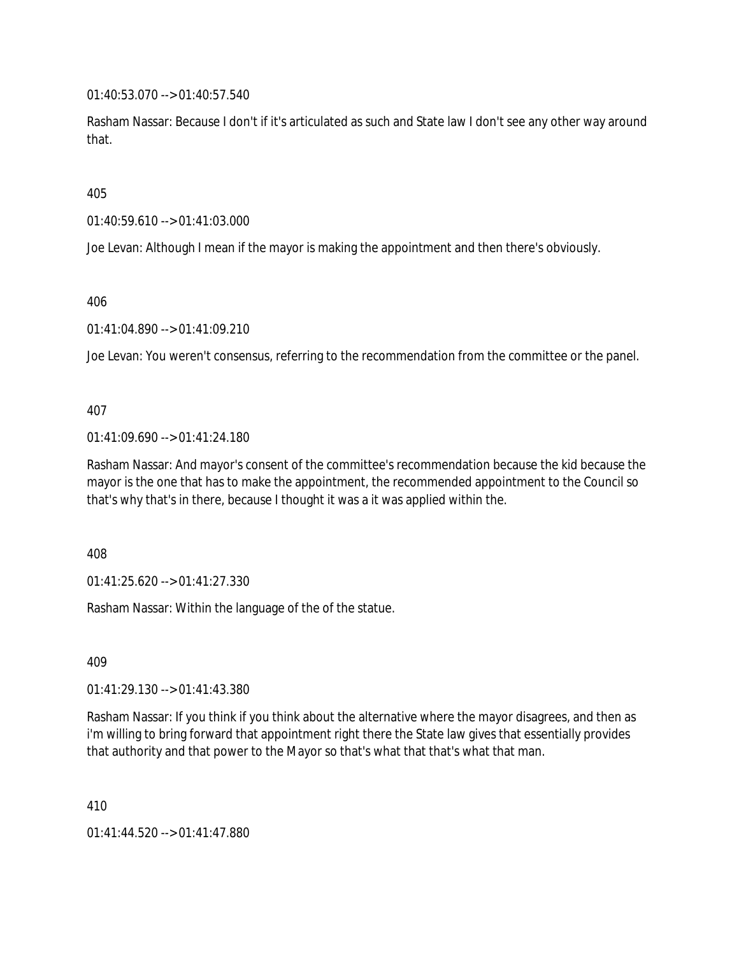01:40:53.070 --> 01:40:57.540

Rasham Nassar: Because I don't if it's articulated as such and State law I don't see any other way around that.

405

01:40:59.610 --> 01:41:03.000

Joe Levan: Although I mean if the mayor is making the appointment and then there's obviously.

406

01:41:04.890 --> 01:41:09.210

Joe Levan: You weren't consensus, referring to the recommendation from the committee or the panel.

407

01:41:09.690 --> 01:41:24.180

Rasham Nassar: And mayor's consent of the committee's recommendation because the kid because the mayor is the one that has to make the appointment, the recommended appointment to the Council so that's why that's in there, because I thought it was a it was applied within the.

408

01:41:25.620 --> 01:41:27.330

Rasham Nassar: Within the language of the of the statue.

409

01:41:29.130 --> 01:41:43.380

Rasham Nassar: If you think if you think about the alternative where the mayor disagrees, and then as i'm willing to bring forward that appointment right there the State law gives that essentially provides that authority and that power to the Mayor so that's what that that's what that man.

410

01:41:44.520 --> 01:41:47.880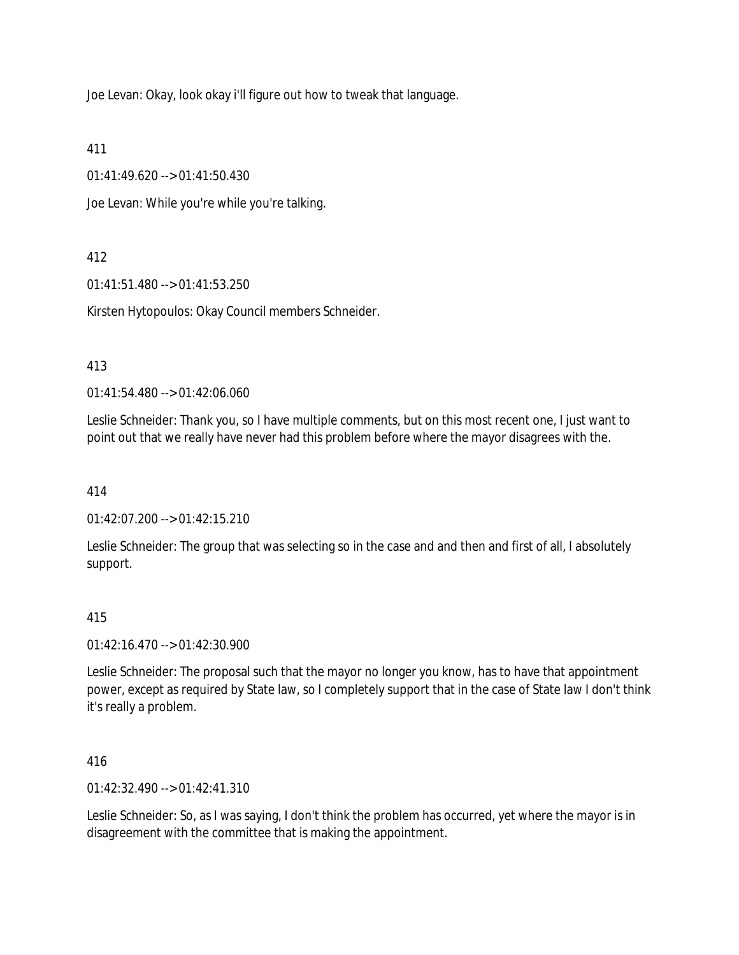Joe Levan: Okay, look okay i'll figure out how to tweak that language.

411

01:41:49.620 --> 01:41:50.430

Joe Levan: While you're while you're talking.

# 412

01:41:51.480 --> 01:41:53.250

Kirsten Hytopoulos: Okay Council members Schneider.

## 413

01:41:54.480 --> 01:42:06.060

Leslie Schneider: Thank you, so I have multiple comments, but on this most recent one, I just want to point out that we really have never had this problem before where the mayor disagrees with the.

414

01:42:07.200 --> 01:42:15.210

Leslie Schneider: The group that was selecting so in the case and and then and first of all, I absolutely support.

## 415

01:42:16.470 --> 01:42:30.900

Leslie Schneider: The proposal such that the mayor no longer you know, has to have that appointment power, except as required by State law, so I completely support that in the case of State law I don't think it's really a problem.

416

01:42:32.490 --> 01:42:41.310

Leslie Schneider: So, as I was saying, I don't think the problem has occurred, yet where the mayor is in disagreement with the committee that is making the appointment.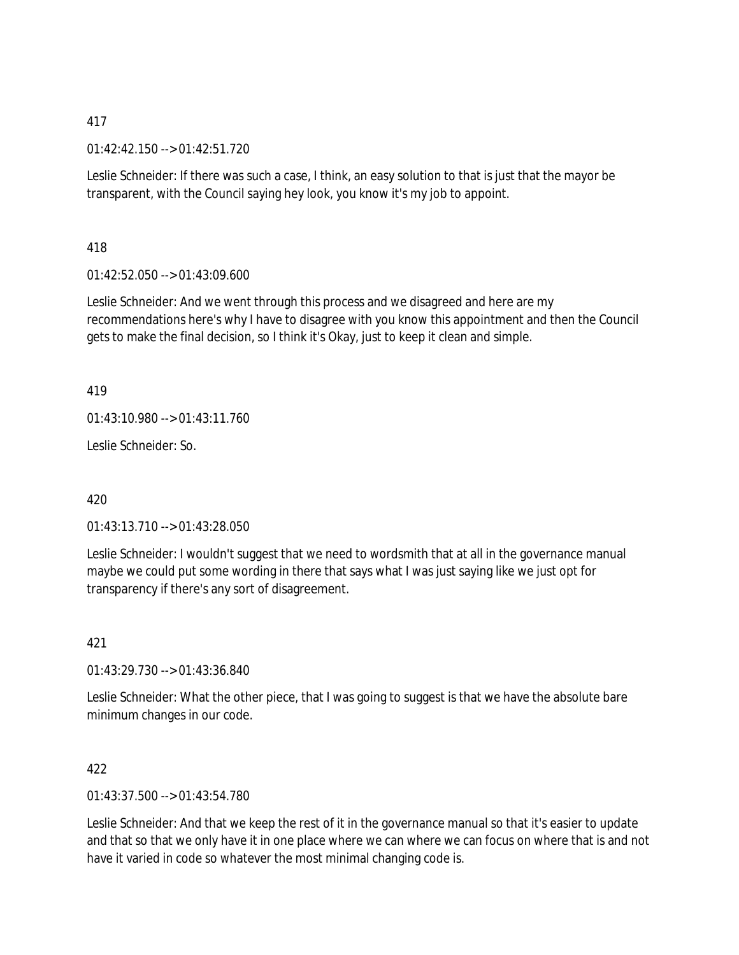01:42:42.150 --> 01:42:51.720

Leslie Schneider: If there was such a case, I think, an easy solution to that is just that the mayor be transparent, with the Council saying hey look, you know it's my job to appoint.

418

01:42:52.050 --> 01:43:09.600

Leslie Schneider: And we went through this process and we disagreed and here are my recommendations here's why I have to disagree with you know this appointment and then the Council gets to make the final decision, so I think it's Okay, just to keep it clean and simple.

419

01:43:10.980 --> 01:43:11.760

Leslie Schneider: So.

420

01:43:13.710 --> 01:43:28.050

Leslie Schneider: I wouldn't suggest that we need to wordsmith that at all in the governance manual maybe we could put some wording in there that says what I was just saying like we just opt for transparency if there's any sort of disagreement.

421

01:43:29.730 --> 01:43:36.840

Leslie Schneider: What the other piece, that I was going to suggest is that we have the absolute bare minimum changes in our code.

422

01:43:37.500 --> 01:43:54.780

Leslie Schneider: And that we keep the rest of it in the governance manual so that it's easier to update and that so that we only have it in one place where we can where we can focus on where that is and not have it varied in code so whatever the most minimal changing code is.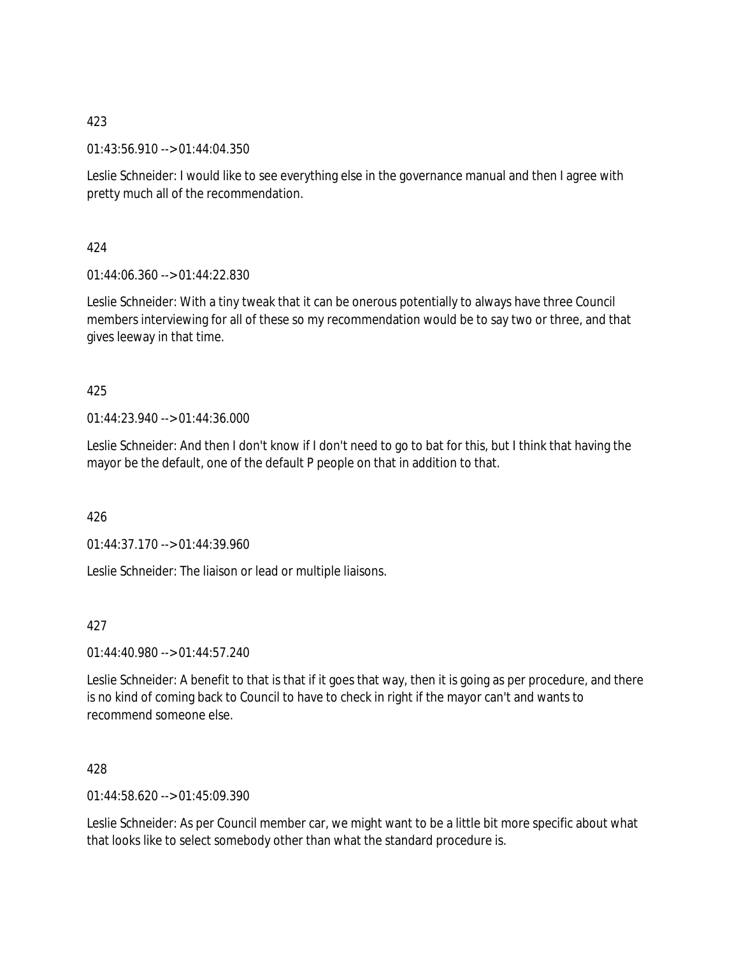01:43:56.910 --> 01:44:04.350

Leslie Schneider: I would like to see everything else in the governance manual and then I agree with pretty much all of the recommendation.

424

 $01:44:06.360 \rightarrow 01:44:22.830$ 

Leslie Schneider: With a tiny tweak that it can be onerous potentially to always have three Council members interviewing for all of these so my recommendation would be to say two or three, and that gives leeway in that time.

### 425

01:44:23.940 --> 01:44:36.000

Leslie Schneider: And then I don't know if I don't need to go to bat for this, but I think that having the mayor be the default, one of the default P people on that in addition to that.

426

01:44:37.170 --> 01:44:39.960

Leslie Schneider: The liaison or lead or multiple liaisons.

427

01:44:40.980 --> 01:44:57.240

Leslie Schneider: A benefit to that is that if it goes that way, then it is going as per procedure, and there is no kind of coming back to Council to have to check in right if the mayor can't and wants to recommend someone else.

### 428

01:44:58.620 --> 01:45:09.390

Leslie Schneider: As per Council member car, we might want to be a little bit more specific about what that looks like to select somebody other than what the standard procedure is.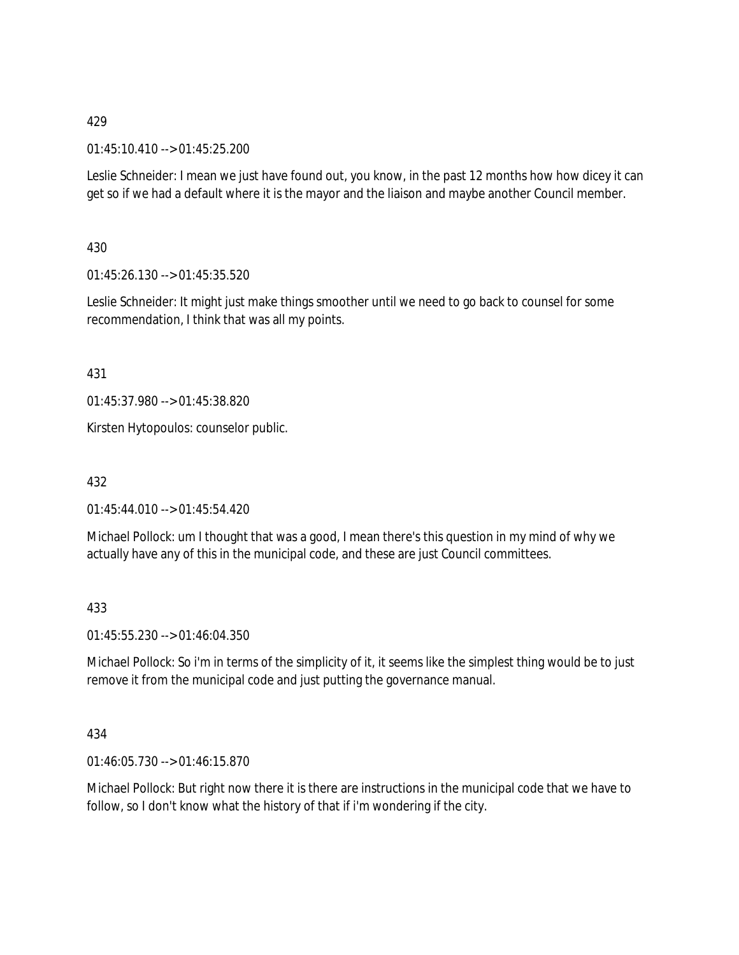01:45:10.410 --> 01:45:25.200

Leslie Schneider: I mean we just have found out, you know, in the past 12 months how how dicey it can get so if we had a default where it is the mayor and the liaison and maybe another Council member.

430

01:45:26.130 --> 01:45:35.520

Leslie Schneider: It might just make things smoother until we need to go back to counsel for some recommendation, I think that was all my points.

431

01:45:37.980 --> 01:45:38.820

Kirsten Hytopoulos: counselor public.

432

01:45:44.010 --> 01:45:54.420

Michael Pollock: um I thought that was a good, I mean there's this question in my mind of why we actually have any of this in the municipal code, and these are just Council committees.

433

01:45:55.230 --> 01:46:04.350

Michael Pollock: So i'm in terms of the simplicity of it, it seems like the simplest thing would be to just remove it from the municipal code and just putting the governance manual.

434

01:46:05.730 --> 01:46:15.870

Michael Pollock: But right now there it is there are instructions in the municipal code that we have to follow, so I don't know what the history of that if i'm wondering if the city.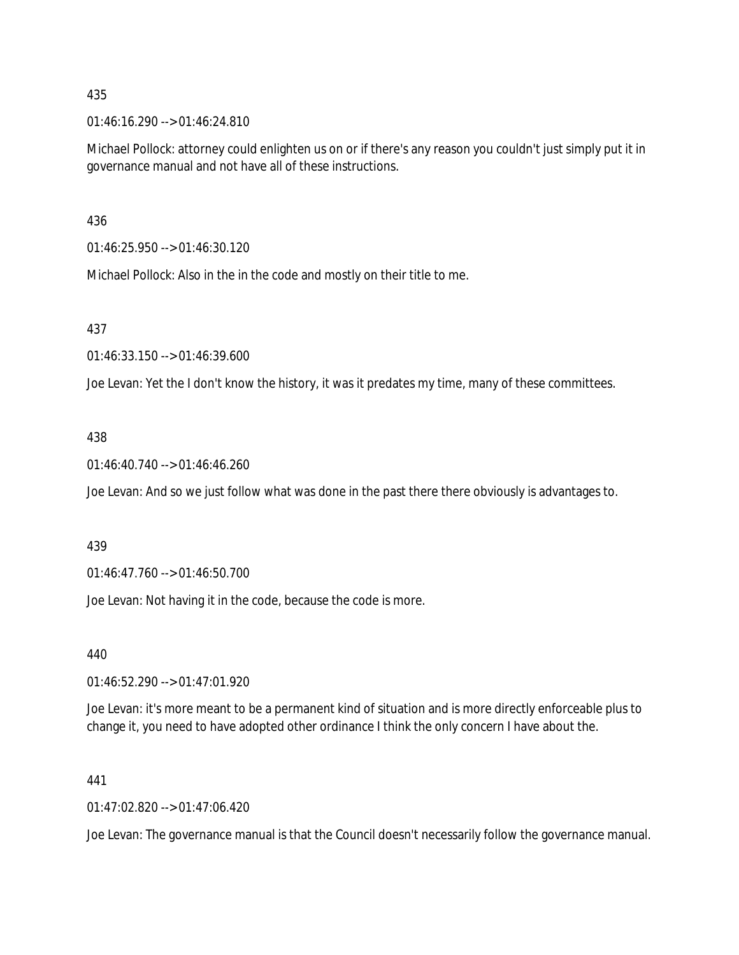01:46:16.290 --> 01:46:24.810

Michael Pollock: attorney could enlighten us on or if there's any reason you couldn't just simply put it in governance manual and not have all of these instructions.

436

01:46:25.950 --> 01:46:30.120

Michael Pollock: Also in the in the code and mostly on their title to me.

### 437

01:46:33.150 --> 01:46:39.600

Joe Levan: Yet the I don't know the history, it was it predates my time, many of these committees.

### 438

01:46:40.740 --> 01:46:46.260

Joe Levan: And so we just follow what was done in the past there there obviously is advantages to.

#### 439

01:46:47.760 --> 01:46:50.700

Joe Levan: Not having it in the code, because the code is more.

440

01:46:52.290 --> 01:47:01.920

Joe Levan: it's more meant to be a permanent kind of situation and is more directly enforceable plus to change it, you need to have adopted other ordinance I think the only concern I have about the.

#### 441

01:47:02.820 --> 01:47:06.420

Joe Levan: The governance manual is that the Council doesn't necessarily follow the governance manual.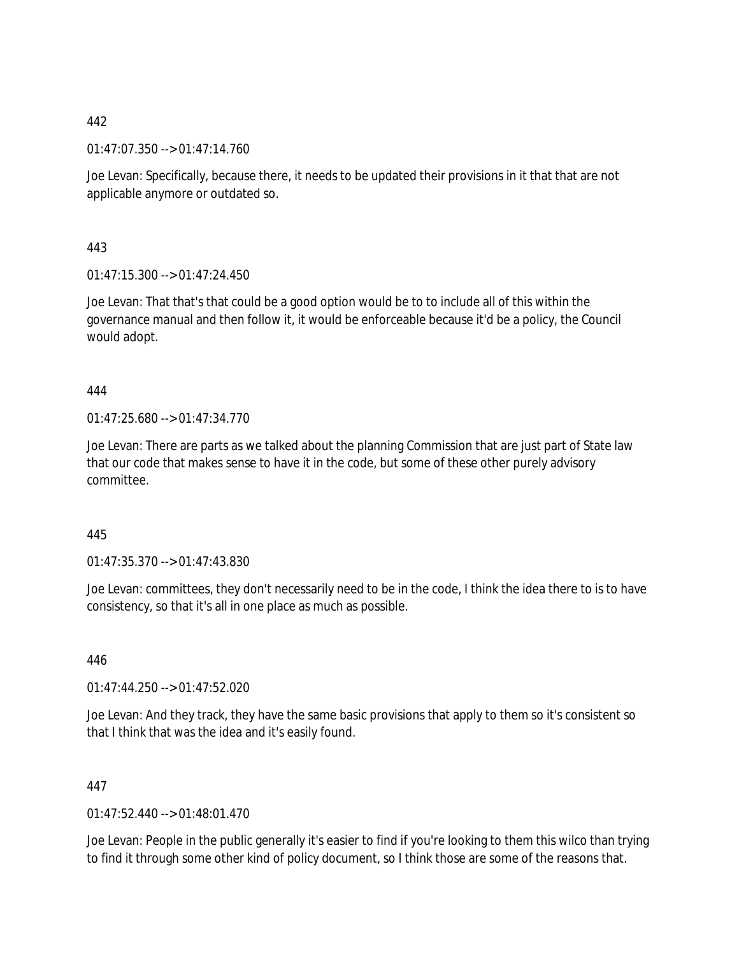01:47:07.350 --> 01:47:14.760

Joe Levan: Specifically, because there, it needs to be updated their provisions in it that that are not applicable anymore or outdated so.

443

 $01:47:15.300 \rightarrow 01:47:24.450$ 

Joe Levan: That that's that could be a good option would be to to include all of this within the governance manual and then follow it, it would be enforceable because it'd be a policy, the Council would adopt.

444

01:47:25.680 --> 01:47:34.770

Joe Levan: There are parts as we talked about the planning Commission that are just part of State law that our code that makes sense to have it in the code, but some of these other purely advisory committee.

445

01:47:35.370 --> 01:47:43.830

Joe Levan: committees, they don't necessarily need to be in the code, I think the idea there to is to have consistency, so that it's all in one place as much as possible.

446

01:47:44.250 --> 01:47:52.020

Joe Levan: And they track, they have the same basic provisions that apply to them so it's consistent so that I think that was the idea and it's easily found.

447

01:47:52.440 --> 01:48:01.470

Joe Levan: People in the public generally it's easier to find if you're looking to them this wilco than trying to find it through some other kind of policy document, so I think those are some of the reasons that.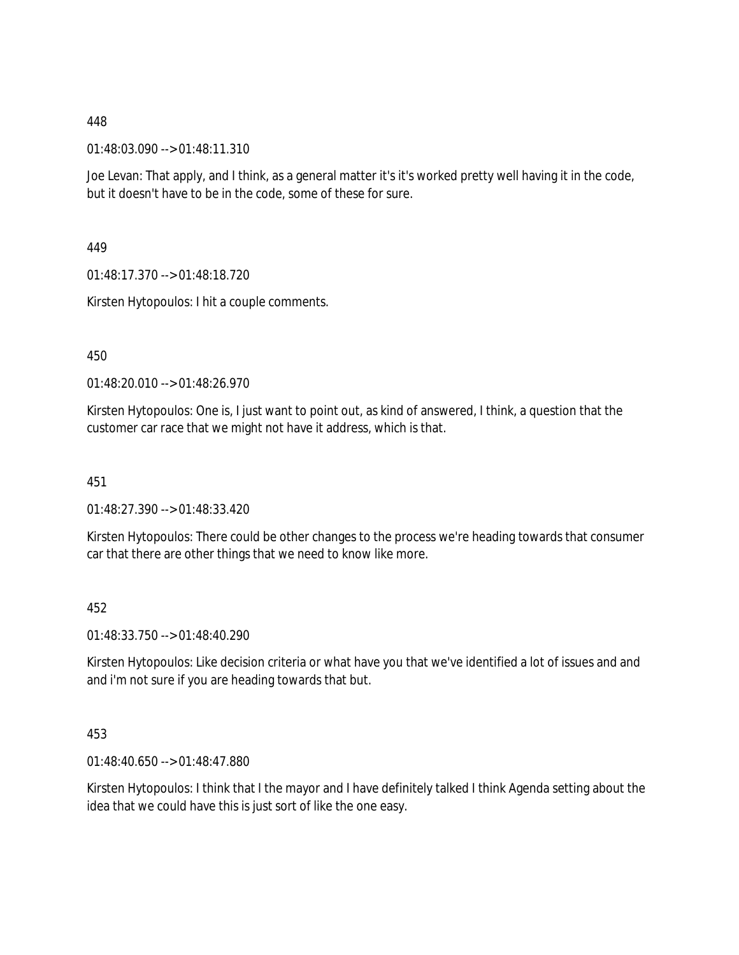01:48:03.090 --> 01:48:11.310

Joe Levan: That apply, and I think, as a general matter it's it's worked pretty well having it in the code, but it doesn't have to be in the code, some of these for sure.

449

01:48:17.370 --> 01:48:18.720

Kirsten Hytopoulos: I hit a couple comments.

450

01:48:20.010 --> 01:48:26.970

Kirsten Hytopoulos: One is, I just want to point out, as kind of answered, I think, a question that the customer car race that we might not have it address, which is that.

451

01:48:27.390 --> 01:48:33.420

Kirsten Hytopoulos: There could be other changes to the process we're heading towards that consumer car that there are other things that we need to know like more.

452

01:48:33.750 --> 01:48:40.290

Kirsten Hytopoulos: Like decision criteria or what have you that we've identified a lot of issues and and and i'm not sure if you are heading towards that but.

453

01:48:40.650 --> 01:48:47.880

Kirsten Hytopoulos: I think that I the mayor and I have definitely talked I think Agenda setting about the idea that we could have this is just sort of like the one easy.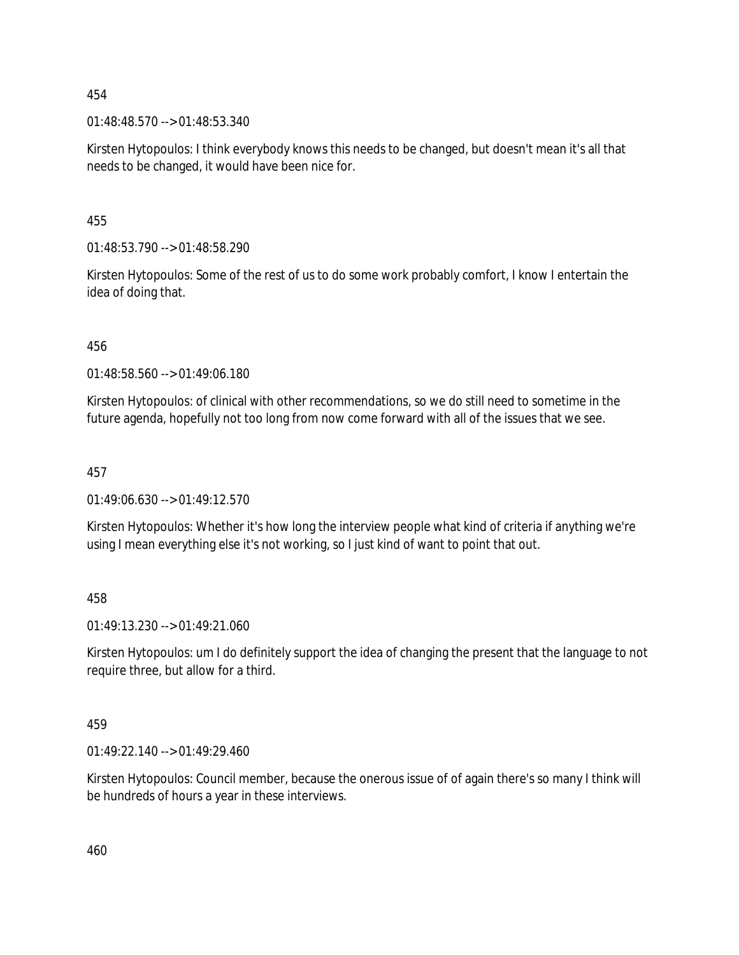01:48:48.570 --> 01:48:53.340

Kirsten Hytopoulos: I think everybody knows this needs to be changed, but doesn't mean it's all that needs to be changed, it would have been nice for.

455

01:48:53.790 --> 01:48:58.290

Kirsten Hytopoulos: Some of the rest of us to do some work probably comfort, I know I entertain the idea of doing that.

456

01:48:58.560 --> 01:49:06.180

Kirsten Hytopoulos: of clinical with other recommendations, so we do still need to sometime in the future agenda, hopefully not too long from now come forward with all of the issues that we see.

457

 $01:49:06.630 \rightarrow 01:49:12.570$ 

Kirsten Hytopoulos: Whether it's how long the interview people what kind of criteria if anything we're using I mean everything else it's not working, so I just kind of want to point that out.

458

01:49:13.230 --> 01:49:21.060

Kirsten Hytopoulos: um I do definitely support the idea of changing the present that the language to not require three, but allow for a third.

459

01:49:22.140 --> 01:49:29.460

Kirsten Hytopoulos: Council member, because the onerous issue of of again there's so many I think will be hundreds of hours a year in these interviews.

460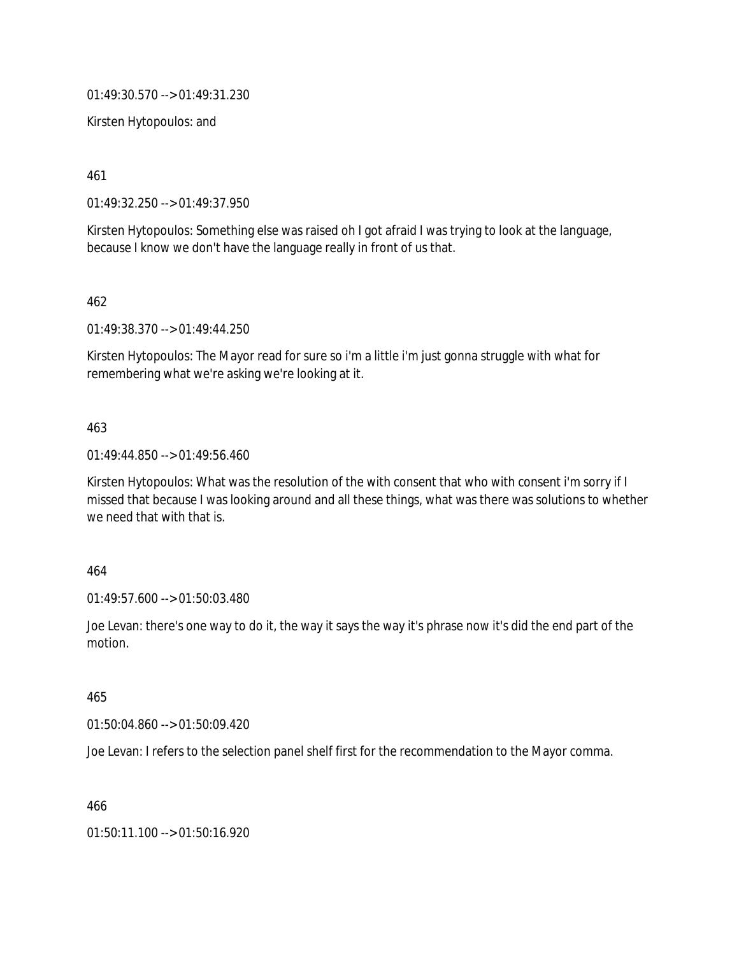01:49:30.570 --> 01:49:31.230

Kirsten Hytopoulos: and

461

01:49:32.250 --> 01:49:37.950

Kirsten Hytopoulos: Something else was raised oh I got afraid I was trying to look at the language, because I know we don't have the language really in front of us that.

462

01:49:38.370 --> 01:49:44.250

Kirsten Hytopoulos: The Mayor read for sure so i'm a little i'm just gonna struggle with what for remembering what we're asking we're looking at it.

### 463

01:49:44.850 --> 01:49:56.460

Kirsten Hytopoulos: What was the resolution of the with consent that who with consent i'm sorry if I missed that because I was looking around and all these things, what was there was solutions to whether we need that with that is.

464

01:49:57.600 --> 01:50:03.480

Joe Levan: there's one way to do it, the way it says the way it's phrase now it's did the end part of the motion.

465

01:50:04.860 --> 01:50:09.420

Joe Levan: I refers to the selection panel shelf first for the recommendation to the Mayor comma.

466

01:50:11.100 --> 01:50:16.920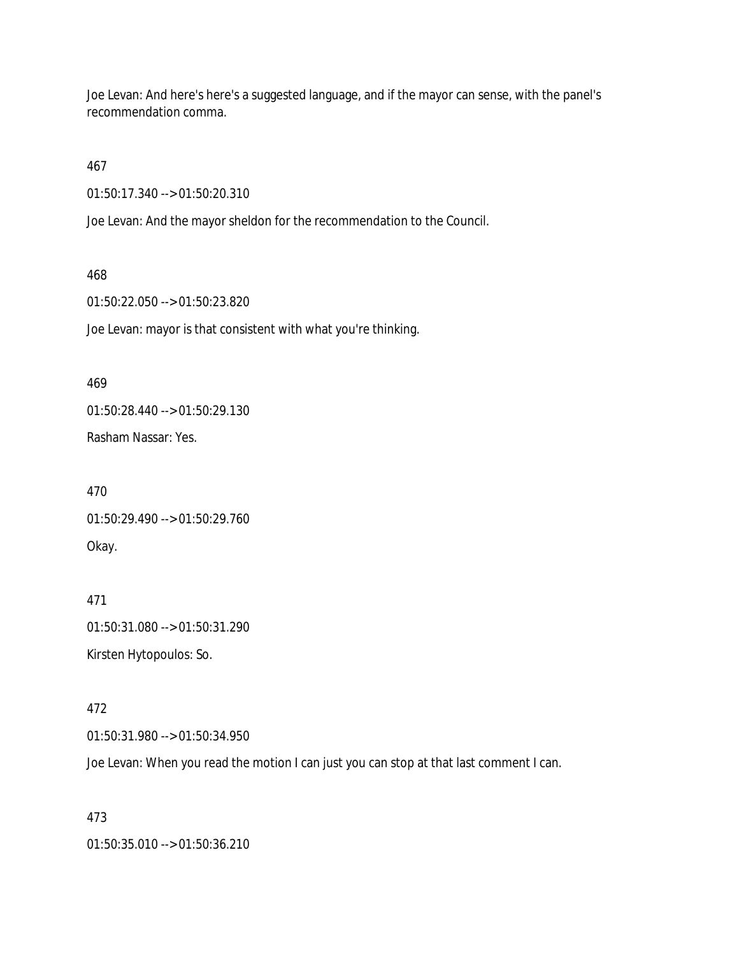Joe Levan: And here's here's a suggested language, and if the mayor can sense, with the panel's recommendation comma.

467

01:50:17.340 --> 01:50:20.310

Joe Levan: And the mayor sheldon for the recommendation to the Council.

### 468

01:50:22.050 --> 01:50:23.820

Joe Levan: mayor is that consistent with what you're thinking.

### 469

01:50:28.440 --> 01:50:29.130

Rasham Nassar: Yes.

470 01:50:29.490 --> 01:50:29.760 Okay.

# 471

01:50:31.080 --> 01:50:31.290 Kirsten Hytopoulos: So.

# 472

01:50:31.980 --> 01:50:34.950

Joe Levan: When you read the motion I can just you can stop at that last comment I can.

# 473

01:50:35.010 --> 01:50:36.210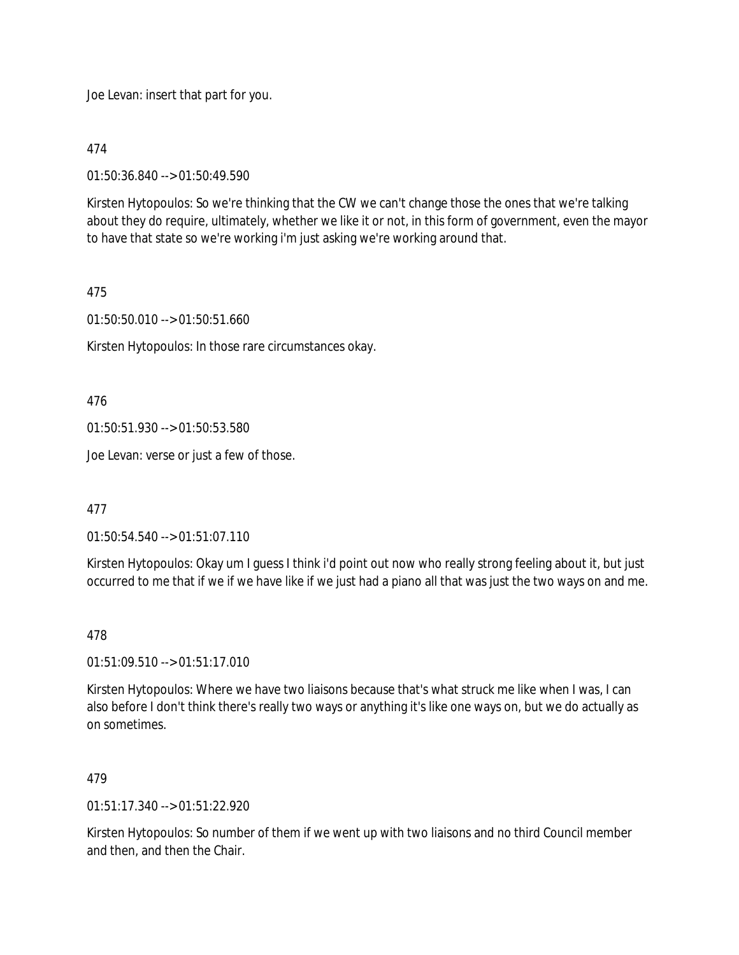Joe Levan: insert that part for you.

474

01:50:36.840 --> 01:50:49.590

Kirsten Hytopoulos: So we're thinking that the CW we can't change those the ones that we're talking about they do require, ultimately, whether we like it or not, in this form of government, even the mayor to have that state so we're working i'm just asking we're working around that.

# 475

01:50:50.010 --> 01:50:51.660

Kirsten Hytopoulos: In those rare circumstances okay.

476

01:50:51.930 --> 01:50:53.580

Joe Levan: verse or just a few of those.

477

01:50:54.540 --> 01:51:07.110

Kirsten Hytopoulos: Okay um I guess I think i'd point out now who really strong feeling about it, but just occurred to me that if we if we have like if we just had a piano all that was just the two ways on and me.

# 478

01:51:09.510 --> 01:51:17.010

Kirsten Hytopoulos: Where we have two liaisons because that's what struck me like when I was, I can also before I don't think there's really two ways or anything it's like one ways on, but we do actually as on sometimes.

# 479

 $01:51:17.340 \rightarrow 01:51:22.920$ 

Kirsten Hytopoulos: So number of them if we went up with two liaisons and no third Council member and then, and then the Chair.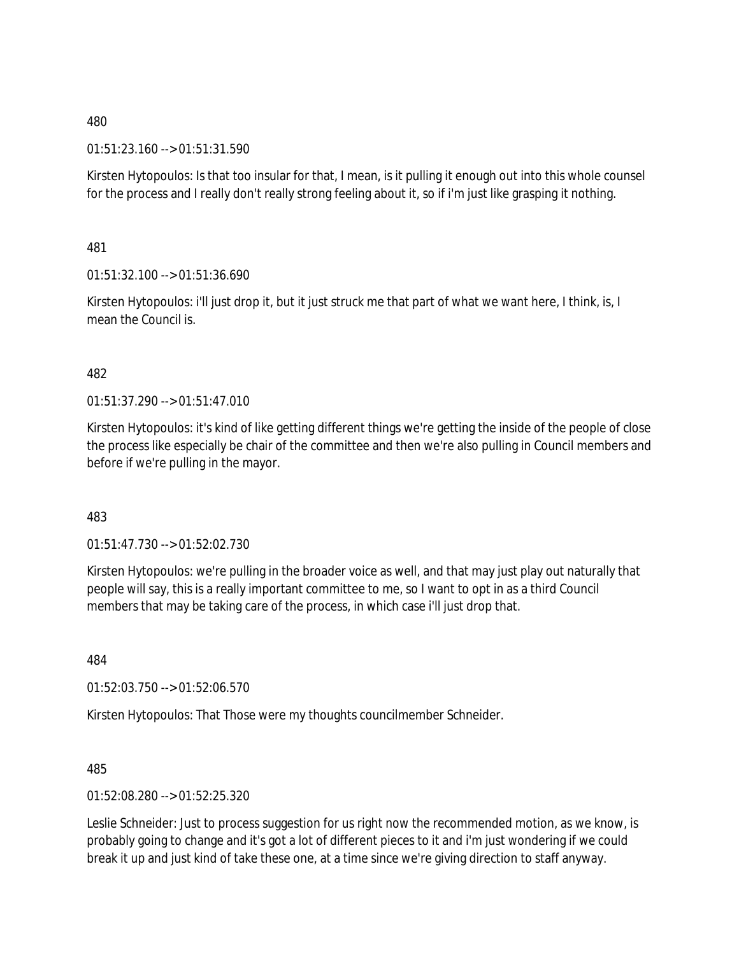01:51:23.160 --> 01:51:31.590

Kirsten Hytopoulos: Is that too insular for that, I mean, is it pulling it enough out into this whole counsel for the process and I really don't really strong feeling about it, so if i'm just like grasping it nothing.

481

01:51:32.100 --> 01:51:36.690

Kirsten Hytopoulos: i'll just drop it, but it just struck me that part of what we want here, I think, is, I mean the Council is.

# 482

01:51:37.290 --> 01:51:47.010

Kirsten Hytopoulos: it's kind of like getting different things we're getting the inside of the people of close the process like especially be chair of the committee and then we're also pulling in Council members and before if we're pulling in the mayor.

483

01:51:47.730 --> 01:52:02.730

Kirsten Hytopoulos: we're pulling in the broader voice as well, and that may just play out naturally that people will say, this is a really important committee to me, so I want to opt in as a third Council members that may be taking care of the process, in which case i'll just drop that.

484

01:52:03.750 --> 01:52:06.570

Kirsten Hytopoulos: That Those were my thoughts councilmember Schneider.

485

01:52:08.280 --> 01:52:25.320

Leslie Schneider: Just to process suggestion for us right now the recommended motion, as we know, is probably going to change and it's got a lot of different pieces to it and i'm just wondering if we could break it up and just kind of take these one, at a time since we're giving direction to staff anyway.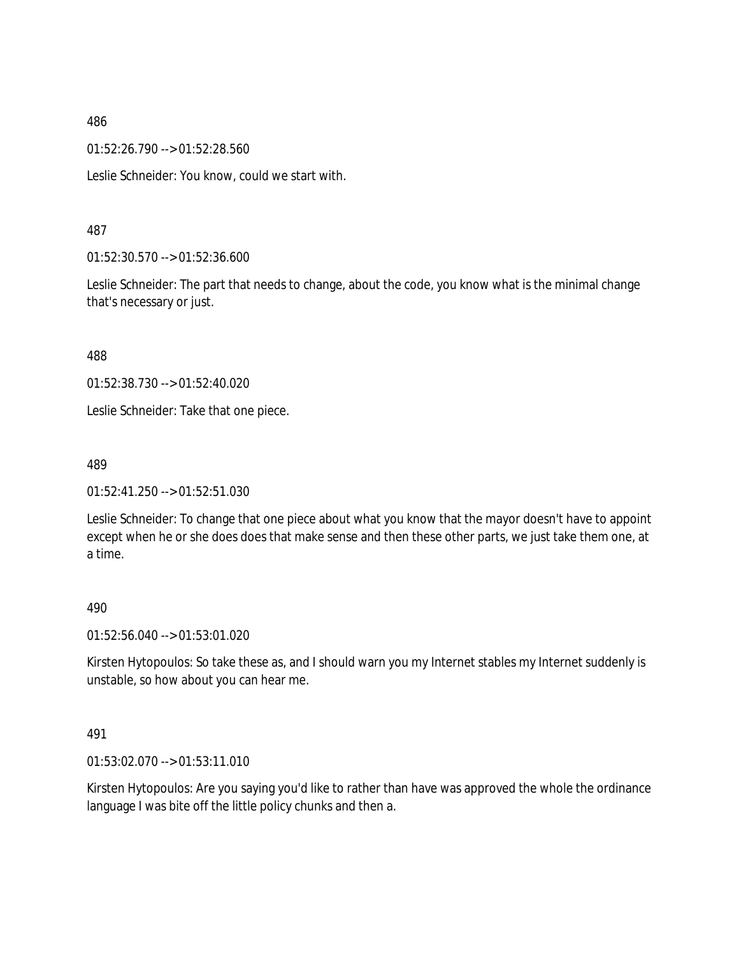01:52:26.790 --> 01:52:28.560

Leslie Schneider: You know, could we start with.

# 487

01:52:30.570 --> 01:52:36.600

Leslie Schneider: The part that needs to change, about the code, you know what is the minimal change that's necessary or just.

488

01:52:38.730 --> 01:52:40.020

Leslie Schneider: Take that one piece.

### 489

01:52:41.250 --> 01:52:51.030

Leslie Schneider: To change that one piece about what you know that the mayor doesn't have to appoint except when he or she does does that make sense and then these other parts, we just take them one, at a time.

### 490

01:52:56.040 --> 01:53:01.020

Kirsten Hytopoulos: So take these as, and I should warn you my Internet stables my Internet suddenly is unstable, so how about you can hear me.

### 491

01:53:02.070 --> 01:53:11.010

Kirsten Hytopoulos: Are you saying you'd like to rather than have was approved the whole the ordinance language I was bite off the little policy chunks and then a.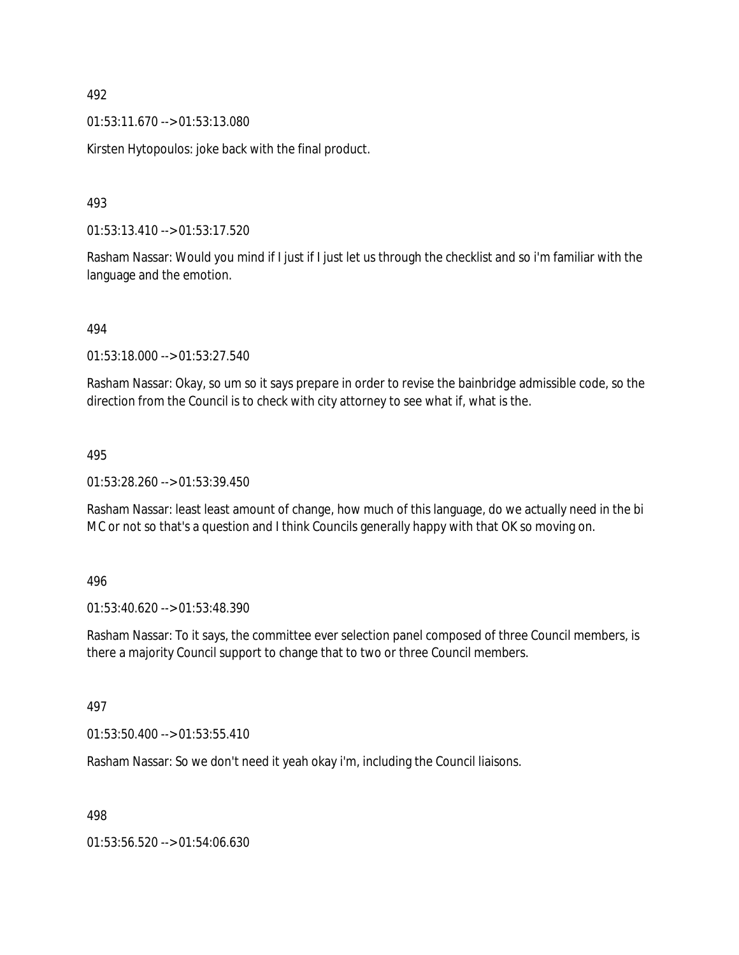01:53:11.670 --> 01:53:13.080

Kirsten Hytopoulos: joke back with the final product.

# 493

01:53:13.410 --> 01:53:17.520

Rasham Nassar: Would you mind if I just if I just let us through the checklist and so i'm familiar with the language and the emotion.

494

01:53:18.000 --> 01:53:27.540

Rasham Nassar: Okay, so um so it says prepare in order to revise the bainbridge admissible code, so the direction from the Council is to check with city attorney to see what if, what is the.

### 495

01:53:28.260 --> 01:53:39.450

Rasham Nassar: least least amount of change, how much of this language, do we actually need in the bi MC or not so that's a question and I think Councils generally happy with that OK so moving on.

### 496

01:53:40.620 --> 01:53:48.390

Rasham Nassar: To it says, the committee ever selection panel composed of three Council members, is there a majority Council support to change that to two or three Council members.

### 497

01:53:50.400 --> 01:53:55.410

Rasham Nassar: So we don't need it yeah okay i'm, including the Council liaisons.

# 498

01:53:56.520 --> 01:54:06.630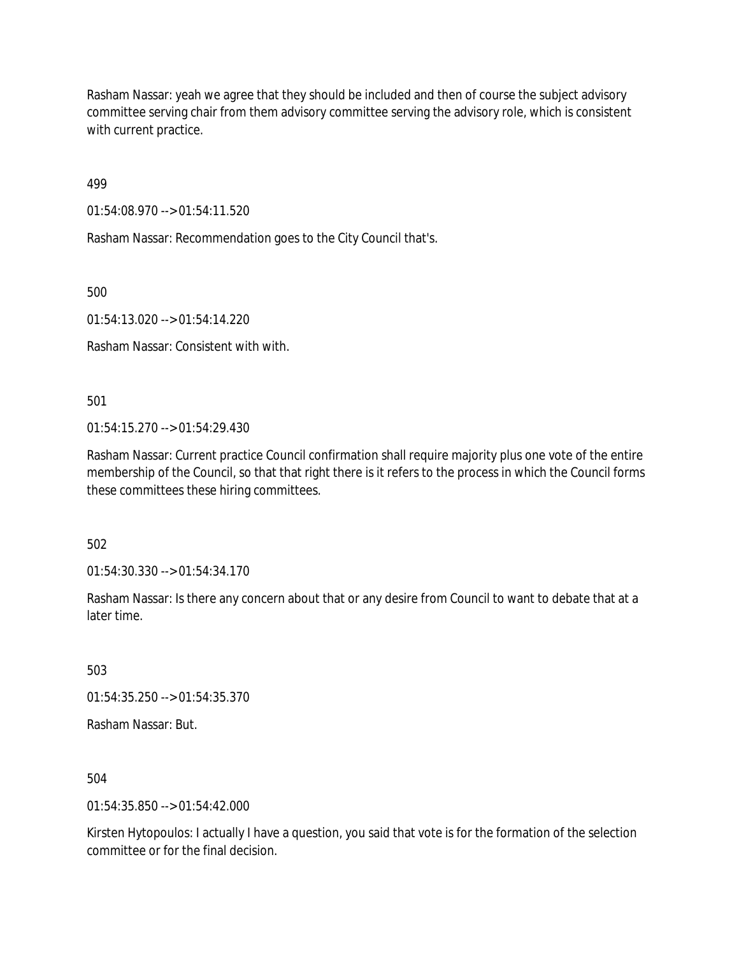Rasham Nassar: yeah we agree that they should be included and then of course the subject advisory committee serving chair from them advisory committee serving the advisory role, which is consistent with current practice.

499

01:54:08.970 --> 01:54:11.520

Rasham Nassar: Recommendation goes to the City Council that's.

500

01:54:13.020 --> 01:54:14.220

Rasham Nassar: Consistent with with.

501

01:54:15.270 --> 01:54:29.430

Rasham Nassar: Current practice Council confirmation shall require majority plus one vote of the entire membership of the Council, so that that right there is it refers to the process in which the Council forms these committees these hiring committees.

502

01:54:30.330 --> 01:54:34.170

Rasham Nassar: Is there any concern about that or any desire from Council to want to debate that at a later time.

503

01:54:35.250 --> 01:54:35.370

Rasham Nassar: But.

504

 $01:54:35.850 \rightarrow 01:54:42.000$ 

Kirsten Hytopoulos: I actually I have a question, you said that vote is for the formation of the selection committee or for the final decision.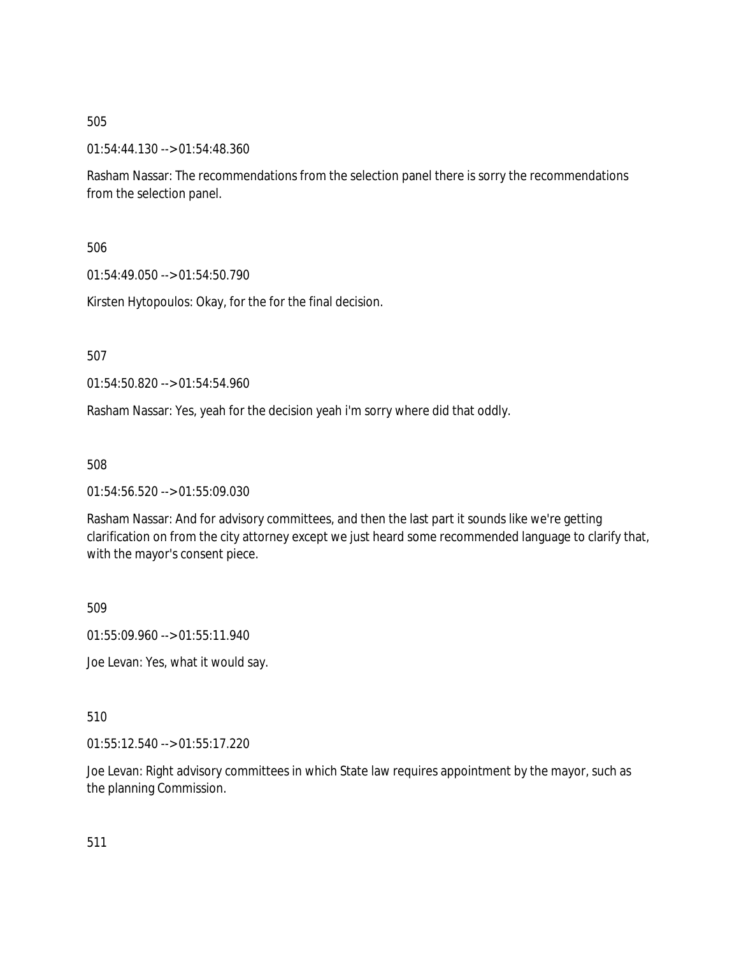01:54:44.130 --> 01:54:48.360

Rasham Nassar: The recommendations from the selection panel there is sorry the recommendations from the selection panel.

506

01:54:49.050 --> 01:54:50.790

Kirsten Hytopoulos: Okay, for the for the final decision.

507

01:54:50.820 --> 01:54:54.960

Rasham Nassar: Yes, yeah for the decision yeah i'm sorry where did that oddly.

508

01:54:56.520 --> 01:55:09.030

Rasham Nassar: And for advisory committees, and then the last part it sounds like we're getting clarification on from the city attorney except we just heard some recommended language to clarify that, with the mayor's consent piece.

509

01:55:09.960 --> 01:55:11.940

Joe Levan: Yes, what it would say.

510

01:55:12.540 --> 01:55:17.220

Joe Levan: Right advisory committees in which State law requires appointment by the mayor, such as the planning Commission.

511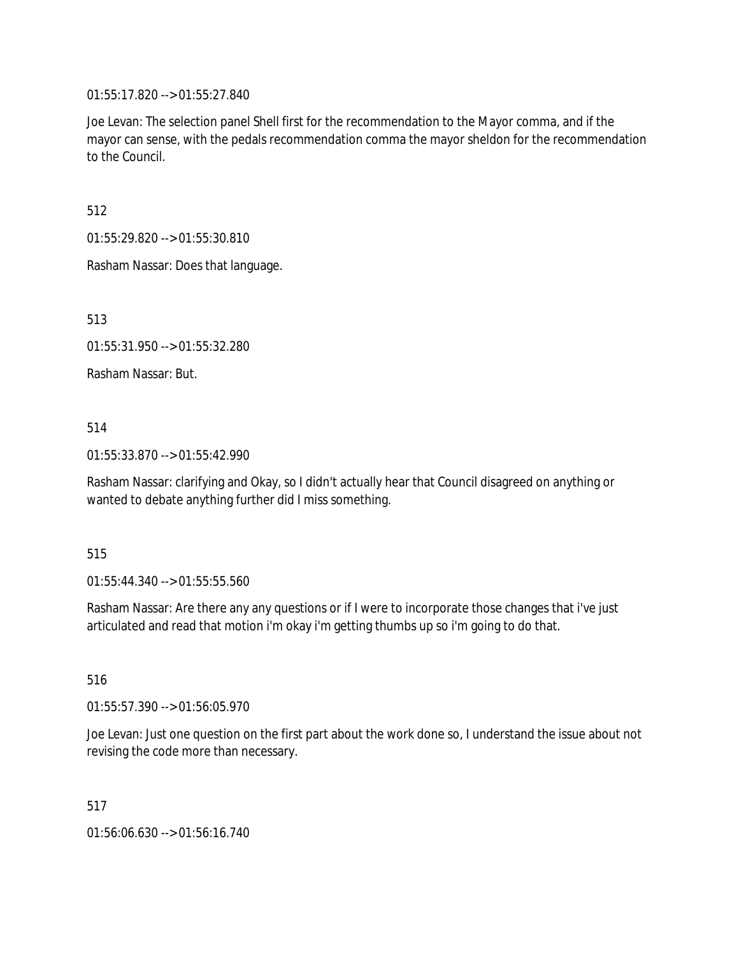01:55:17.820 --> 01:55:27.840

Joe Levan: The selection panel Shell first for the recommendation to the Mayor comma, and if the mayor can sense, with the pedals recommendation comma the mayor sheldon for the recommendation to the Council.

512

01:55:29.820 --> 01:55:30.810

Rasham Nassar: Does that language.

513

01:55:31.950 --> 01:55:32.280

Rasham Nassar: But.

# 514

01:55:33.870 --> 01:55:42.990

Rasham Nassar: clarifying and Okay, so I didn't actually hear that Council disagreed on anything or wanted to debate anything further did I miss something.

# 515

01:55:44.340 --> 01:55:55.560

Rasham Nassar: Are there any any questions or if I were to incorporate those changes that i've just articulated and read that motion i'm okay i'm getting thumbs up so i'm going to do that.

516

01:55:57.390 --> 01:56:05.970

Joe Levan: Just one question on the first part about the work done so, I understand the issue about not revising the code more than necessary.

517

01:56:06.630 --> 01:56:16.740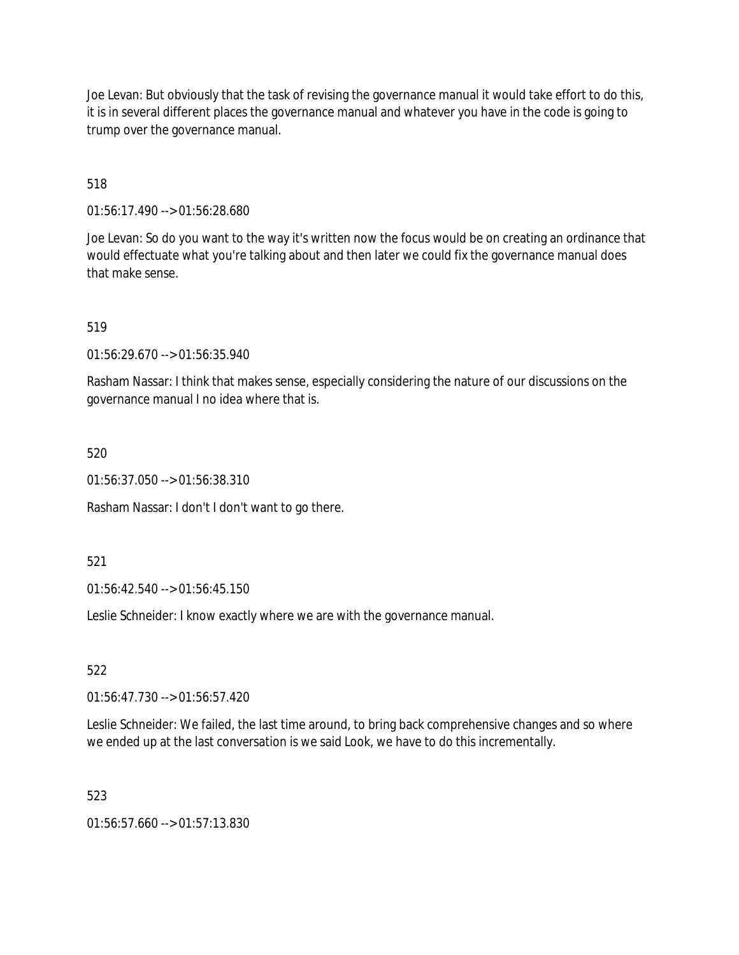Joe Levan: But obviously that the task of revising the governance manual it would take effort to do this, it is in several different places the governance manual and whatever you have in the code is going to trump over the governance manual.

518

01:56:17.490 --> 01:56:28.680

Joe Levan: So do you want to the way it's written now the focus would be on creating an ordinance that would effectuate what you're talking about and then later we could fix the governance manual does that make sense.

519

01:56:29.670 --> 01:56:35.940

Rasham Nassar: I think that makes sense, especially considering the nature of our discussions on the governance manual I no idea where that is.

520

01:56:37.050 --> 01:56:38.310

Rasham Nassar: I don't I don't want to go there.

521

01:56:42.540 --> 01:56:45.150

Leslie Schneider: I know exactly where we are with the governance manual.

522

01:56:47.730 --> 01:56:57.420

Leslie Schneider: We failed, the last time around, to bring back comprehensive changes and so where we ended up at the last conversation is we said Look, we have to do this incrementally.

523

01:56:57.660 --> 01:57:13.830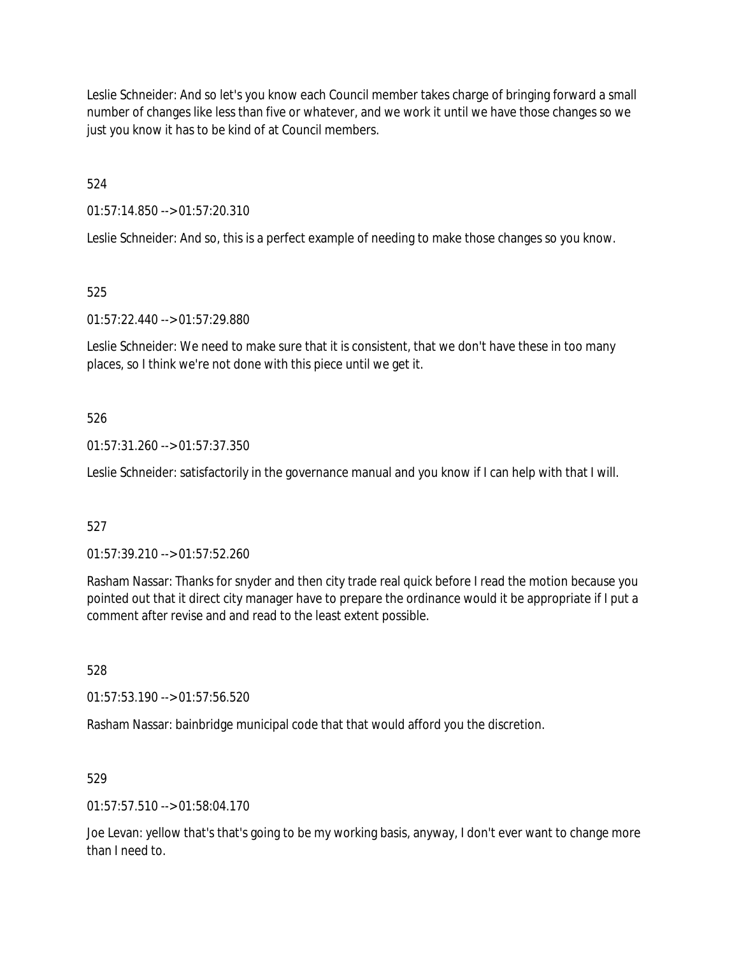Leslie Schneider: And so let's you know each Council member takes charge of bringing forward a small number of changes like less than five or whatever, and we work it until we have those changes so we just you know it has to be kind of at Council members.

524

01:57:14.850 --> 01:57:20.310

Leslie Schneider: And so, this is a perfect example of needing to make those changes so you know.

525

01:57:22.440 --> 01:57:29.880

Leslie Schneider: We need to make sure that it is consistent, that we don't have these in too many places, so I think we're not done with this piece until we get it.

# 526

01:57:31.260 --> 01:57:37.350

Leslie Schneider: satisfactorily in the governance manual and you know if I can help with that I will.

# 527

01:57:39.210 --> 01:57:52.260

Rasham Nassar: Thanks for snyder and then city trade real quick before I read the motion because you pointed out that it direct city manager have to prepare the ordinance would it be appropriate if I put a comment after revise and and read to the least extent possible.

528

01:57:53.190 --> 01:57:56.520

Rasham Nassar: bainbridge municipal code that that would afford you the discretion.

# 529

 $01:57:57.510 \rightarrow 01:58:04.170$ 

Joe Levan: yellow that's that's going to be my working basis, anyway, I don't ever want to change more than I need to.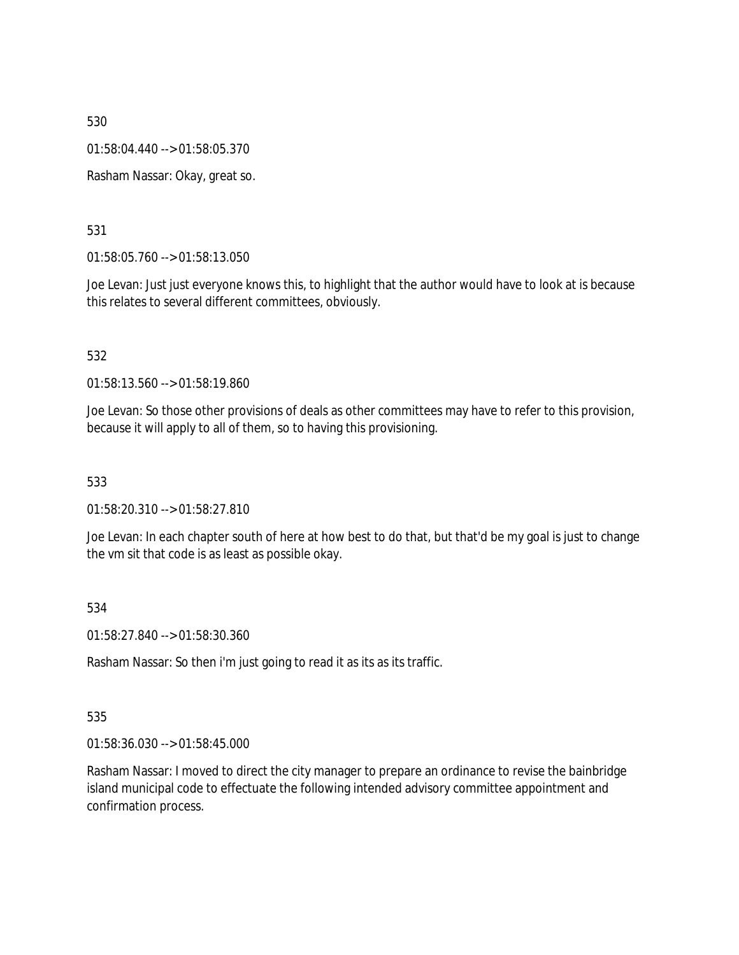01:58:04.440 --> 01:58:05.370

Rasham Nassar: Okay, great so.

### 531

01:58:05.760 --> 01:58:13.050

Joe Levan: Just just everyone knows this, to highlight that the author would have to look at is because this relates to several different committees, obviously.

### 532

01:58:13.560 --> 01:58:19.860

Joe Levan: So those other provisions of deals as other committees may have to refer to this provision, because it will apply to all of them, so to having this provisioning.

### 533

01:58:20.310 --> 01:58:27.810

Joe Levan: In each chapter south of here at how best to do that, but that'd be my goal is just to change the vm sit that code is as least as possible okay.

### 534

01:58:27.840 --> 01:58:30.360

Rasham Nassar: So then i'm just going to read it as its as its traffic.

### 535

01:58:36.030 --> 01:58:45.000

Rasham Nassar: I moved to direct the city manager to prepare an ordinance to revise the bainbridge island municipal code to effectuate the following intended advisory committee appointment and confirmation process.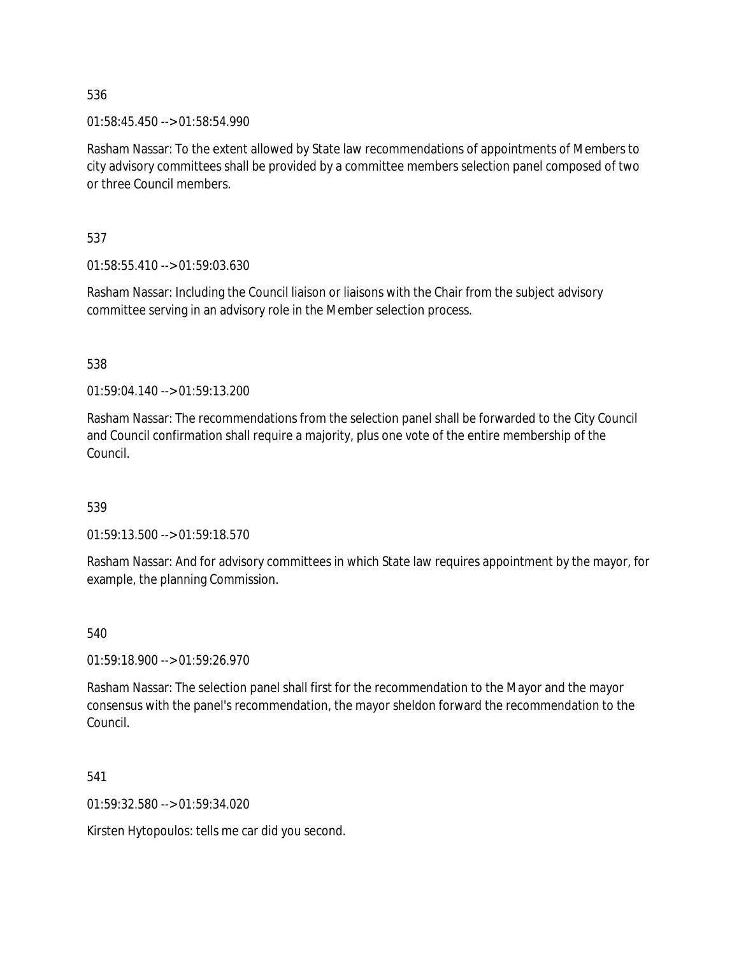01:58:45.450 --> 01:58:54.990

Rasham Nassar: To the extent allowed by State law recommendations of appointments of Members to city advisory committees shall be provided by a committee members selection panel composed of two or three Council members.

537

01:58:55.410 --> 01:59:03.630

Rasham Nassar: Including the Council liaison or liaisons with the Chair from the subject advisory committee serving in an advisory role in the Member selection process.

538

01:59:04.140 --> 01:59:13.200

Rasham Nassar: The recommendations from the selection panel shall be forwarded to the City Council and Council confirmation shall require a majority, plus one vote of the entire membership of the Council.

539

01:59:13.500 --> 01:59:18.570

Rasham Nassar: And for advisory committees in which State law requires appointment by the mayor, for example, the planning Commission.

540

01:59:18.900 --> 01:59:26.970

Rasham Nassar: The selection panel shall first for the recommendation to the Mayor and the mayor consensus with the panel's recommendation, the mayor sheldon forward the recommendation to the Council.

541

01:59:32.580 --> 01:59:34.020

Kirsten Hytopoulos: tells me car did you second.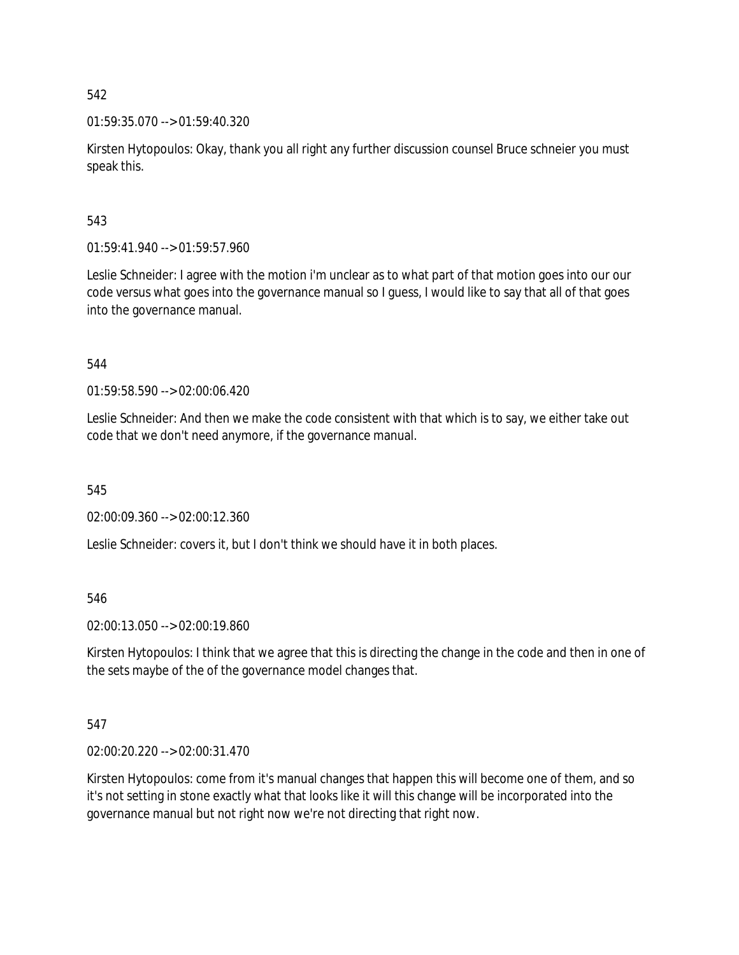01:59:35.070 --> 01:59:40.320

Kirsten Hytopoulos: Okay, thank you all right any further discussion counsel Bruce schneier you must speak this.

# 543

01:59:41.940 --> 01:59:57.960

Leslie Schneider: I agree with the motion i'm unclear as to what part of that motion goes into our our code versus what goes into the governance manual so I guess, I would like to say that all of that goes into the governance manual.

544

01:59:58.590 --> 02:00:06.420

Leslie Schneider: And then we make the code consistent with that which is to say, we either take out code that we don't need anymore, if the governance manual.

545

02:00:09.360 --> 02:00:12.360

Leslie Schneider: covers it, but I don't think we should have it in both places.

546

02:00:13.050 --> 02:00:19.860

Kirsten Hytopoulos: I think that we agree that this is directing the change in the code and then in one of the sets maybe of the of the governance model changes that.

# 547

02:00:20.220 --> 02:00:31.470

Kirsten Hytopoulos: come from it's manual changes that happen this will become one of them, and so it's not setting in stone exactly what that looks like it will this change will be incorporated into the governance manual but not right now we're not directing that right now.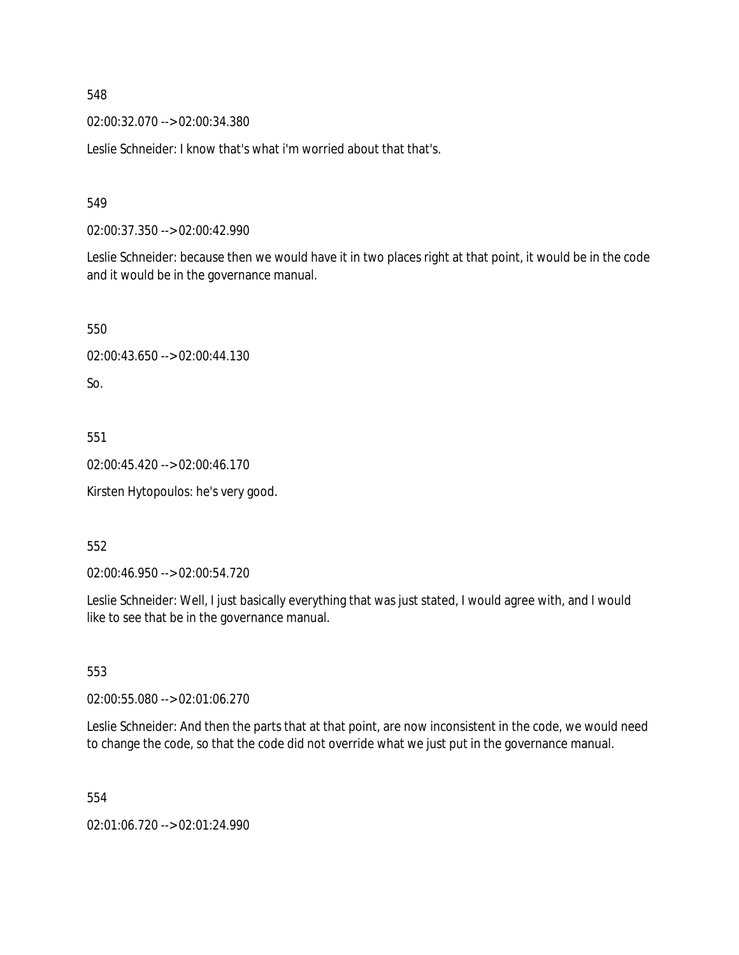02:00:32.070 --> 02:00:34.380

Leslie Schneider: I know that's what i'm worried about that that's.

549

02:00:37.350 --> 02:00:42.990

Leslie Schneider: because then we would have it in two places right at that point, it would be in the code and it would be in the governance manual.

550 02:00:43.650 --> 02:00:44.130 So.

551

02:00:45.420 --> 02:00:46.170

Kirsten Hytopoulos: he's very good.

552

02:00:46.950 --> 02:00:54.720

Leslie Schneider: Well, I just basically everything that was just stated, I would agree with, and I would like to see that be in the governance manual.

553

02:00:55.080 --> 02:01:06.270

Leslie Schneider: And then the parts that at that point, are now inconsistent in the code, we would need to change the code, so that the code did not override what we just put in the governance manual.

554

02:01:06.720 --> 02:01:24.990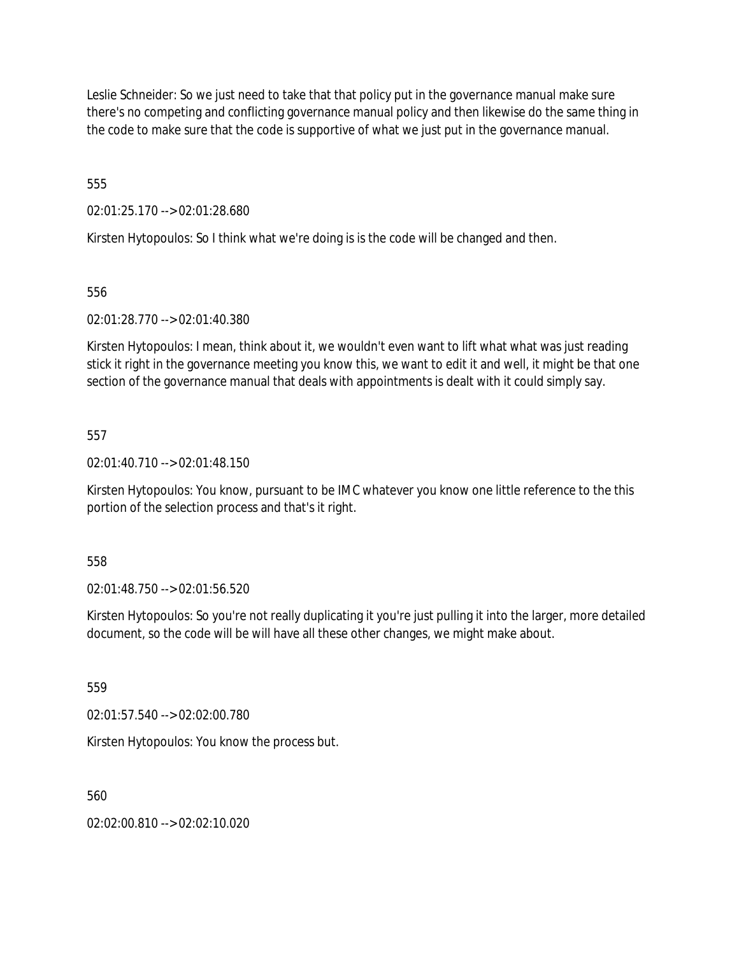Leslie Schneider: So we just need to take that that policy put in the governance manual make sure there's no competing and conflicting governance manual policy and then likewise do the same thing in the code to make sure that the code is supportive of what we just put in the governance manual.

555

02:01:25.170 --> 02:01:28.680

Kirsten Hytopoulos: So I think what we're doing is is the code will be changed and then.

556

02:01:28.770 --> 02:01:40.380

Kirsten Hytopoulos: I mean, think about it, we wouldn't even want to lift what what was just reading stick it right in the governance meeting you know this, we want to edit it and well, it might be that one section of the governance manual that deals with appointments is dealt with it could simply say.

557

02:01:40.710 --> 02:01:48.150

Kirsten Hytopoulos: You know, pursuant to be IMC whatever you know one little reference to the this portion of the selection process and that's it right.

558

02:01:48.750 --> 02:01:56.520

Kirsten Hytopoulos: So you're not really duplicating it you're just pulling it into the larger, more detailed document, so the code will be will have all these other changes, we might make about.

559

02:01:57.540 --> 02:02:00.780

Kirsten Hytopoulos: You know the process but.

560

02:02:00.810 --> 02:02:10.020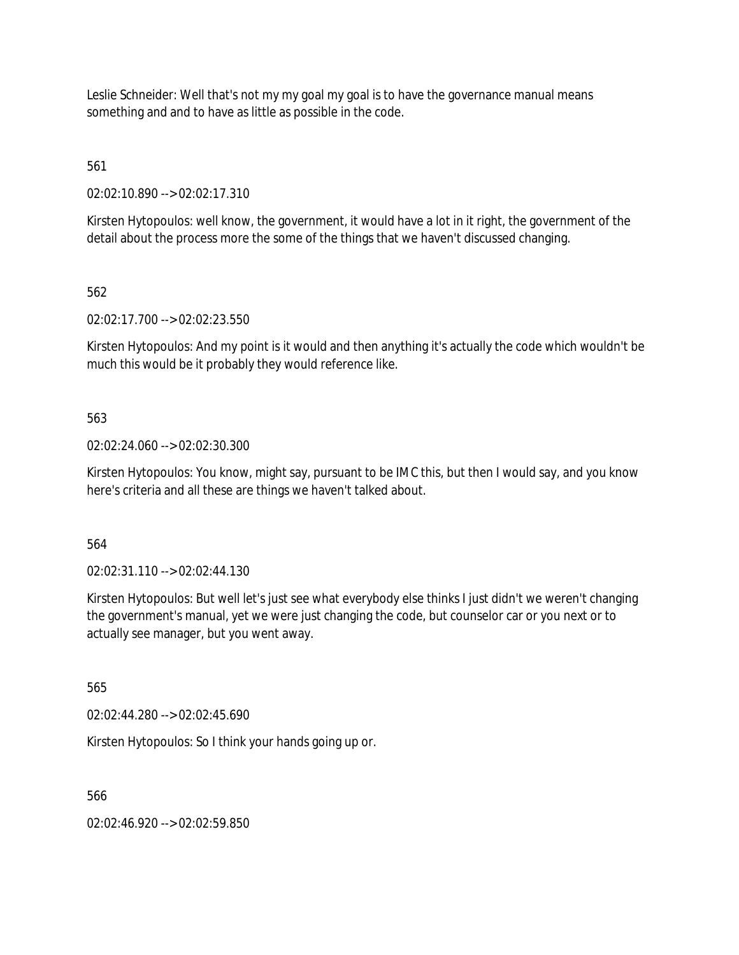Leslie Schneider: Well that's not my my goal my goal is to have the governance manual means something and and to have as little as possible in the code.

561

02:02:10.890 --> 02:02:17.310

Kirsten Hytopoulos: well know, the government, it would have a lot in it right, the government of the detail about the process more the some of the things that we haven't discussed changing.

562

02:02:17.700 --> 02:02:23.550

Kirsten Hytopoulos: And my point is it would and then anything it's actually the code which wouldn't be much this would be it probably they would reference like.

563

02:02:24.060 --> 02:02:30.300

Kirsten Hytopoulos: You know, might say, pursuant to be IMC this, but then I would say, and you know here's criteria and all these are things we haven't talked about.

564

02:02:31.110 --> 02:02:44.130

Kirsten Hytopoulos: But well let's just see what everybody else thinks I just didn't we weren't changing the government's manual, yet we were just changing the code, but counselor car or you next or to actually see manager, but you went away.

565

02:02:44.280 --> 02:02:45.690

Kirsten Hytopoulos: So I think your hands going up or.

566

02:02:46.920 --> 02:02:59.850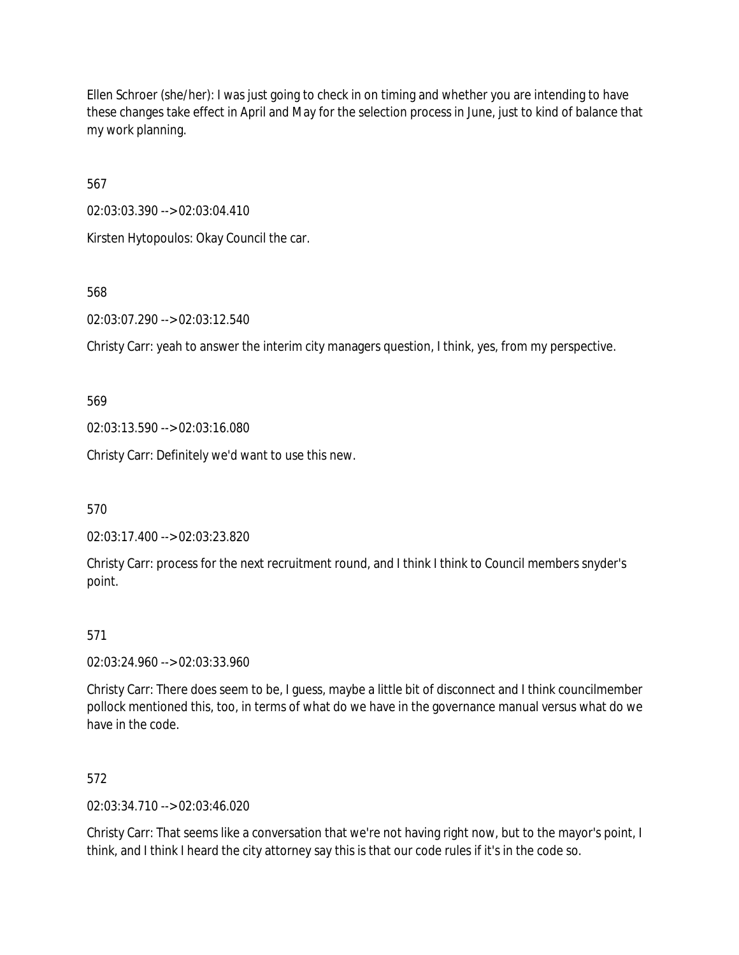Ellen Schroer (she/her): I was just going to check in on timing and whether you are intending to have these changes take effect in April and May for the selection process in June, just to kind of balance that my work planning.

567

02:03:03.390 --> 02:03:04.410

Kirsten Hytopoulos: Okay Council the car.

568

02:03:07.290 --> 02:03:12.540

Christy Carr: yeah to answer the interim city managers question, I think, yes, from my perspective.

569

02:03:13.590 --> 02:03:16.080

Christy Carr: Definitely we'd want to use this new.

570

02:03:17.400 --> 02:03:23.820

Christy Carr: process for the next recruitment round, and I think I think to Council members snyder's point.

# 571

02:03:24.960 --> 02:03:33.960

Christy Carr: There does seem to be, I guess, maybe a little bit of disconnect and I think councilmember pollock mentioned this, too, in terms of what do we have in the governance manual versus what do we have in the code.

572

02:03:34.710 --> 02:03:46.020

Christy Carr: That seems like a conversation that we're not having right now, but to the mayor's point, I think, and I think I heard the city attorney say this is that our code rules if it's in the code so.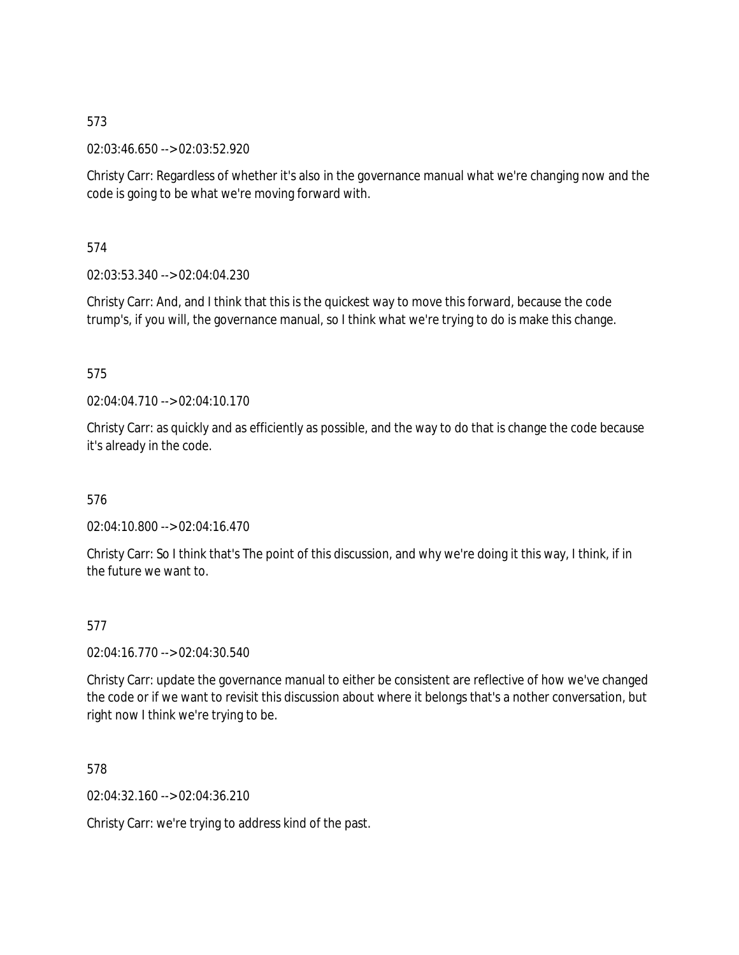02:03:46.650 --> 02:03:52.920

Christy Carr: Regardless of whether it's also in the governance manual what we're changing now and the code is going to be what we're moving forward with.

574

02:03:53.340 --> 02:04:04.230

Christy Carr: And, and I think that this is the quickest way to move this forward, because the code trump's, if you will, the governance manual, so I think what we're trying to do is make this change.

# 575

02:04:04.710 --> 02:04:10.170

Christy Carr: as quickly and as efficiently as possible, and the way to do that is change the code because it's already in the code.

# 576

02:04:10.800 --> 02:04:16.470

Christy Carr: So I think that's The point of this discussion, and why we're doing it this way, I think, if in the future we want to.

# 577

02:04:16.770 --> 02:04:30.540

Christy Carr: update the governance manual to either be consistent are reflective of how we've changed the code or if we want to revisit this discussion about where it belongs that's a nother conversation, but right now I think we're trying to be.

578

02:04:32.160 --> 02:04:36.210

Christy Carr: we're trying to address kind of the past.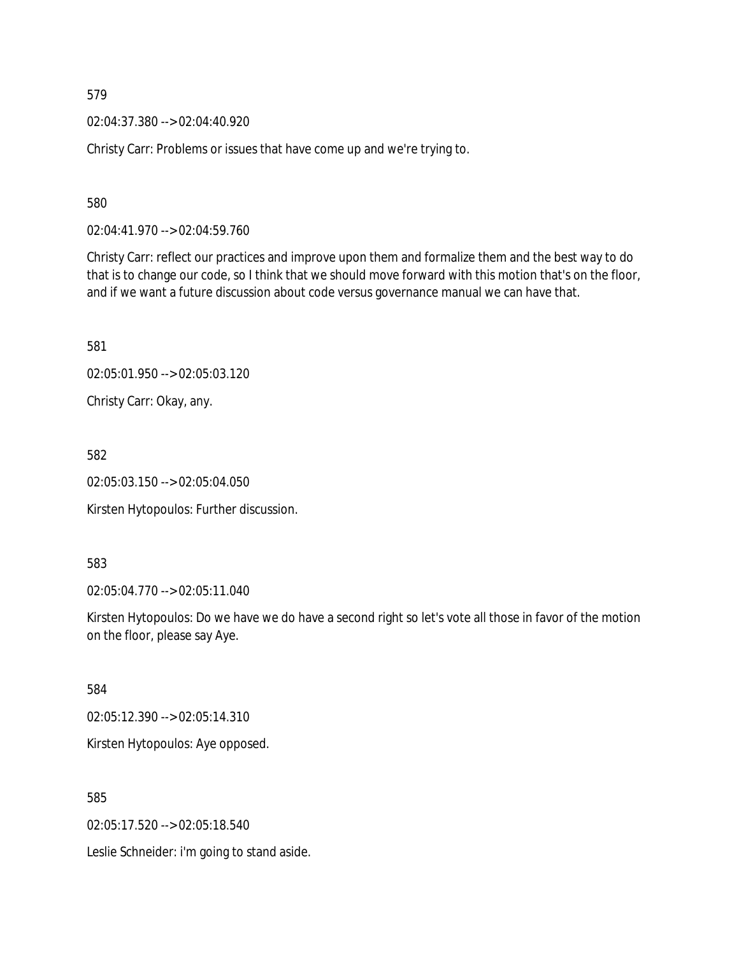02:04:37.380 --> 02:04:40.920

Christy Carr: Problems or issues that have come up and we're trying to.

580

02:04:41.970 --> 02:04:59.760

Christy Carr: reflect our practices and improve upon them and formalize them and the best way to do that is to change our code, so I think that we should move forward with this motion that's on the floor, and if we want a future discussion about code versus governance manual we can have that.

581

02:05:01.950 --> 02:05:03.120

Christy Carr: Okay, any.

582

02:05:03.150 --> 02:05:04.050

Kirsten Hytopoulos: Further discussion.

583

02:05:04.770 --> 02:05:11.040

Kirsten Hytopoulos: Do we have we do have a second right so let's vote all those in favor of the motion on the floor, please say Aye.

584

02:05:12.390 --> 02:05:14.310

Kirsten Hytopoulos: Aye opposed.

585

02:05:17.520 --> 02:05:18.540

Leslie Schneider: i'm going to stand aside.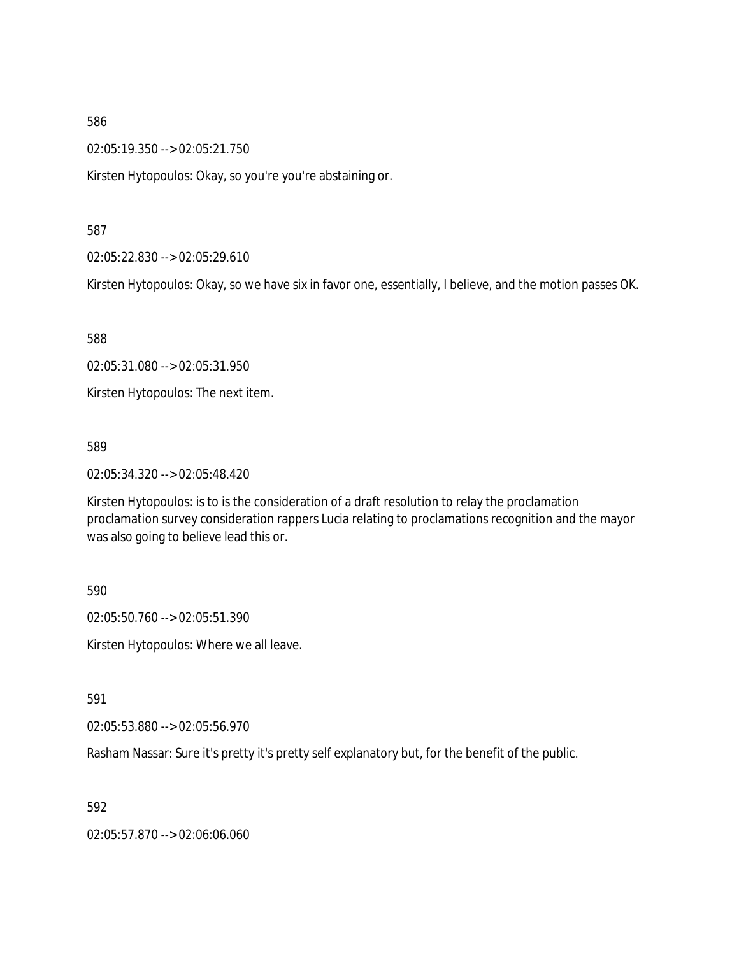02:05:19.350 --> 02:05:21.750

Kirsten Hytopoulos: Okay, so you're you're abstaining or.

587

02:05:22.830 --> 02:05:29.610

Kirsten Hytopoulos: Okay, so we have six in favor one, essentially, I believe, and the motion passes OK.

588

02:05:31.080 --> 02:05:31.950

Kirsten Hytopoulos: The next item.

589

02:05:34.320 --> 02:05:48.420

Kirsten Hytopoulos: is to is the consideration of a draft resolution to relay the proclamation proclamation survey consideration rappers Lucia relating to proclamations recognition and the mayor was also going to believe lead this or.

590

02:05:50.760 --> 02:05:51.390

Kirsten Hytopoulos: Where we all leave.

591

02:05:53.880 --> 02:05:56.970

Rasham Nassar: Sure it's pretty it's pretty self explanatory but, for the benefit of the public.

592

02:05:57.870 --> 02:06:06.060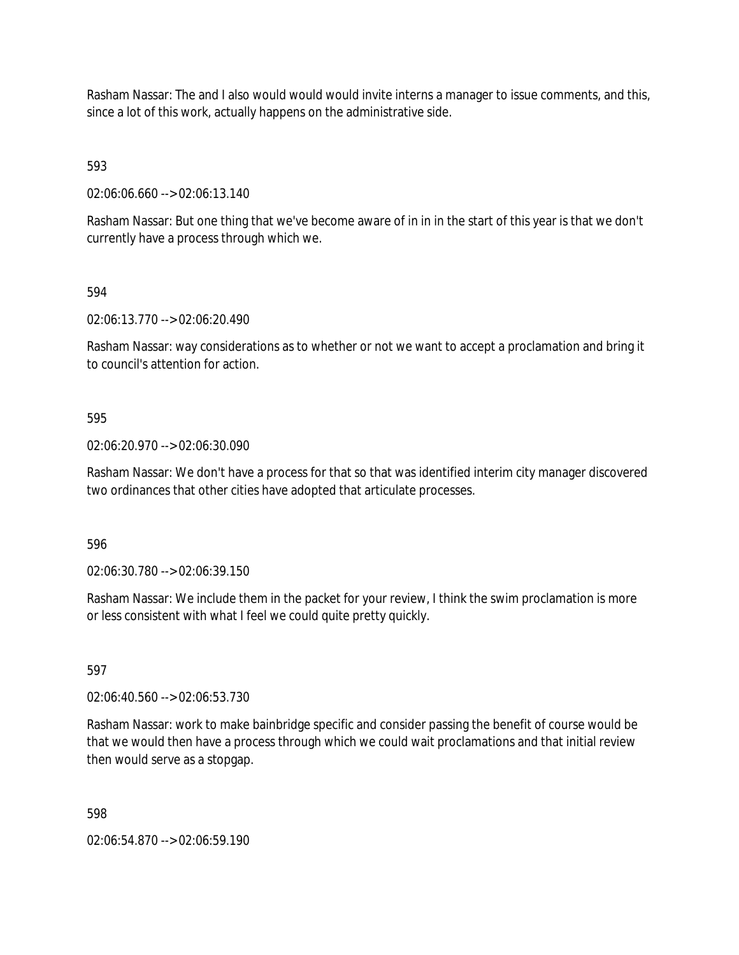Rasham Nassar: The and I also would would would invite interns a manager to issue comments, and this, since a lot of this work, actually happens on the administrative side.

593

02:06:06.660 --> 02:06:13.140

Rasham Nassar: But one thing that we've become aware of in in in the start of this year is that we don't currently have a process through which we.

594

02:06:13.770 --> 02:06:20.490

Rasham Nassar: way considerations as to whether or not we want to accept a proclamation and bring it to council's attention for action.

### 595

02:06:20.970 --> 02:06:30.090

Rasham Nassar: We don't have a process for that so that was identified interim city manager discovered two ordinances that other cities have adopted that articulate processes.

596

02:06:30.780 --> 02:06:39.150

Rasham Nassar: We include them in the packet for your review, I think the swim proclamation is more or less consistent with what I feel we could quite pretty quickly.

597

02:06:40.560 --> 02:06:53.730

Rasham Nassar: work to make bainbridge specific and consider passing the benefit of course would be that we would then have a process through which we could wait proclamations and that initial review then would serve as a stopgap.

598

02:06:54.870 --> 02:06:59.190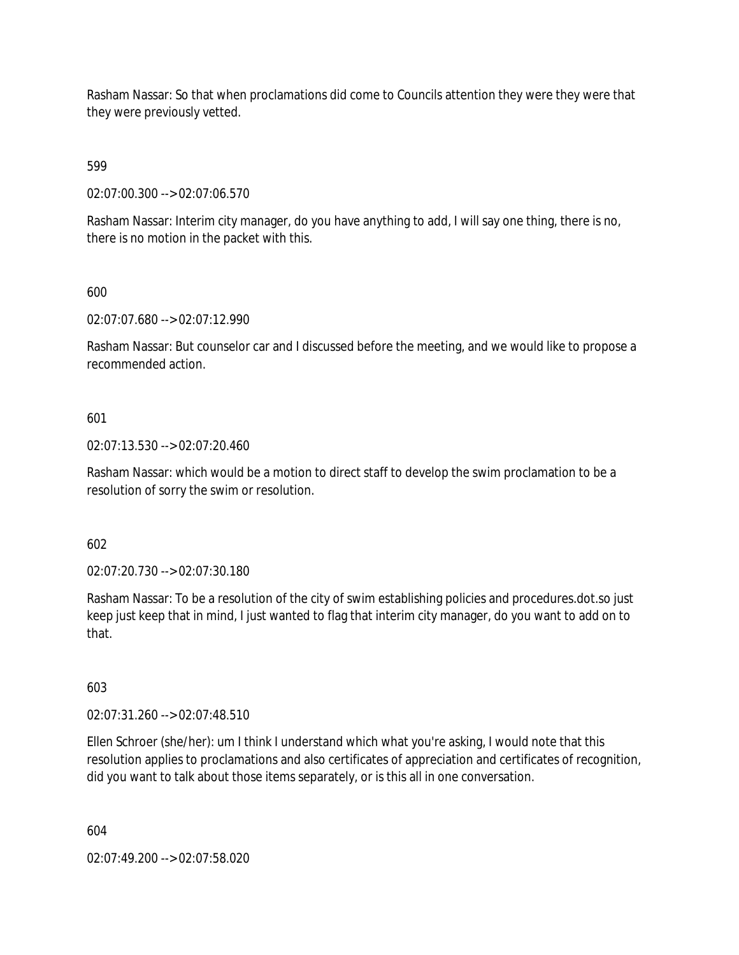Rasham Nassar: So that when proclamations did come to Councils attention they were they were that they were previously vetted.

599

02:07:00.300 --> 02:07:06.570

Rasham Nassar: Interim city manager, do you have anything to add, I will say one thing, there is no, there is no motion in the packet with this.

600

02:07:07.680 --> 02:07:12.990

Rasham Nassar: But counselor car and I discussed before the meeting, and we would like to propose a recommended action.

601

02:07:13.530 --> 02:07:20.460

Rasham Nassar: which would be a motion to direct staff to develop the swim proclamation to be a resolution of sorry the swim or resolution.

602

02:07:20.730 --> 02:07:30.180

Rasham Nassar: To be a resolution of the city of swim establishing policies and procedures.dot.so just keep just keep that in mind, I just wanted to flag that interim city manager, do you want to add on to that.

603

02:07:31.260 --> 02:07:48.510

Ellen Schroer (she/her): um I think I understand which what you're asking, I would note that this resolution applies to proclamations and also certificates of appreciation and certificates of recognition, did you want to talk about those items separately, or is this all in one conversation.

604

02:07:49.200 --> 02:07:58.020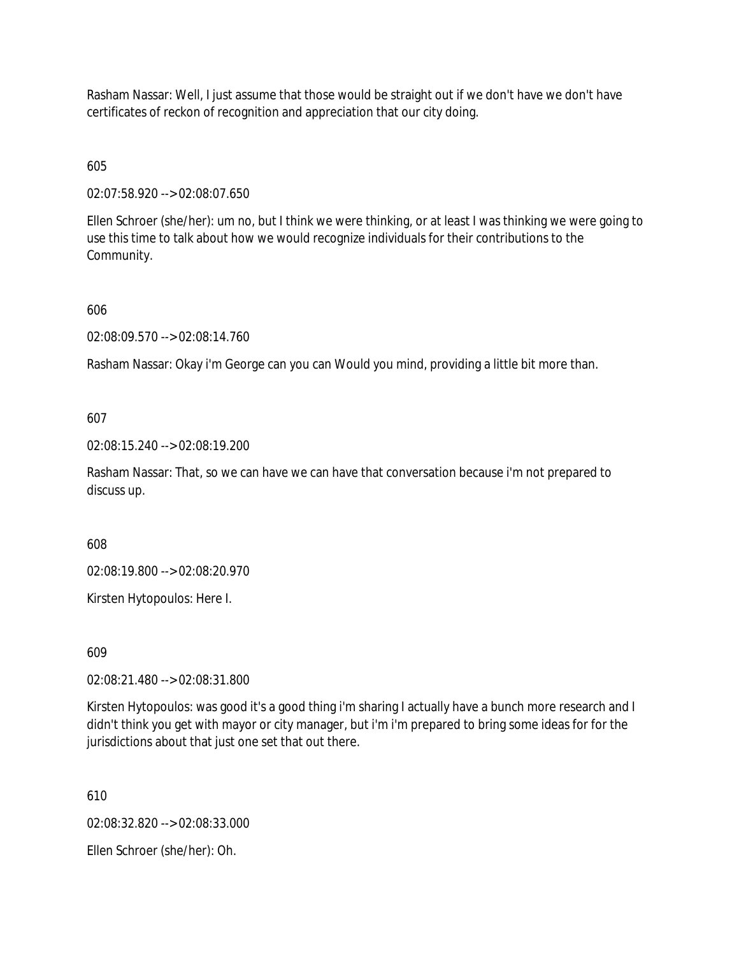Rasham Nassar: Well, I just assume that those would be straight out if we don't have we don't have certificates of reckon of recognition and appreciation that our city doing.

605

02:07:58.920 --> 02:08:07.650

Ellen Schroer (she/her): um no, but I think we were thinking, or at least I was thinking we were going to use this time to talk about how we would recognize individuals for their contributions to the Community.

606

02:08:09.570 --> 02:08:14.760

Rasham Nassar: Okay i'm George can you can Would you mind, providing a little bit more than.

607

02:08:15.240 --> 02:08:19.200

Rasham Nassar: That, so we can have we can have that conversation because i'm not prepared to discuss up.

608

02:08:19.800 --> 02:08:20.970

Kirsten Hytopoulos: Here I.

609

02:08:21.480 --> 02:08:31.800

Kirsten Hytopoulos: was good it's a good thing i'm sharing I actually have a bunch more research and I didn't think you get with mayor or city manager, but i'm i'm prepared to bring some ideas for for the jurisdictions about that just one set that out there.

610

02:08:32.820 --> 02:08:33.000

Ellen Schroer (she/her): Oh.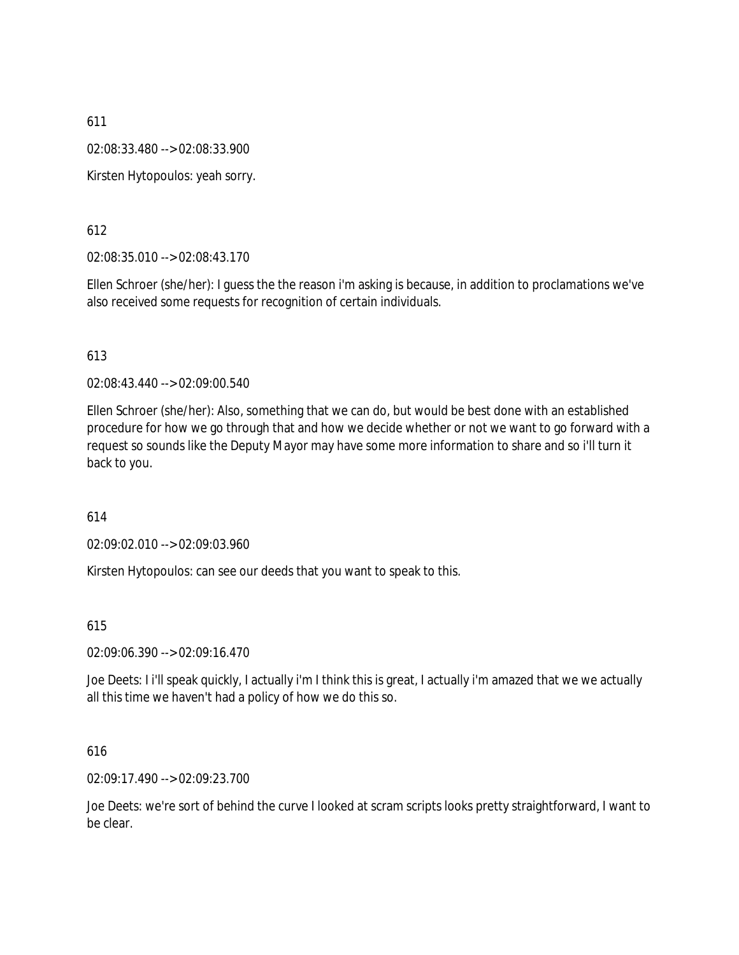02:08:33.480 --> 02:08:33.900

Kirsten Hytopoulos: yeah sorry.

# 612

02:08:35.010 --> 02:08:43.170

Ellen Schroer (she/her): I guess the the reason i'm asking is because, in addition to proclamations we've also received some requests for recognition of certain individuals.

# 613

02:08:43.440 --> 02:09:00.540

Ellen Schroer (she/her): Also, something that we can do, but would be best done with an established procedure for how we go through that and how we decide whether or not we want to go forward with a request so sounds like the Deputy Mayor may have some more information to share and so i'll turn it back to you.

# 614

02:09:02.010 --> 02:09:03.960

Kirsten Hytopoulos: can see our deeds that you want to speak to this.

# 615

02:09:06.390 --> 02:09:16.470

Joe Deets: I i'll speak quickly, I actually i'm I think this is great, I actually i'm amazed that we we actually all this time we haven't had a policy of how we do this so.

# 616

02:09:17.490 --> 02:09:23.700

Joe Deets: we're sort of behind the curve I looked at scram scripts looks pretty straightforward, I want to be clear.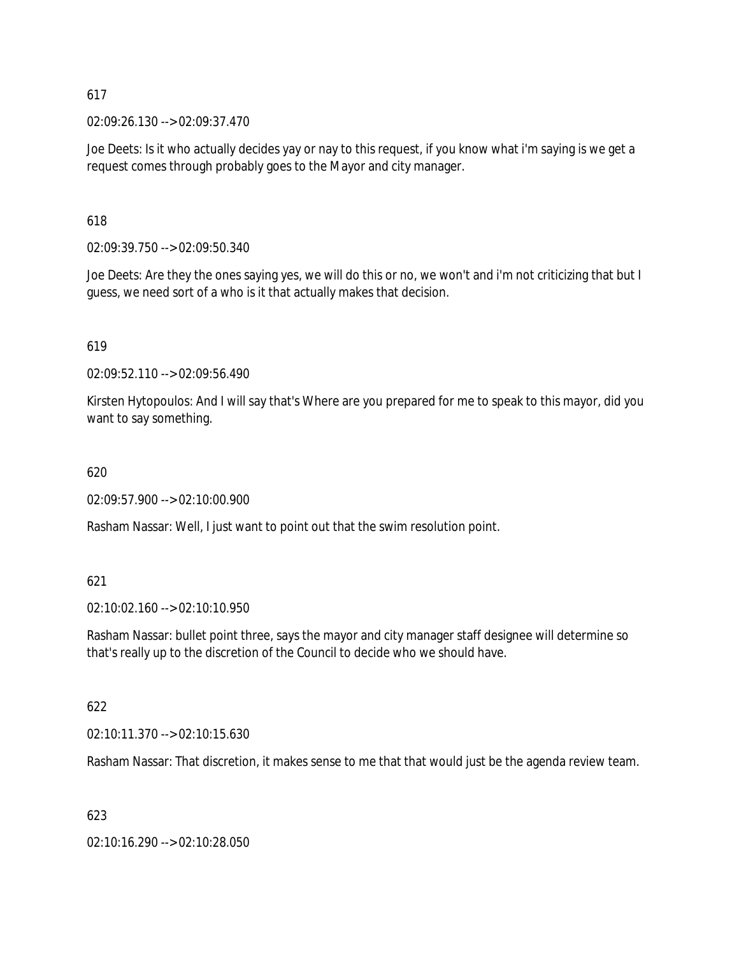02:09:26.130 --> 02:09:37.470

Joe Deets: Is it who actually decides yay or nay to this request, if you know what i'm saying is we get a request comes through probably goes to the Mayor and city manager.

618

02:09:39.750 --> 02:09:50.340

Joe Deets: Are they the ones saying yes, we will do this or no, we won't and i'm not criticizing that but I guess, we need sort of a who is it that actually makes that decision.

619

02:09:52.110 --> 02:09:56.490

Kirsten Hytopoulos: And I will say that's Where are you prepared for me to speak to this mayor, did you want to say something.

620

02:09:57.900 --> 02:10:00.900

Rasham Nassar: Well, I just want to point out that the swim resolution point.

# 621

02:10:02.160 --> 02:10:10.950

Rasham Nassar: bullet point three, says the mayor and city manager staff designee will determine so that's really up to the discretion of the Council to decide who we should have.

# 622

02:10:11.370 --> 02:10:15.630

Rasham Nassar: That discretion, it makes sense to me that that would just be the agenda review team.

# 623

02:10:16.290 --> 02:10:28.050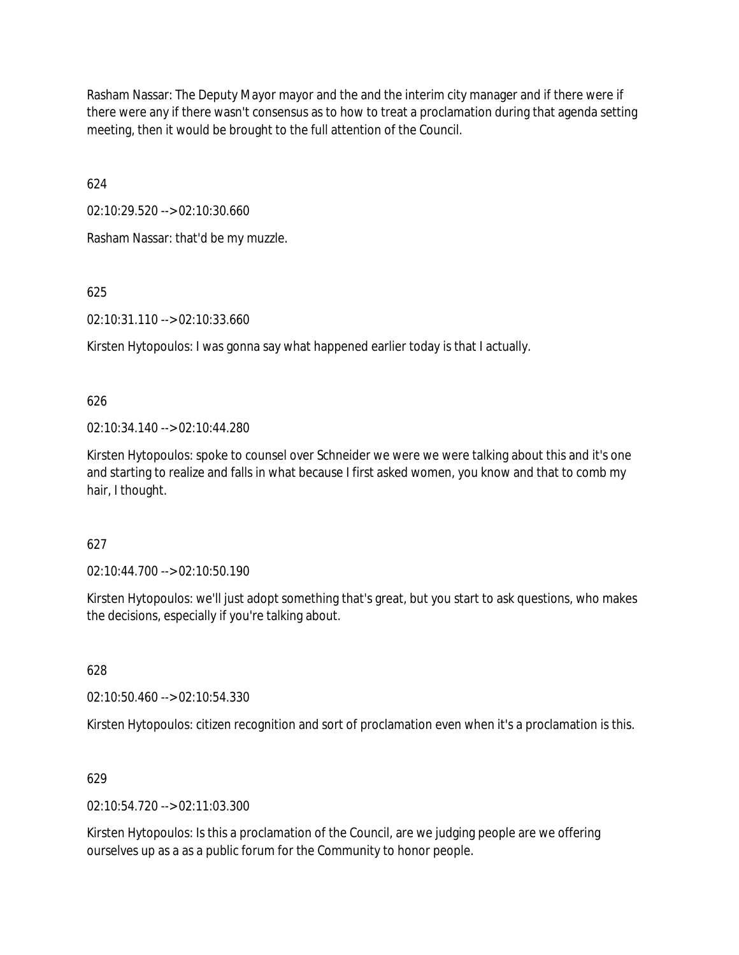Rasham Nassar: The Deputy Mayor mayor and the and the interim city manager and if there were if there were any if there wasn't consensus as to how to treat a proclamation during that agenda setting meeting, then it would be brought to the full attention of the Council.

624

02:10:29.520 --> 02:10:30.660

Rasham Nassar: that'd be my muzzle.

625

02:10:31.110 --> 02:10:33.660

Kirsten Hytopoulos: I was gonna say what happened earlier today is that I actually.

626

02:10:34.140 --> 02:10:44.280

Kirsten Hytopoulos: spoke to counsel over Schneider we were we were talking about this and it's one and starting to realize and falls in what because I first asked women, you know and that to comb my hair, I thought.

627

02:10:44.700 --> 02:10:50.190

Kirsten Hytopoulos: we'll just adopt something that's great, but you start to ask questions, who makes the decisions, especially if you're talking about.

628

02:10:50.460 --> 02:10:54.330

Kirsten Hytopoulos: citizen recognition and sort of proclamation even when it's a proclamation is this.

629

02:10:54.720 --> 02:11:03.300

Kirsten Hytopoulos: Is this a proclamation of the Council, are we judging people are we offering ourselves up as a as a public forum for the Community to honor people.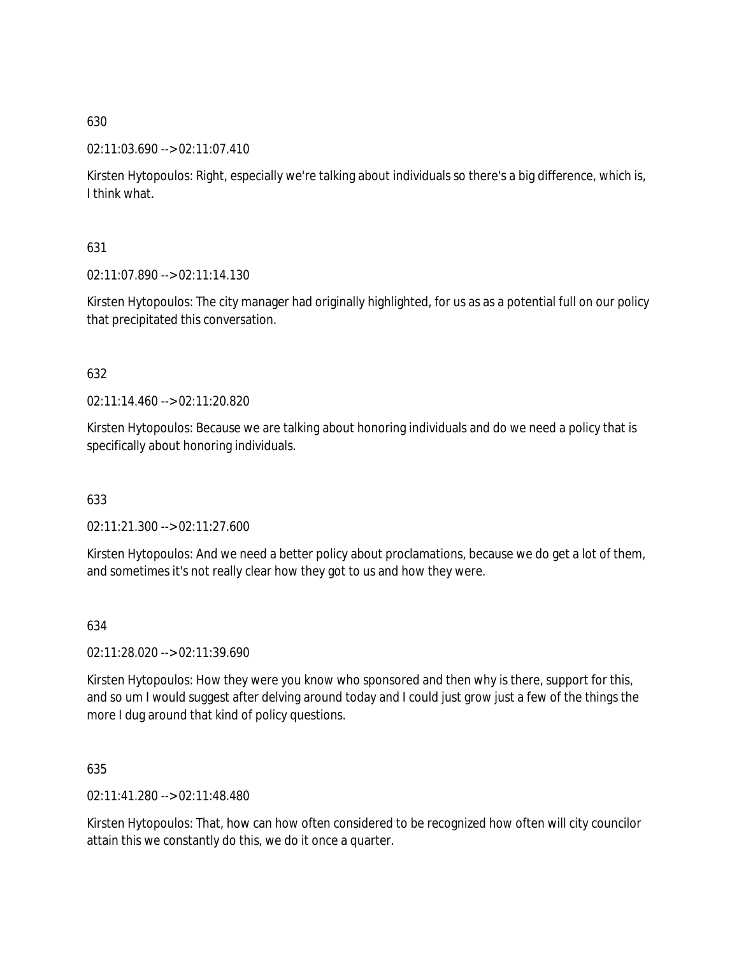# 02:11:03.690 --> 02:11:07.410

Kirsten Hytopoulos: Right, especially we're talking about individuals so there's a big difference, which is, I think what.

# 631

02:11:07.890 --> 02:11:14.130

Kirsten Hytopoulos: The city manager had originally highlighted, for us as as a potential full on our policy that precipitated this conversation.

# 632

02:11:14.460 --> 02:11:20.820

Kirsten Hytopoulos: Because we are talking about honoring individuals and do we need a policy that is specifically about honoring individuals.

# 633

02:11:21.300 --> 02:11:27.600

Kirsten Hytopoulos: And we need a better policy about proclamations, because we do get a lot of them, and sometimes it's not really clear how they got to us and how they were.

# 634

02:11:28.020 --> 02:11:39.690

Kirsten Hytopoulos: How they were you know who sponsored and then why is there, support for this, and so um I would suggest after delving around today and I could just grow just a few of the things the more I dug around that kind of policy questions.

# 635

02:11:41.280 --> 02:11:48.480

Kirsten Hytopoulos: That, how can how often considered to be recognized how often will city councilor attain this we constantly do this, we do it once a quarter.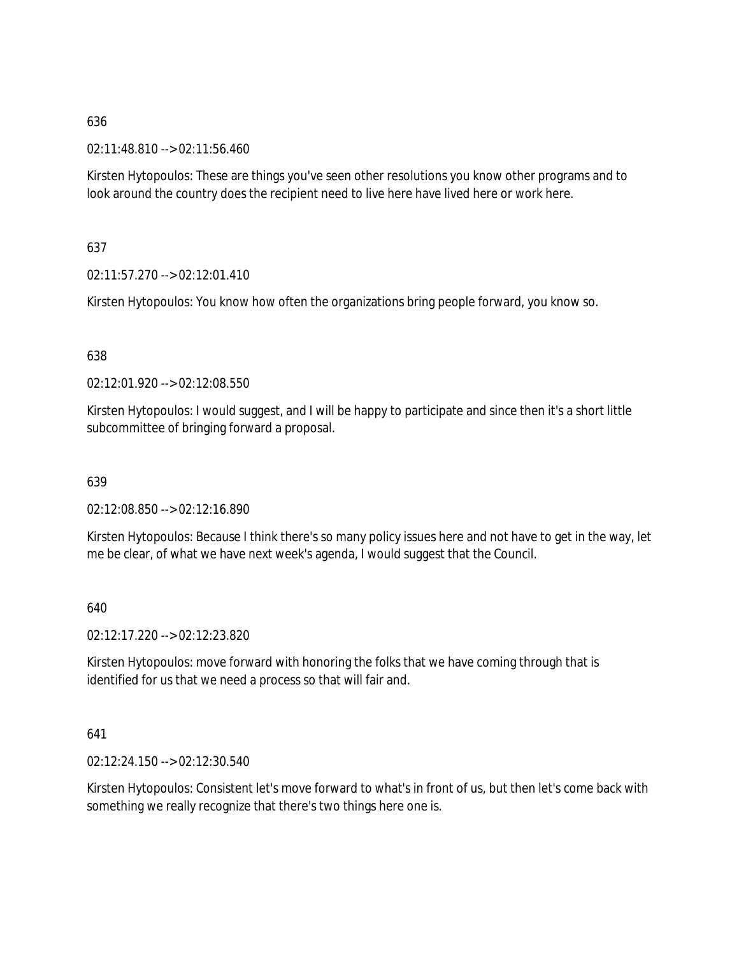02:11:48.810 --> 02:11:56.460

Kirsten Hytopoulos: These are things you've seen other resolutions you know other programs and to look around the country does the recipient need to live here have lived here or work here.

# 637

02:11:57.270 --> 02:12:01.410

Kirsten Hytopoulos: You know how often the organizations bring people forward, you know so.

# 638

02:12:01.920 --> 02:12:08.550

Kirsten Hytopoulos: I would suggest, and I will be happy to participate and since then it's a short little subcommittee of bringing forward a proposal.

# 639

02:12:08.850 --> 02:12:16.890

Kirsten Hytopoulos: Because I think there's so many policy issues here and not have to get in the way, let me be clear, of what we have next week's agenda, I would suggest that the Council.

640

02:12:17.220 --> 02:12:23.820

Kirsten Hytopoulos: move forward with honoring the folks that we have coming through that is identified for us that we need a process so that will fair and.

# 641

02:12:24.150 --> 02:12:30.540

Kirsten Hytopoulos: Consistent let's move forward to what's in front of us, but then let's come back with something we really recognize that there's two things here one is.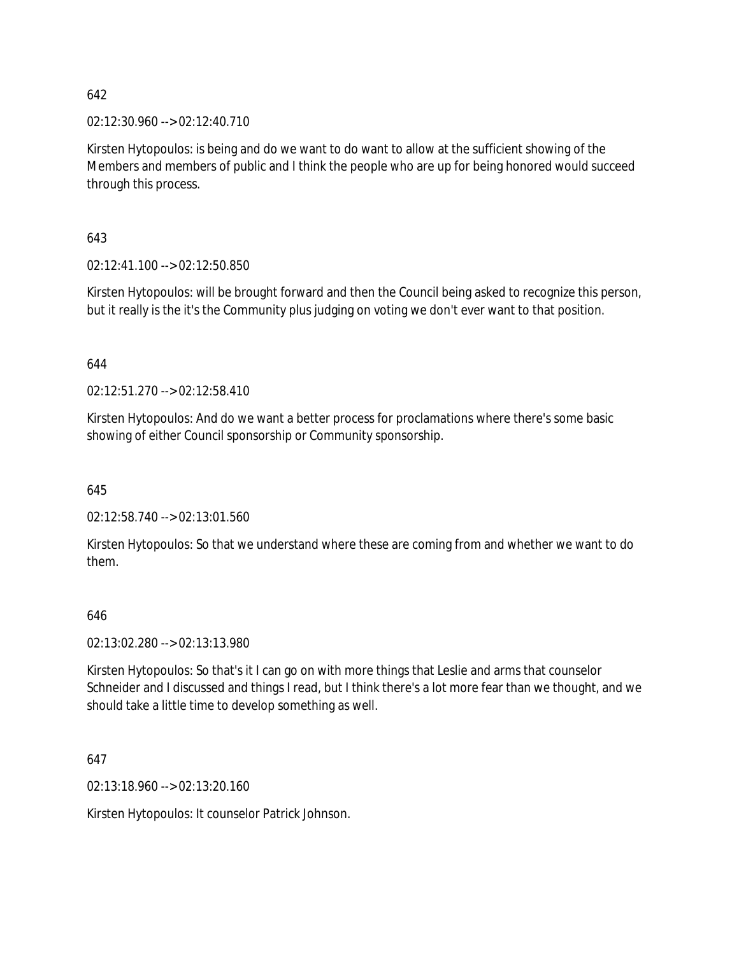02:12:30.960 --> 02:12:40.710

Kirsten Hytopoulos: is being and do we want to do want to allow at the sufficient showing of the Members and members of public and I think the people who are up for being honored would succeed through this process.

643

02:12:41.100 --> 02:12:50.850

Kirsten Hytopoulos: will be brought forward and then the Council being asked to recognize this person, but it really is the it's the Community plus judging on voting we don't ever want to that position.

644

02:12:51.270 --> 02:12:58.410

Kirsten Hytopoulos: And do we want a better process for proclamations where there's some basic showing of either Council sponsorship or Community sponsorship.

645

02:12:58.740 --> 02:13:01.560

Kirsten Hytopoulos: So that we understand where these are coming from and whether we want to do them.

### 646

02:13:02.280 --> 02:13:13.980

Kirsten Hytopoulos: So that's it I can go on with more things that Leslie and arms that counselor Schneider and I discussed and things I read, but I think there's a lot more fear than we thought, and we should take a little time to develop something as well.

647

02:13:18.960 --> 02:13:20.160

Kirsten Hytopoulos: It counselor Patrick Johnson.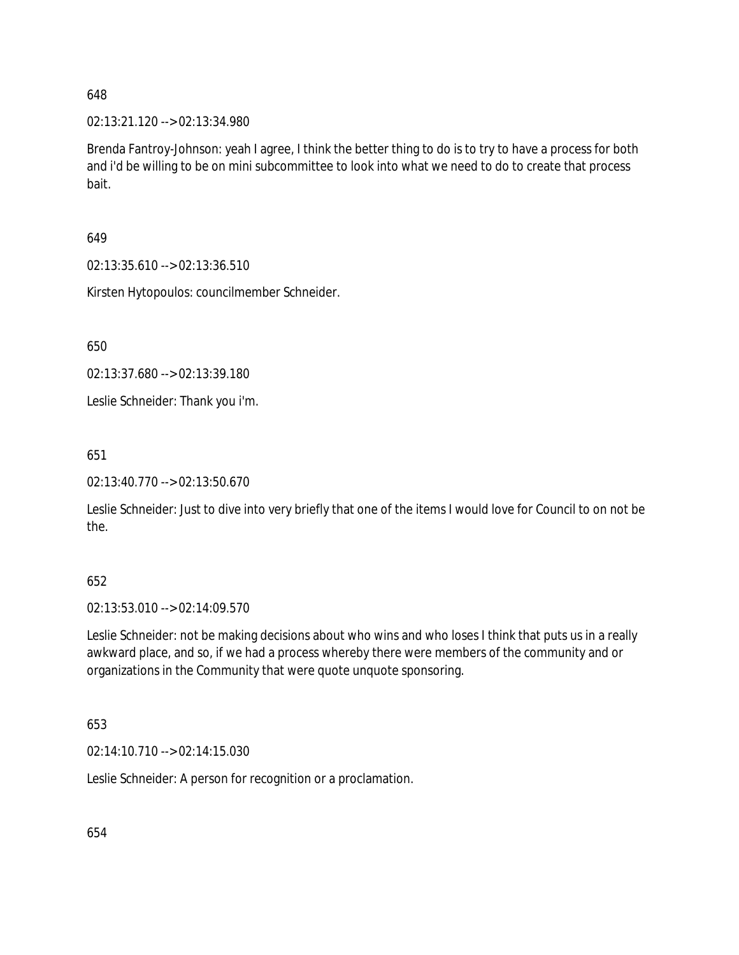02:13:21.120 --> 02:13:34.980

Brenda Fantroy-Johnson: yeah I agree, I think the better thing to do is to try to have a process for both and i'd be willing to be on mini subcommittee to look into what we need to do to create that process bait.

649

02:13:35.610 --> 02:13:36.510

Kirsten Hytopoulos: councilmember Schneider.

650

02:13:37.680 --> 02:13:39.180

Leslie Schneider: Thank you i'm.

651

02:13:40.770 --> 02:13:50.670

Leslie Schneider: Just to dive into very briefly that one of the items I would love for Council to on not be the.

### 652

02:13:53.010 --> 02:14:09.570

Leslie Schneider: not be making decisions about who wins and who loses I think that puts us in a really awkward place, and so, if we had a process whereby there were members of the community and or organizations in the Community that were quote unquote sponsoring.

# 653

02:14:10.710 --> 02:14:15.030

Leslie Schneider: A person for recognition or a proclamation.

654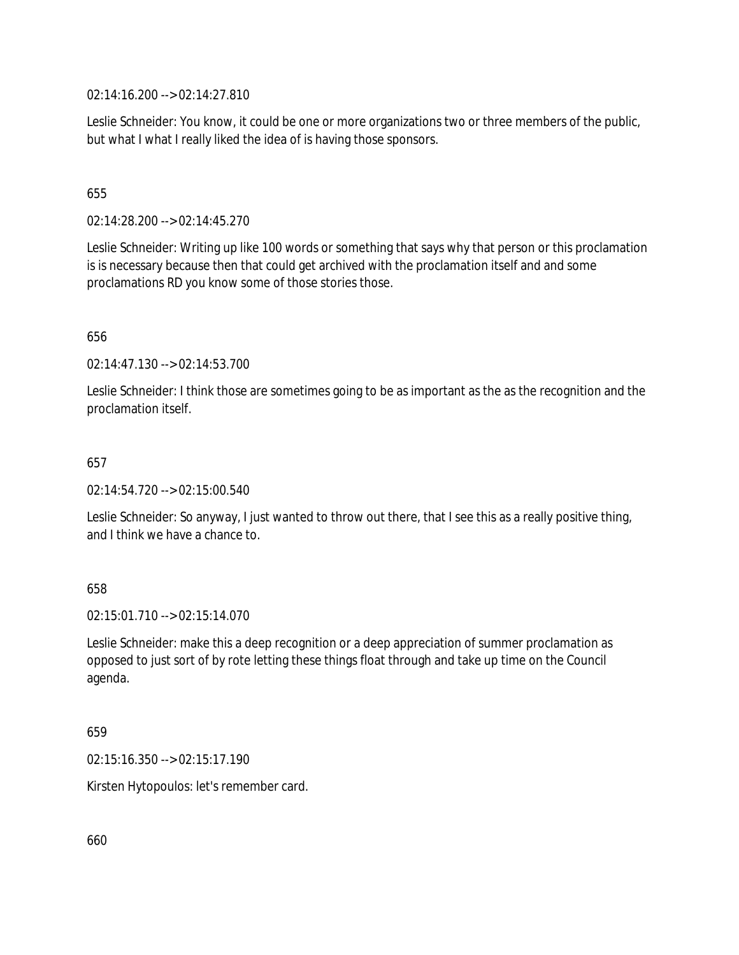02:14:16.200 --> 02:14:27.810

Leslie Schneider: You know, it could be one or more organizations two or three members of the public, but what I what I really liked the idea of is having those sponsors.

# 655

02:14:28.200 --> 02:14:45.270

Leslie Schneider: Writing up like 100 words or something that says why that person or this proclamation is is necessary because then that could get archived with the proclamation itself and and some proclamations RD you know some of those stories those.

# 656

02:14:47.130 --> 02:14:53.700

Leslie Schneider: I think those are sometimes going to be as important as the as the recognition and the proclamation itself.

### 657

02:14:54.720 --> 02:15:00.540

Leslie Schneider: So anyway, I just wanted to throw out there, that I see this as a really positive thing, and I think we have a chance to.

# 658

02:15:01.710 --> 02:15:14.070

Leslie Schneider: make this a deep recognition or a deep appreciation of summer proclamation as opposed to just sort of by rote letting these things float through and take up time on the Council agenda.

### 659

02:15:16.350 --> 02:15:17.190

Kirsten Hytopoulos: let's remember card.

660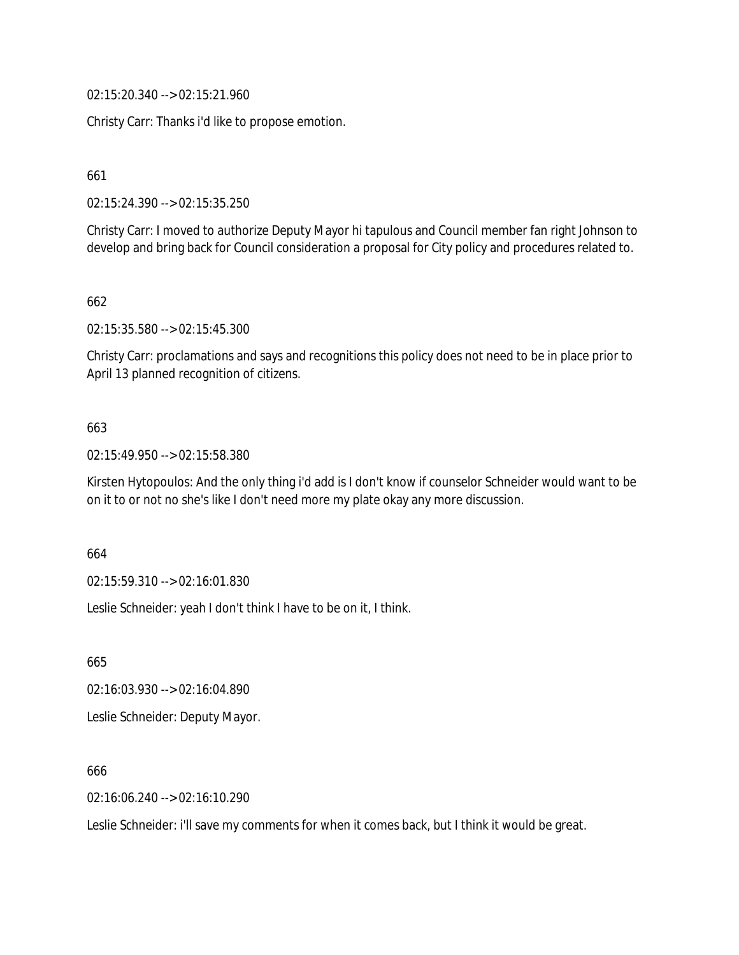02:15:20.340 --> 02:15:21.960

Christy Carr: Thanks i'd like to propose emotion.

661

02:15:24.390 --> 02:15:35.250

Christy Carr: I moved to authorize Deputy Mayor hi tapulous and Council member fan right Johnson to develop and bring back for Council consideration a proposal for City policy and procedures related to.

662

02:15:35.580 --> 02:15:45.300

Christy Carr: proclamations and says and recognitions this policy does not need to be in place prior to April 13 planned recognition of citizens.

# 663

02:15:49.950 --> 02:15:58.380

Kirsten Hytopoulos: And the only thing i'd add is I don't know if counselor Schneider would want to be on it to or not no she's like I don't need more my plate okay any more discussion.

664

02:15:59.310 --> 02:16:01.830

Leslie Schneider: yeah I don't think I have to be on it, I think.

665

02:16:03.930 --> 02:16:04.890 Leslie Schneider: Deputy Mayor.

666

02:16:06.240 --> 02:16:10.290

Leslie Schneider: i'll save my comments for when it comes back, but I think it would be great.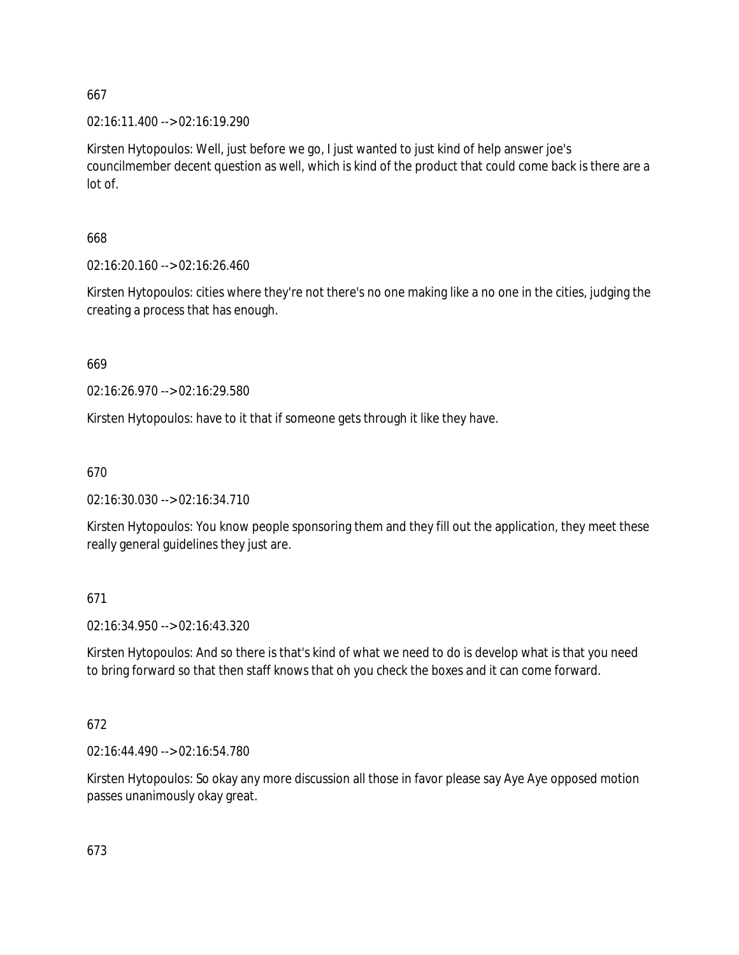02:16:11.400 --> 02:16:19.290

Kirsten Hytopoulos: Well, just before we go, I just wanted to just kind of help answer joe's councilmember decent question as well, which is kind of the product that could come back is there are a lot of.

668

02:16:20.160 --> 02:16:26.460

Kirsten Hytopoulos: cities where they're not there's no one making like a no one in the cities, judging the creating a process that has enough.

669

02:16:26.970 --> 02:16:29.580

Kirsten Hytopoulos: have to it that if someone gets through it like they have.

670

02:16:30.030 --> 02:16:34.710

Kirsten Hytopoulos: You know people sponsoring them and they fill out the application, they meet these really general guidelines they just are.

671

02:16:34.950 --> 02:16:43.320

Kirsten Hytopoulos: And so there is that's kind of what we need to do is develop what is that you need to bring forward so that then staff knows that oh you check the boxes and it can come forward.

672

02:16:44.490 --> 02:16:54.780

Kirsten Hytopoulos: So okay any more discussion all those in favor please say Aye Aye opposed motion passes unanimously okay great.

673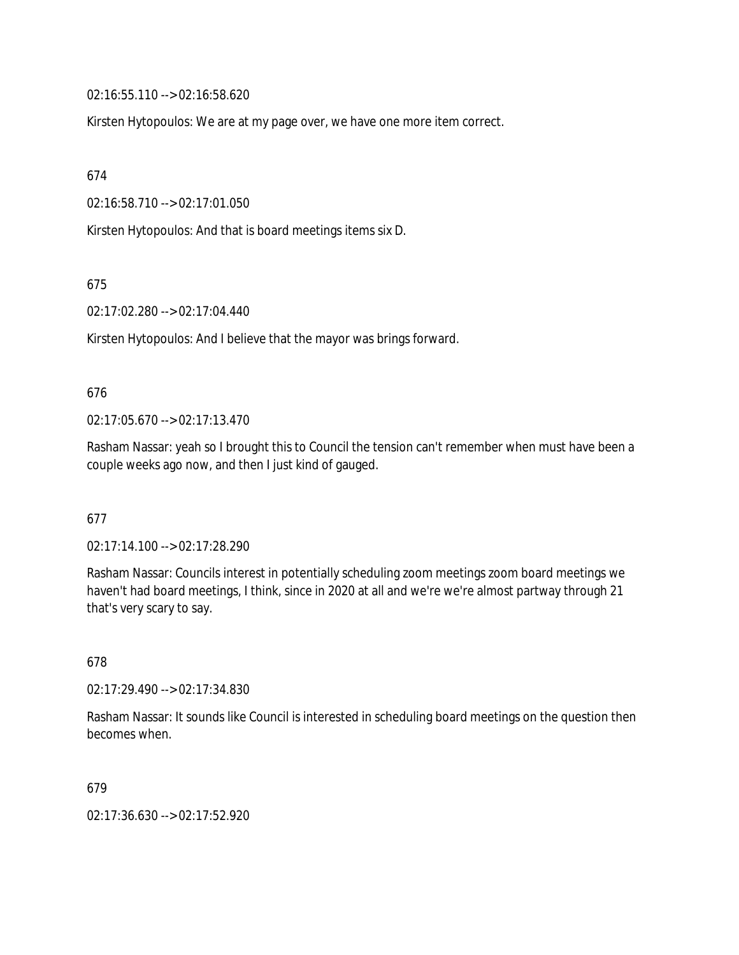02:16:55.110 --> 02:16:58.620

Kirsten Hytopoulos: We are at my page over, we have one more item correct.

674

02:16:58.710 --> 02:17:01.050

Kirsten Hytopoulos: And that is board meetings items six D.

675

02:17:02.280 --> 02:17:04.440

Kirsten Hytopoulos: And I believe that the mayor was brings forward.

### 676

02:17:05.670 --> 02:17:13.470

Rasham Nassar: yeah so I brought this to Council the tension can't remember when must have been a couple weeks ago now, and then I just kind of gauged.

# 677

02:17:14.100 --> 02:17:28.290

Rasham Nassar: Councils interest in potentially scheduling zoom meetings zoom board meetings we haven't had board meetings, I think, since in 2020 at all and we're we're almost partway through 21 that's very scary to say.

# 678

02:17:29.490 --> 02:17:34.830

Rasham Nassar: It sounds like Council is interested in scheduling board meetings on the question then becomes when.

### 679

02:17:36.630 --> 02:17:52.920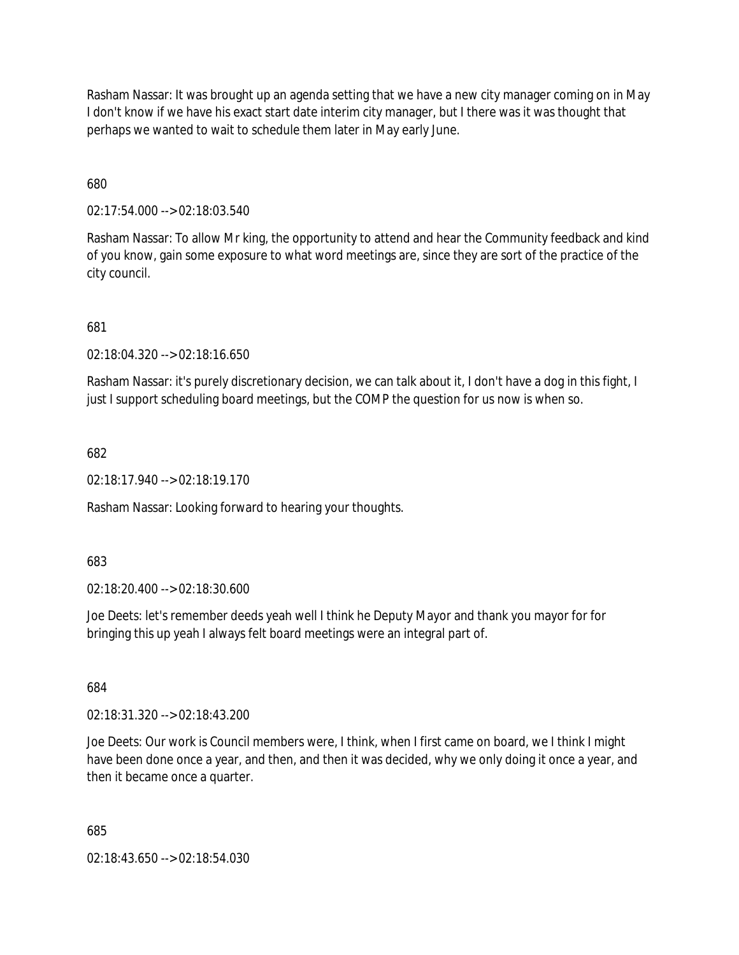Rasham Nassar: It was brought up an agenda setting that we have a new city manager coming on in May I don't know if we have his exact start date interim city manager, but I there was it was thought that perhaps we wanted to wait to schedule them later in May early June.

680

02:17:54.000 --> 02:18:03.540

Rasham Nassar: To allow Mr king, the opportunity to attend and hear the Community feedback and kind of you know, gain some exposure to what word meetings are, since they are sort of the practice of the city council.

681

02:18:04.320 --> 02:18:16.650

Rasham Nassar: it's purely discretionary decision, we can talk about it, I don't have a dog in this fight, I just I support scheduling board meetings, but the COMP the question for us now is when so.

682

02:18:17.940 --> 02:18:19.170

Rasham Nassar: Looking forward to hearing your thoughts.

683

02:18:20.400 --> 02:18:30.600

Joe Deets: let's remember deeds yeah well I think he Deputy Mayor and thank you mayor for for bringing this up yeah I always felt board meetings were an integral part of.

684

02:18:31.320 --> 02:18:43.200

Joe Deets: Our work is Council members were, I think, when I first came on board, we I think I might have been done once a year, and then, and then it was decided, why we only doing it once a year, and then it became once a quarter.

685

02:18:43.650 --> 02:18:54.030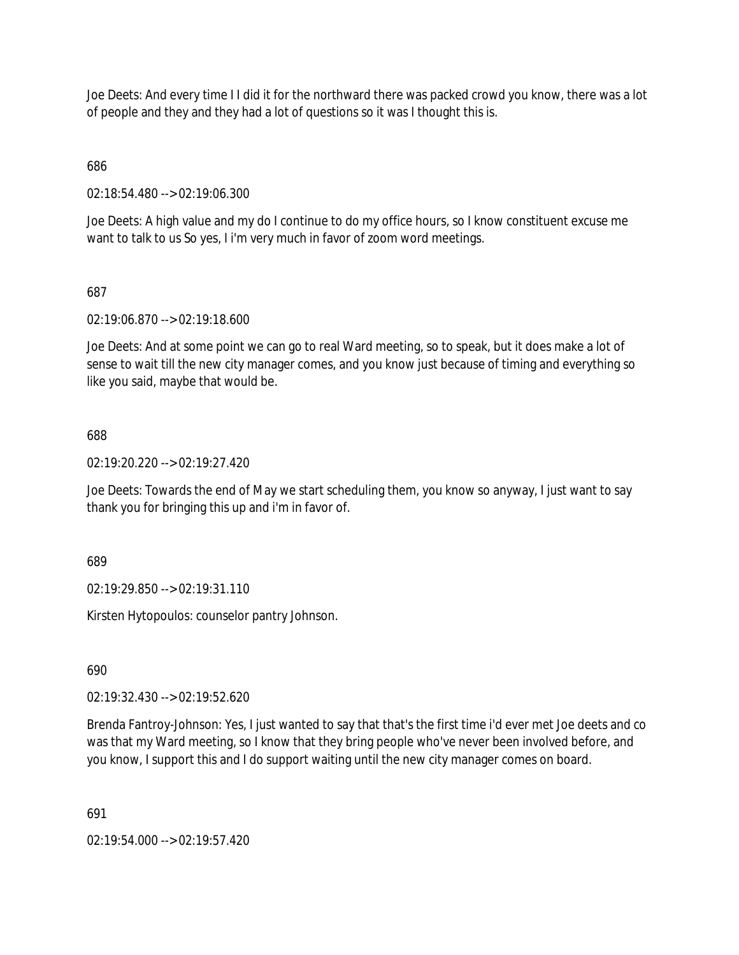Joe Deets: And every time I I did it for the northward there was packed crowd you know, there was a lot of people and they and they had a lot of questions so it was I thought this is.

686

02:18:54.480 --> 02:19:06.300

Joe Deets: A high value and my do I continue to do my office hours, so I know constituent excuse me want to talk to us So yes, I i'm very much in favor of zoom word meetings.

# 687

02:19:06.870 --> 02:19:18.600

Joe Deets: And at some point we can go to real Ward meeting, so to speak, but it does make a lot of sense to wait till the new city manager comes, and you know just because of timing and everything so like you said, maybe that would be.

# 688

02:19:20.220 --> 02:19:27.420

Joe Deets: Towards the end of May we start scheduling them, you know so anyway, I just want to say thank you for bringing this up and i'm in favor of.

689

02:19:29.850 --> 02:19:31.110

Kirsten Hytopoulos: counselor pantry Johnson.

690

02:19:32.430 --> 02:19:52.620

Brenda Fantroy-Johnson: Yes, I just wanted to say that that's the first time i'd ever met Joe deets and co was that my Ward meeting, so I know that they bring people who've never been involved before, and you know, I support this and I do support waiting until the new city manager comes on board.

691

02:19:54.000 --> 02:19:57.420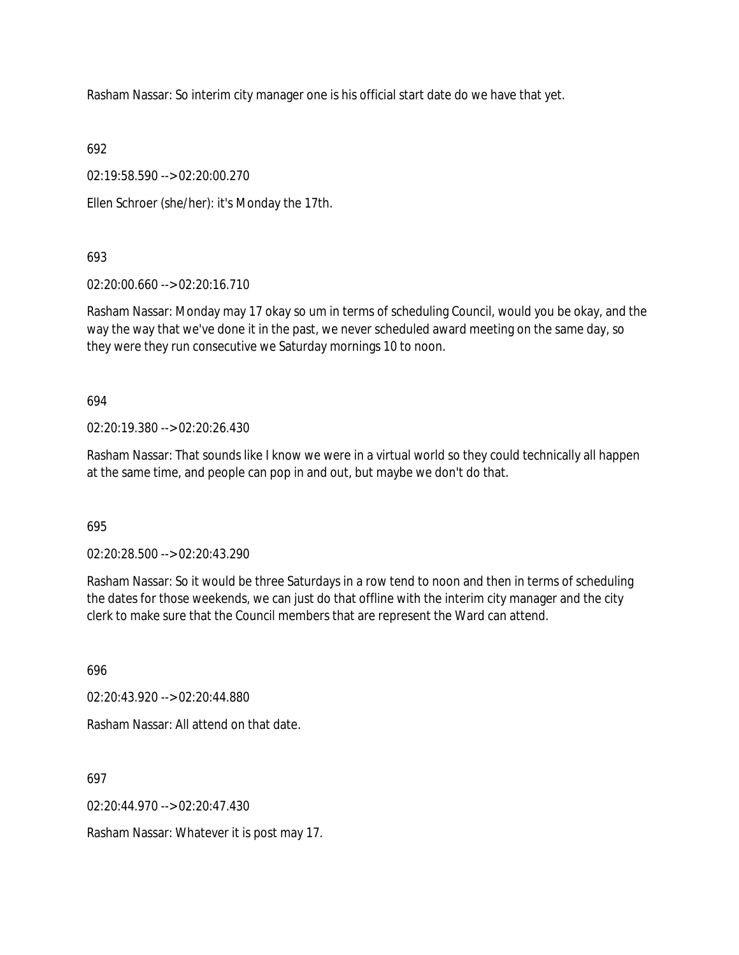Rasham Nassar: So interim city manager one is his official start date do we have that yet.

692

02:19:58.590 --> 02:20:00.270

Ellen Schroer (she/her): it's Monday the 17th.

693

02:20:00.660 --> 02:20:16.710

Rasham Nassar: Monday may 17 okay so um in terms of scheduling Council, would you be okay, and the way the way that we've done it in the past, we never scheduled award meeting on the same day, so they were they run consecutive we Saturday mornings 10 to noon.

694

02:20:19.380 --> 02:20:26.430

Rasham Nassar: That sounds like I know we were in a virtual world so they could technically all happen at the same time, and people can pop in and out, but maybe we don't do that.

695

02:20:28.500 --> 02:20:43.290

Rasham Nassar: So it would be three Saturdays in a row tend to noon and then in terms of scheduling the dates for those weekends, we can just do that offline with the interim city manager and the city clerk to make sure that the Council members that are represent the Ward can attend.

696

02:20:43.920 --> 02:20:44.880

Rasham Nassar: All attend on that date.

697

 $02.20.44.970 -5.02.20.47.430$ 

Rasham Nassar: Whatever it is post may 17.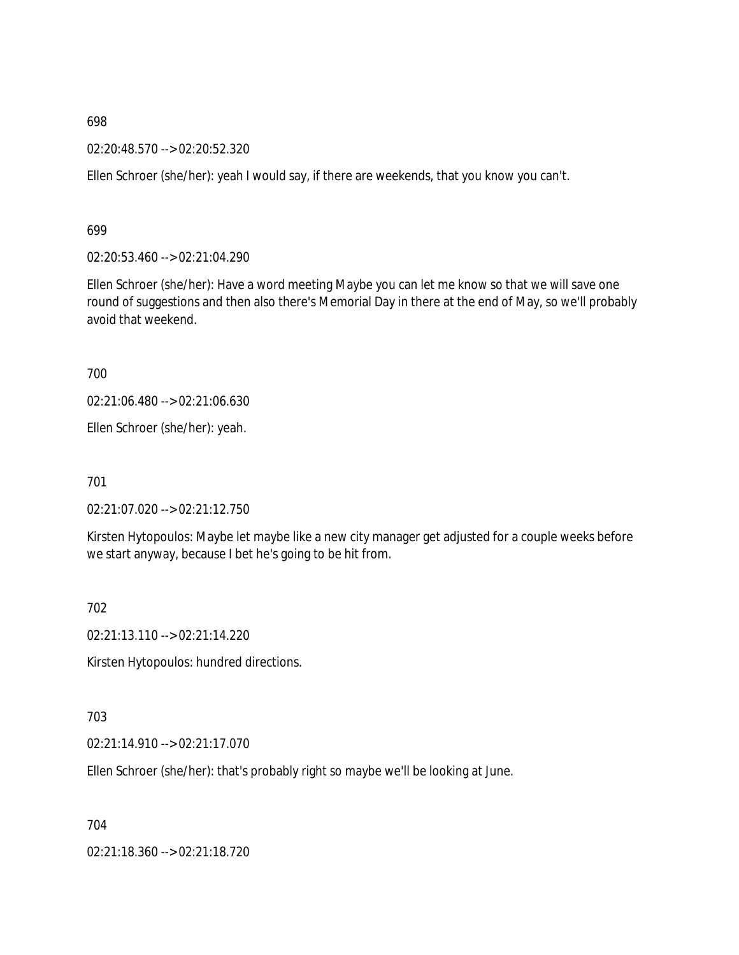698

02:20:48.570 --> 02:20:52.320

Ellen Schroer (she/her): yeah I would say, if there are weekends, that you know you can't.

699

02:20:53.460 --> 02:21:04.290

Ellen Schroer (she/her): Have a word meeting Maybe you can let me know so that we will save one round of suggestions and then also there's Memorial Day in there at the end of May, so we'll probably avoid that weekend.

700

02:21:06.480 --> 02:21:06.630

Ellen Schroer (she/her): yeah.

701

02:21:07.020 --> 02:21:12.750

Kirsten Hytopoulos: Maybe let maybe like a new city manager get adjusted for a couple weeks before we start anyway, because I bet he's going to be hit from.

702

02:21:13.110 --> 02:21:14.220

Kirsten Hytopoulos: hundred directions.

703

02:21:14.910 --> 02:21:17.070

Ellen Schroer (she/her): that's probably right so maybe we'll be looking at June.

704

02:21:18.360 --> 02:21:18.720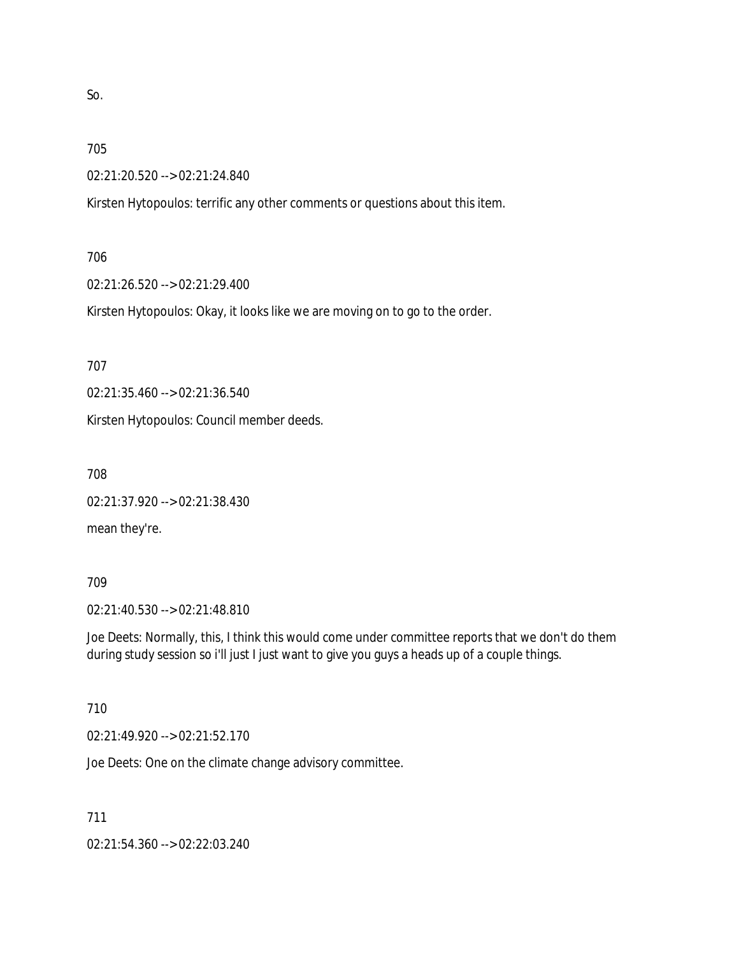So.

### 705

02:21:20.520 --> 02:21:24.840

Kirsten Hytopoulos: terrific any other comments or questions about this item.

# 706

02:21:26.520 --> 02:21:29.400

Kirsten Hytopoulos: Okay, it looks like we are moving on to go to the order.

707

02:21:35.460 --> 02:21:36.540

Kirsten Hytopoulos: Council member deeds.

708

02:21:37.920 --> 02:21:38.430

mean they're.

# 709

02:21:40.530 --> 02:21:48.810

Joe Deets: Normally, this, I think this would come under committee reports that we don't do them during study session so i'll just I just want to give you guys a heads up of a couple things.

# 710

02:21:49.920 --> 02:21:52.170

Joe Deets: One on the climate change advisory committee.

711

02:21:54.360 --> 02:22:03.240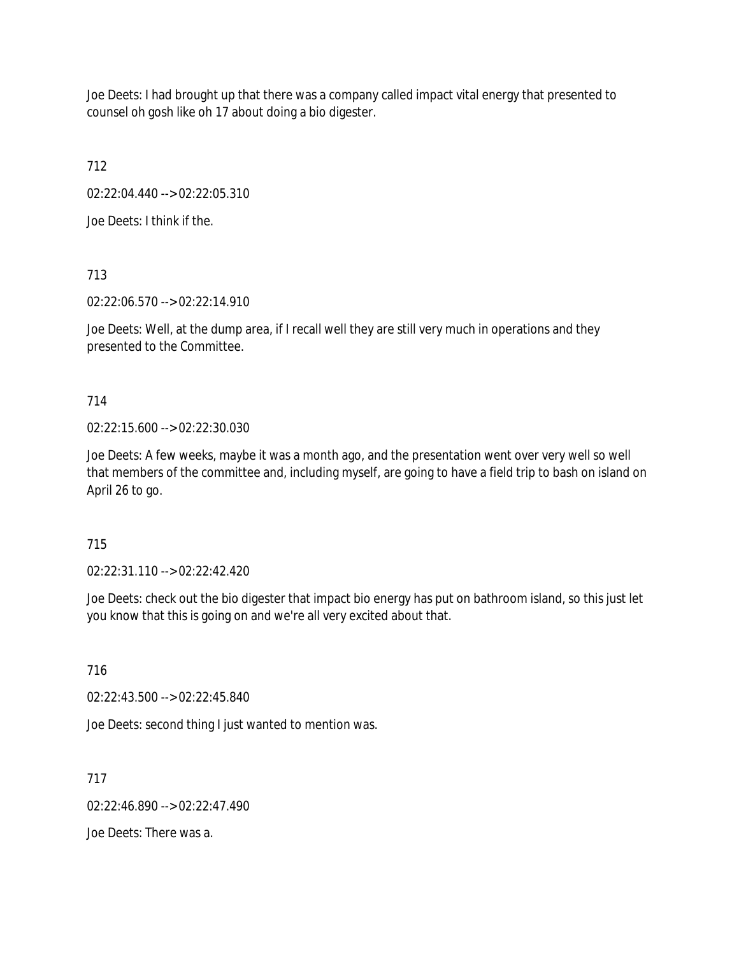Joe Deets: I had brought up that there was a company called impact vital energy that presented to counsel oh gosh like oh 17 about doing a bio digester.

712

02:22:04.440 --> 02:22:05.310

Joe Deets: I think if the.

713

02:22:06.570 --> 02:22:14.910

Joe Deets: Well, at the dump area, if I recall well they are still very much in operations and they presented to the Committee.

714

02:22:15.600 --> 02:22:30.030

Joe Deets: A few weeks, maybe it was a month ago, and the presentation went over very well so well that members of the committee and, including myself, are going to have a field trip to bash on island on April 26 to go.

715

02:22:31.110 --> 02:22:42.420

Joe Deets: check out the bio digester that impact bio energy has put on bathroom island, so this just let you know that this is going on and we're all very excited about that.

716

02:22:43.500 --> 02:22:45.840

Joe Deets: second thing I just wanted to mention was.

717

 $02.22.46.890 -502.22.47.490$ 

Joe Deets: There was a.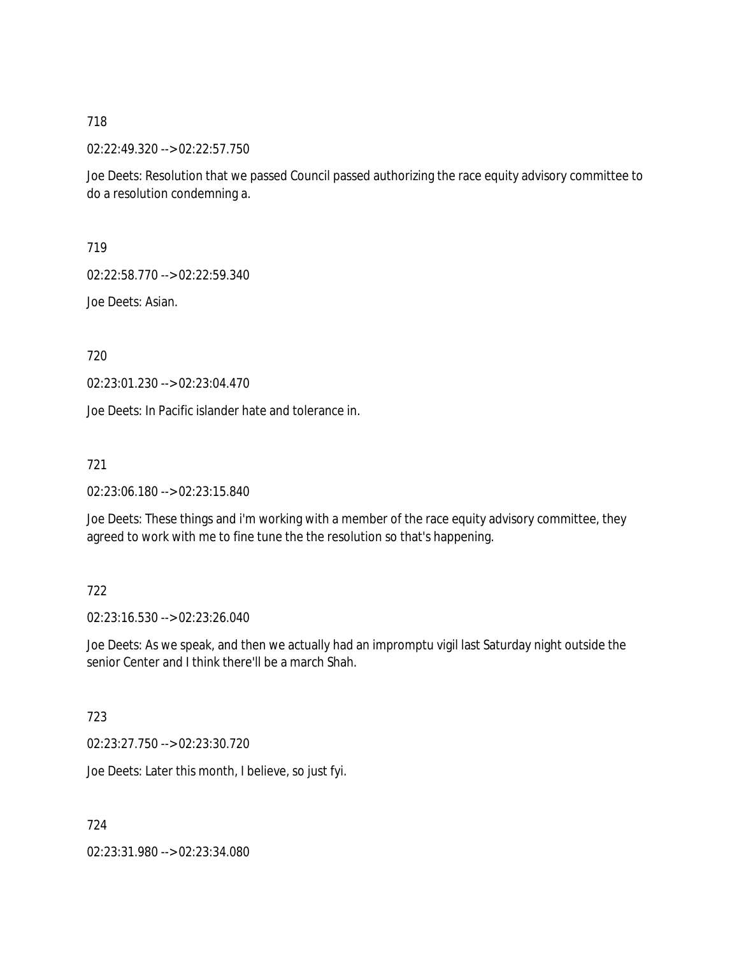718

02:22:49.320 --> 02:22:57.750

Joe Deets: Resolution that we passed Council passed authorizing the race equity advisory committee to do a resolution condemning a.

719

02:22:58.770 --> 02:22:59.340

Joe Deets: Asian.

720

02:23:01.230 --> 02:23:04.470

Joe Deets: In Pacific islander hate and tolerance in.

721

02:23:06.180 --> 02:23:15.840

Joe Deets: These things and i'm working with a member of the race equity advisory committee, they agreed to work with me to fine tune the the resolution so that's happening.

# 722

02:23:16.530 --> 02:23:26.040

Joe Deets: As we speak, and then we actually had an impromptu vigil last Saturday night outside the senior Center and I think there'll be a march Shah.

723

02:23:27.750 --> 02:23:30.720

Joe Deets: Later this month, I believe, so just fyi.

724

02:23:31.980 --> 02:23:34.080